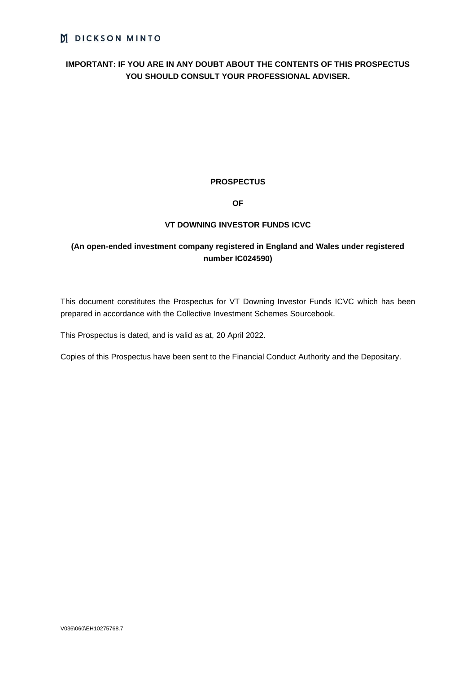# **IMPORTANT: IF YOU ARE IN ANY DOUBT ABOUT THE CONTENTS OF THIS PROSPECTUS YOU SHOULD CONSULT YOUR PROFESSIONAL ADVISER.**

# **PROSPECTUS**

# **OF**

# **VT DOWNING INVESTOR FUNDS ICVC**

# **(An open-ended investment company registered in England and Wales under registered number IC024590)**

This document constitutes the Prospectus for VT Downing Investor Funds ICVC which has been prepared in accordance with the Collective Investment Schemes Sourcebook.

This Prospectus is dated, and is valid as at, 20 April 2022.

Copies of this Prospectus have been sent to the Financial Conduct Authority and the Depositary.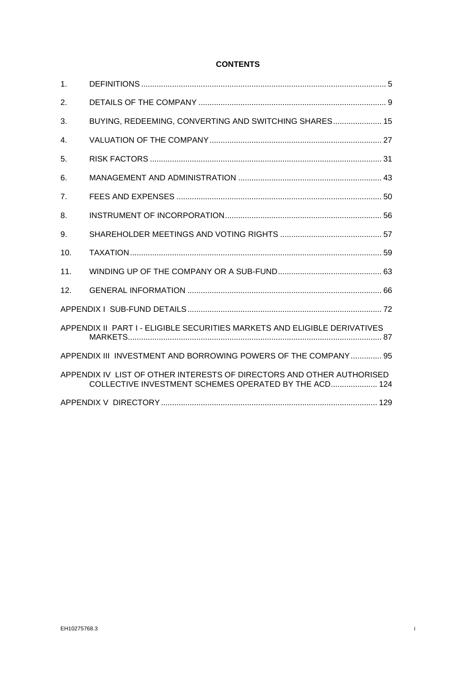# **CONTENTS**

| 1.                                                             |                                                                                                                                |
|----------------------------------------------------------------|--------------------------------------------------------------------------------------------------------------------------------|
| 2.                                                             |                                                                                                                                |
| 3.                                                             | BUYING, REDEEMING, CONVERTING AND SWITCHING SHARES 15                                                                          |
| 4.                                                             |                                                                                                                                |
| 5.                                                             |                                                                                                                                |
| 6.                                                             |                                                                                                                                |
| 7 <sub>1</sub>                                                 |                                                                                                                                |
| 8.                                                             |                                                                                                                                |
| 9.                                                             |                                                                                                                                |
| 10.                                                            |                                                                                                                                |
| 11.                                                            |                                                                                                                                |
| 12.                                                            |                                                                                                                                |
|                                                                |                                                                                                                                |
|                                                                | APPENDIX II PART I - ELIGIBLE SECURITIES MARKETS AND ELIGIBLE DERIVATIVES                                                      |
| APPENDIX III INVESTMENT AND BORROWING POWERS OF THE COMPANY 95 |                                                                                                                                |
|                                                                | APPENDIX IV LIST OF OTHER INTERESTS OF DIRECTORS AND OTHER AUTHORISED<br>COLLECTIVE INVESTMENT SCHEMES OPERATED BY THE ACD 124 |
|                                                                |                                                                                                                                |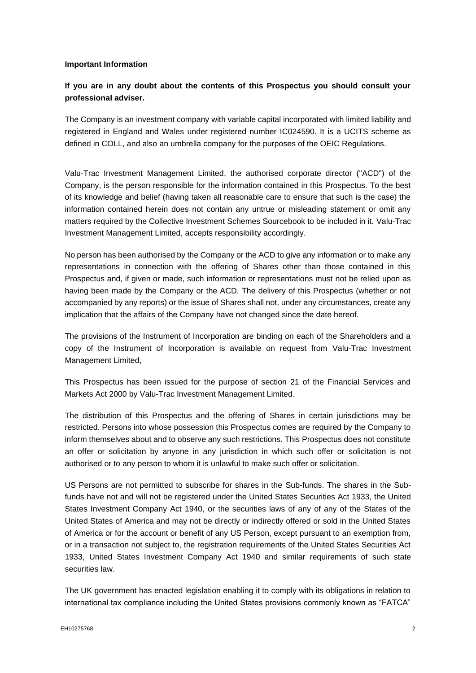#### **Important Information**

# **If you are in any doubt about the contents of this Prospectus you should consult your professional adviser.**

The Company is an investment company with variable capital incorporated with limited liability and registered in England and Wales under registered number IC024590. It is a UCITS scheme as defined in COLL, and also an umbrella company for the purposes of the OEIC Regulations.

Valu-Trac Investment Management Limited, the authorised corporate director ("ACD") of the Company, is the person responsible for the information contained in this Prospectus. To the best of its knowledge and belief (having taken all reasonable care to ensure that such is the case) the information contained herein does not contain any untrue or misleading statement or omit any matters required by the Collective Investment Schemes Sourcebook to be included in it. Valu-Trac Investment Management Limited, accepts responsibility accordingly.

No person has been authorised by the Company or the ACD to give any information or to make any representations in connection with the offering of Shares other than those contained in this Prospectus and, if given or made, such information or representations must not be relied upon as having been made by the Company or the ACD. The delivery of this Prospectus (whether or not accompanied by any reports) or the issue of Shares shall not, under any circumstances, create any implication that the affairs of the Company have not changed since the date hereof.

The provisions of the Instrument of Incorporation are binding on each of the Shareholders and a copy of the Instrument of Incorporation is available on request from Valu-Trac Investment Management Limited,

This Prospectus has been issued for the purpose of section 21 of the Financial Services and Markets Act 2000 by Valu-Trac Investment Management Limited.

The distribution of this Prospectus and the offering of Shares in certain jurisdictions may be restricted. Persons into whose possession this Prospectus comes are required by the Company to inform themselves about and to observe any such restrictions. This Prospectus does not constitute an offer or solicitation by anyone in any jurisdiction in which such offer or solicitation is not authorised or to any person to whom it is unlawful to make such offer or solicitation.

US Persons are not permitted to subscribe for shares in the Sub-funds. The shares in the Subfunds have not and will not be registered under the United States Securities Act 1933, the United States Investment Company Act 1940, or the securities laws of any of any of the States of the United States of America and may not be directly or indirectly offered or sold in the United States of America or for the account or benefit of any US Person, except pursuant to an exemption from, or in a transaction not subject to, the registration requirements of the United States Securities Act 1933, United States Investment Company Act 1940 and similar requirements of such state securities law.

The UK government has enacted legislation enabling it to comply with its obligations in relation to international tax compliance including the United States provisions commonly known as "FATCA"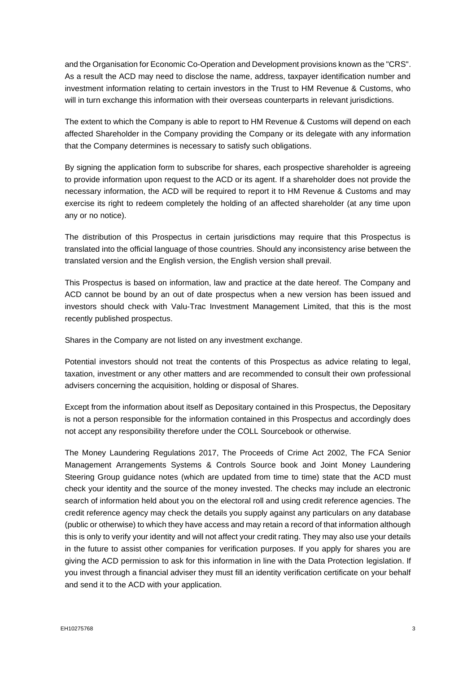and the Organisation for Economic Co-Operation and Development provisions known as the "CRS". As a result the ACD may need to disclose the name, address, taxpayer identification number and investment information relating to certain investors in the Trust to HM Revenue & Customs, who will in turn exchange this information with their overseas counterparts in relevant jurisdictions.

The extent to which the Company is able to report to HM Revenue & Customs will depend on each affected Shareholder in the Company providing the Company or its delegate with any information that the Company determines is necessary to satisfy such obligations.

By signing the application form to subscribe for shares, each prospective shareholder is agreeing to provide information upon request to the ACD or its agent. If a shareholder does not provide the necessary information, the ACD will be required to report it to HM Revenue & Customs and may exercise its right to redeem completely the holding of an affected shareholder (at any time upon any or no notice).

The distribution of this Prospectus in certain jurisdictions may require that this Prospectus is translated into the official language of those countries. Should any inconsistency arise between the translated version and the English version, the English version shall prevail.

This Prospectus is based on information, law and practice at the date hereof. The Company and ACD cannot be bound by an out of date prospectus when a new version has been issued and investors should check with Valu-Trac Investment Management Limited, that this is the most recently published prospectus.

Shares in the Company are not listed on any investment exchange.

Potential investors should not treat the contents of this Prospectus as advice relating to legal, taxation, investment or any other matters and are recommended to consult their own professional advisers concerning the acquisition, holding or disposal of Shares.

Except from the information about itself as Depositary contained in this Prospectus, the Depositary is not a person responsible for the information contained in this Prospectus and accordingly does not accept any responsibility therefore under the COLL Sourcebook or otherwise.

The Money Laundering Regulations 2017, The Proceeds of Crime Act 2002, The FCA Senior Management Arrangements Systems & Controls Source book and Joint Money Laundering Steering Group guidance notes (which are updated from time to time) state that the ACD must check your identity and the source of the money invested. The checks may include an electronic search of information held about you on the electoral roll and using credit reference agencies. The credit reference agency may check the details you supply against any particulars on any database (public or otherwise) to which they have access and may retain a record of that information although this is only to verify your identity and will not affect your credit rating. They may also use your details in the future to assist other companies for verification purposes. If you apply for shares you are giving the ACD permission to ask for this information in line with the Data Protection legislation. If you invest through a financial adviser they must fill an identity verification certificate on your behalf and send it to the ACD with your application.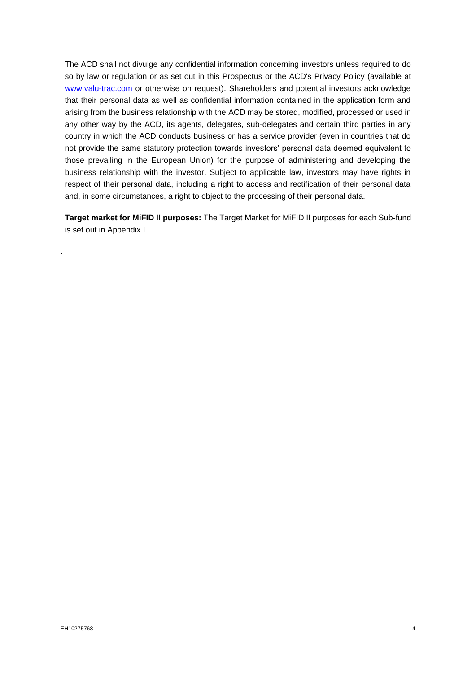The ACD shall not divulge any confidential information concerning investors unless required to do so by law or regulation or as set out in this Prospectus or the ACD's Privacy Policy (available at [www.valu-trac.com](http://www.valu-trac.com/) or otherwise on request). Shareholders and potential investors acknowledge that their personal data as well as confidential information contained in the application form and arising from the business relationship with the ACD may be stored, modified, processed or used in any other way by the ACD, its agents, delegates, sub-delegates and certain third parties in any country in which the ACD conducts business or has a service provider (even in countries that do not provide the same statutory protection towards investors' personal data deemed equivalent to those prevailing in the European Union) for the purpose of administering and developing the business relationship with the investor. Subject to applicable law, investors may have rights in respect of their personal data, including a right to access and rectification of their personal data and, in some circumstances, a right to object to the processing of their personal data.

**Target market for MiFID II purposes:** The Target Market for MiFID II purposes for each Sub-fund is set out in Appendix I.

.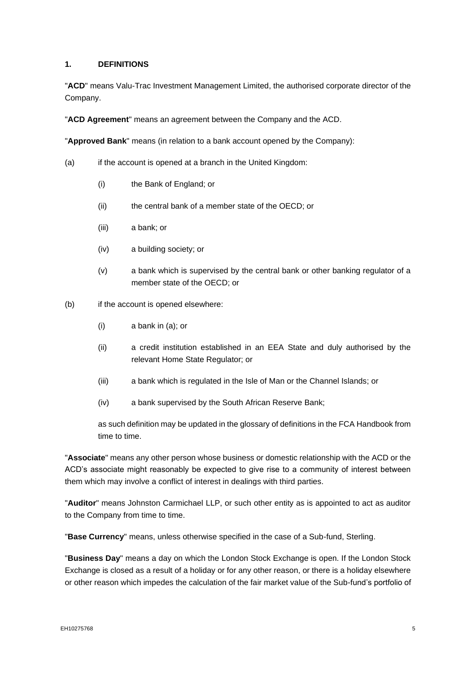# <span id="page-5-0"></span>**1. DEFINITIONS**

"**ACD**" means Valu-Trac Investment Management Limited, the authorised corporate director of the Company.

"**ACD Agreement**" means an agreement between the Company and the ACD.

"**Approved Bank**" means (in relation to a bank account opened by the Company):

- (a) if the account is opened at a branch in the United Kingdom:
	- (i) the Bank of England; or
	- (ii) the central bank of a member state of the OECD; or
	- (iii) a bank; or
	- (iv) a building society; or
	- (v) a bank which is supervised by the central bank or other banking regulator of a member state of the OECD; or
- (b) if the account is opened elsewhere:
	- (i) a bank in (a); or
	- (ii) a credit institution established in an EEA State and duly authorised by the relevant Home State Regulator; or
	- (iii) a bank which is regulated in the Isle of Man or the Channel Islands; or
	- (iv) a bank supervised by the South African Reserve Bank;

as such definition may be updated in the glossary of definitions in the FCA Handbook from time to time.

"**Associate**" means any other person whose business or domestic relationship with the ACD or the ACD's associate might reasonably be expected to give rise to a community of interest between them which may involve a conflict of interest in dealings with third parties.

"**Auditor**" means Johnston Carmichael LLP, or such other entity as is appointed to act as auditor to the Company from time to time.

"**Base Currency**" means, unless otherwise specified in the case of a Sub-fund, Sterling.

"**Business Day**" means a day on which the London Stock Exchange is open. If the London Stock Exchange is closed as a result of a holiday or for any other reason, or there is a holiday elsewhere or other reason which impedes the calculation of the fair market value of the Sub-fund's portfolio of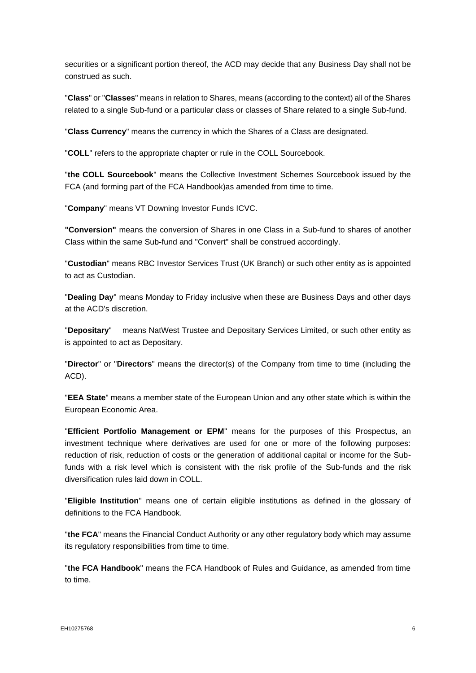securities or a significant portion thereof, the ACD may decide that any Business Day shall not be construed as such.

"**Class**" or "**Classes**" means in relation to Shares, means (according to the context) all of the Shares related to a single Sub-fund or a particular class or classes of Share related to a single Sub-fund.

"**Class Currency**" means the currency in which the Shares of a Class are designated.

"**COLL**" refers to the appropriate chapter or rule in the COLL Sourcebook.

"**the COLL Sourcebook**" means the Collective Investment Schemes Sourcebook issued by the FCA (and forming part of the FCA Handbook)as amended from time to time.

"**Company**" means VT Downing Investor Funds ICVC.

**"Conversion"** means the conversion of Shares in one Class in a Sub-fund to shares of another Class within the same Sub-fund and "Convert" shall be construed accordingly.

"**Custodian**" means RBC Investor Services Trust (UK Branch) or such other entity as is appointed to act as Custodian.

"**Dealing Day**" means Monday to Friday inclusive when these are Business Days and other days at the ACD's discretion.

"**Depositary**" means NatWest Trustee and Depositary Services Limited, or such other entity as is appointed to act as Depositary.

"**Director**" or "**Directors**" means the director(s) of the Company from time to time (including the ACD).

"**EEA State**" means a member state of the European Union and any other state which is within the European Economic Area.

"**Efficient Portfolio Management or EPM**" means for the purposes of this Prospectus, an investment technique where derivatives are used for one or more of the following purposes: reduction of risk, reduction of costs or the generation of additional capital or income for the Subfunds with a risk level which is consistent with the risk profile of the Sub-funds and the risk diversification rules laid down in COLL.

"**Eligible Institution**" means one of certain eligible institutions as defined in the glossary of definitions to the FCA Handbook.

"**the FCA**" means the Financial Conduct Authority or any other regulatory body which may assume its regulatory responsibilities from time to time.

"**the FCA Handbook**" means the FCA Handbook of Rules and Guidance, as amended from time to time.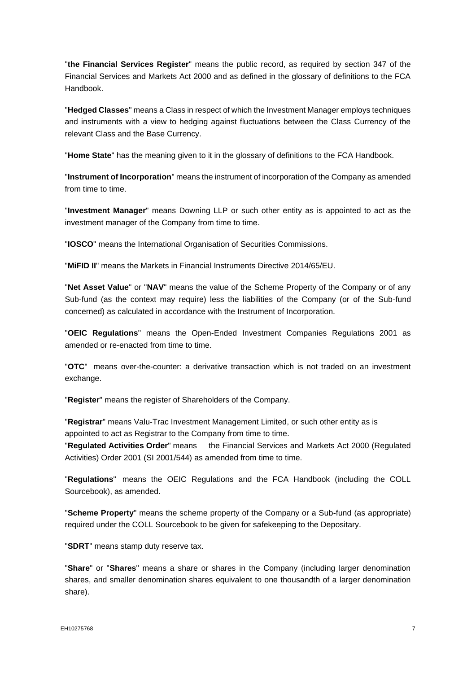"**the Financial Services Register**" means the public record, as required by section 347 of the Financial Services and Markets Act 2000 and as defined in the glossary of definitions to the FCA Handbook.

"**Hedged Classes**" means a Class in respect of which the Investment Manager employs techniques and instruments with a view to hedging against fluctuations between the Class Currency of the relevant Class and the Base Currency.

"**Home State**" has the meaning given to it in the glossary of definitions to the FCA Handbook.

"**Instrument of Incorporation**" means the instrument of incorporation of the Company as amended from time to time.

"**Investment Manager**" means Downing LLP or such other entity as is appointed to act as the investment manager of the Company from time to time.

"**IOSCO**" means the International Organisation of Securities Commissions.

"**MiFID II**" means the Markets in Financial Instruments Directive 2014/65/EU.

"**Net Asset Value**" or "**NAV**" means the value of the Scheme Property of the Company or of any Sub-fund (as the context may require) less the liabilities of the Company (or of the Sub-fund concerned) as calculated in accordance with the Instrument of Incorporation.

"**OEIC Regulations**" means the Open-Ended Investment Companies Regulations 2001 as amended or re-enacted from time to time.

"**OTC**" means over-the-counter: a derivative transaction which is not traded on an investment exchange.

"**Register**" means the register of Shareholders of the Company.

"**Registrar**" means Valu-Trac Investment Management Limited, or such other entity as is appointed to act as Registrar to the Company from time to time.

"**Regulated Activities Order**" means the Financial Services and Markets Act 2000 (Regulated Activities) Order 2001 (SI 2001/544) as amended from time to time.

"**Regulations**" means the OEIC Regulations and the FCA Handbook (including the COLL Sourcebook), as amended.

"**Scheme Property**" means the scheme property of the Company or a Sub-fund (as appropriate) required under the COLL Sourcebook to be given for safekeeping to the Depositary.

"**SDRT**" means stamp duty reserve tax.

"**Share**" or "**Shares**" means a share or shares in the Company (including larger denomination shares, and smaller denomination shares equivalent to one thousandth of a larger denomination share).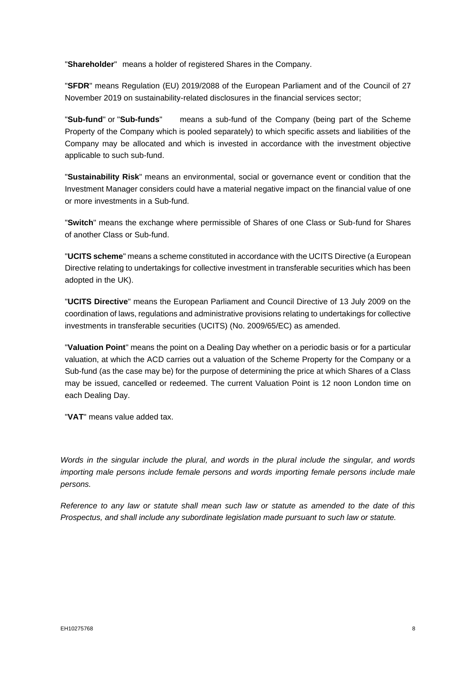"**Shareholder**" means a holder of registered Shares in the Company.

"**SFDR**" means Regulation (EU) 2019/2088 of the European Parliament and of the Council of 27 November 2019 on sustainability-related disclosures in the financial services sector;

"**Sub-fund**" or "**Sub-funds**" means a sub-fund of the Company (being part of the Scheme Property of the Company which is pooled separately) to which specific assets and liabilities of the Company may be allocated and which is invested in accordance with the investment objective applicable to such sub-fund.

"**Sustainability Risk**" means an environmental, social or governance event or condition that the Investment Manager considers could have a material negative impact on the financial value of one or more investments in a Sub-fund.

"**Switch**" means the exchange where permissible of Shares of one Class or Sub-fund for Shares of another Class or Sub-fund.

"**UCITS scheme**" means a scheme constituted in accordance with the UCITS Directive (a European Directive relating to undertakings for collective investment in transferable securities which has been adopted in the UK).

"**UCITS Directive**" means the European Parliament and Council Directive of 13 July 2009 on the coordination of laws, regulations and administrative provisions relating to undertakings for collective investments in transferable securities (UCITS) (No. 2009/65/EC) as amended.

"**Valuation Point**" means the point on a Dealing Day whether on a periodic basis or for a particular valuation, at which the ACD carries out a valuation of the Scheme Property for the Company or a Sub-fund (as the case may be) for the purpose of determining the price at which Shares of a Class may be issued, cancelled or redeemed. The current Valuation Point is 12 noon London time on each Dealing Day.

"**VAT**" means value added tax.

*Words in the singular include the plural, and words in the plural include the singular, and words importing male persons include female persons and words importing female persons include male persons.*

*Reference to any law or statute shall mean such law or statute as amended to the date of this Prospectus, and shall include any subordinate legislation made pursuant to such law or statute.*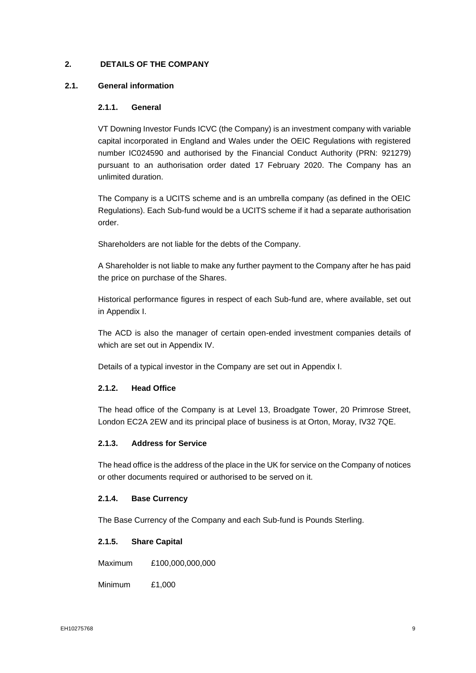# <span id="page-9-0"></span>**2. DETAILS OF THE COMPANY**

# **2.1. General information**

## **2.1.1. General**

VT Downing Investor Funds ICVC (the Company) is an investment company with variable capital incorporated in England and Wales under the OEIC Regulations with registered number IC024590 and authorised by the Financial Conduct Authority (PRN: 921279) pursuant to an authorisation order dated 17 February 2020. The Company has an unlimited duration.

The Company is a UCITS scheme and is an umbrella company (as defined in the OEIC Regulations). Each Sub-fund would be a UCITS scheme if it had a separate authorisation order.

Shareholders are not liable for the debts of the Company.

A Shareholder is not liable to make any further payment to the Company after he has paid the price on purchase of the Shares.

Historical performance figures in respect of each Sub-fund are, where available, set out in Appendix I.

The ACD is also the manager of certain open-ended investment companies details of which are set out in Appendix IV.

Details of a typical investor in the Company are set out in Appendix I.

# **2.1.2. Head Office**

The head office of the Company is at Level 13, Broadgate Tower, 20 Primrose Street, London EC2A 2EW and its principal place of business is at Orton, Moray, IV32 7QE.

### **2.1.3. Address for Service**

The head office is the address of the place in the UK for service on the Company of notices or other documents required or authorised to be served on it.

#### **2.1.4. Base Currency**

The Base Currency of the Company and each Sub-fund is Pounds Sterling.

# **2.1.5. Share Capital**

Maximum £100,000,000,000

Minimum £1,000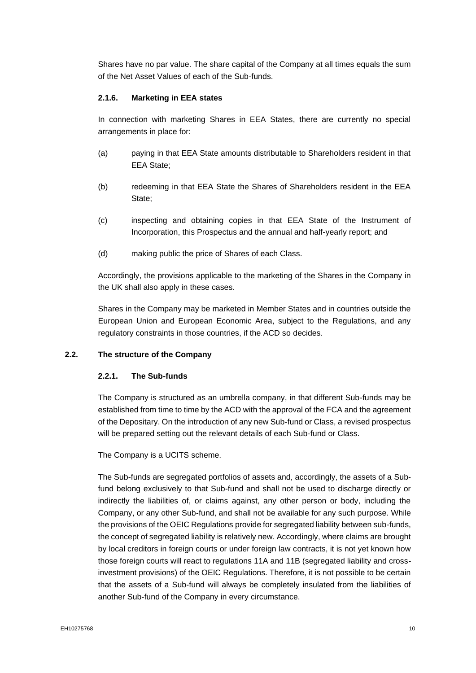Shares have no par value. The share capital of the Company at all times equals the sum of the Net Asset Values of each of the Sub-funds.

# **2.1.6. Marketing in EEA states**

In connection with marketing Shares in EEA States, there are currently no special arrangements in place for:

- (a) paying in that EEA State amounts distributable to Shareholders resident in that EEA State;
- (b) redeeming in that EEA State the Shares of Shareholders resident in the EEA State;
- (c) inspecting and obtaining copies in that EEA State of the Instrument of Incorporation, this Prospectus and the annual and half-yearly report; and
- (d) making public the price of Shares of each Class.

Accordingly, the provisions applicable to the marketing of the Shares in the Company in the UK shall also apply in these cases.

Shares in the Company may be marketed in Member States and in countries outside the European Union and European Economic Area, subject to the Regulations, and any regulatory constraints in those countries, if the ACD so decides.

# **2.2. The structure of the Company**

#### **2.2.1. The Sub-funds**

The Company is structured as an umbrella company, in that different Sub-funds may be established from time to time by the ACD with the approval of the FCA and the agreement of the Depositary. On the introduction of any new Sub-fund or Class, a revised prospectus will be prepared setting out the relevant details of each Sub-fund or Class.

The Company is a UCITS scheme.

The Sub-funds are segregated portfolios of assets and, accordingly, the assets of a Subfund belong exclusively to that Sub-fund and shall not be used to discharge directly or indirectly the liabilities of, or claims against, any other person or body, including the Company, or any other Sub-fund, and shall not be available for any such purpose. While the provisions of the OEIC Regulations provide for segregated liability between sub-funds, the concept of segregated liability is relatively new. Accordingly, where claims are brought by local creditors in foreign courts or under foreign law contracts, it is not yet known how those foreign courts will react to regulations 11A and 11B (segregated liability and crossinvestment provisions) of the OEIC Regulations. Therefore, it is not possible to be certain that the assets of a Sub-fund will always be completely insulated from the liabilities of another Sub-fund of the Company in every circumstance.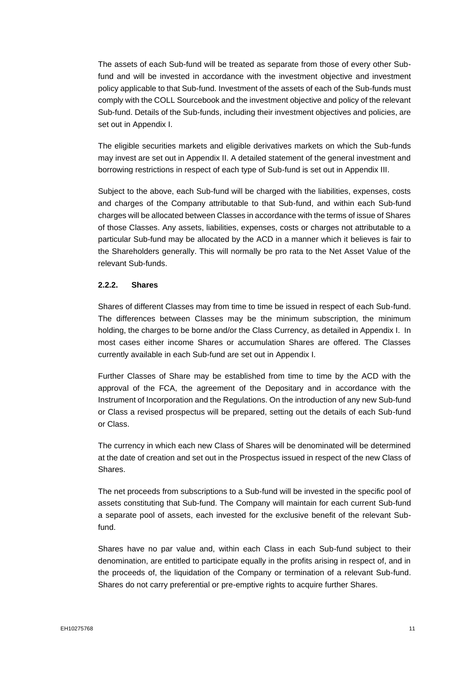The assets of each Sub-fund will be treated as separate from those of every other Subfund and will be invested in accordance with the investment objective and investment policy applicable to that Sub-fund. Investment of the assets of each of the Sub-funds must comply with the COLL Sourcebook and the investment objective and policy of the relevant Sub-fund. Details of the Sub-funds, including their investment objectives and policies, are set out in Appendix I.

The eligible securities markets and eligible derivatives markets on which the Sub-funds may invest are set out in Appendix II. A detailed statement of the general investment and borrowing restrictions in respect of each type of Sub-fund is set out in Appendix III.

Subject to the above, each Sub-fund will be charged with the liabilities, expenses, costs and charges of the Company attributable to that Sub-fund, and within each Sub-fund charges will be allocated between Classes in accordance with the terms of issue of Shares of those Classes. Any assets, liabilities, expenses, costs or charges not attributable to a particular Sub-fund may be allocated by the ACD in a manner which it believes is fair to the Shareholders generally. This will normally be pro rata to the Net Asset Value of the relevant Sub-funds.

# **2.2.2. Shares**

Shares of different Classes may from time to time be issued in respect of each Sub-fund. The differences between Classes may be the minimum subscription, the minimum holding, the charges to be borne and/or the Class Currency, as detailed in Appendix I. In most cases either income Shares or accumulation Shares are offered. The Classes currently available in each Sub-fund are set out in Appendix I.

Further Classes of Share may be established from time to time by the ACD with the approval of the FCA, the agreement of the Depositary and in accordance with the Instrument of Incorporation and the Regulations. On the introduction of any new Sub-fund or Class a revised prospectus will be prepared, setting out the details of each Sub-fund or Class.

The currency in which each new Class of Shares will be denominated will be determined at the date of creation and set out in the Prospectus issued in respect of the new Class of Shares.

The net proceeds from subscriptions to a Sub-fund will be invested in the specific pool of assets constituting that Sub-fund. The Company will maintain for each current Sub-fund a separate pool of assets, each invested for the exclusive benefit of the relevant Subfund.

Shares have no par value and, within each Class in each Sub-fund subject to their denomination, are entitled to participate equally in the profits arising in respect of, and in the proceeds of, the liquidation of the Company or termination of a relevant Sub-fund. Shares do not carry preferential or pre-emptive rights to acquire further Shares.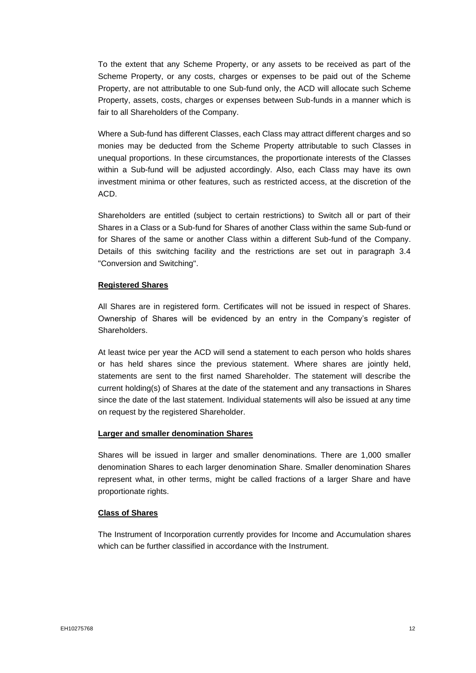To the extent that any Scheme Property, or any assets to be received as part of the Scheme Property, or any costs, charges or expenses to be paid out of the Scheme Property, are not attributable to one Sub-fund only, the ACD will allocate such Scheme Property, assets, costs, charges or expenses between Sub-funds in a manner which is fair to all Shareholders of the Company.

Where a Sub-fund has different Classes, each Class may attract different charges and so monies may be deducted from the Scheme Property attributable to such Classes in unequal proportions. In these circumstances, the proportionate interests of the Classes within a Sub-fund will be adjusted accordingly. Also, each Class may have its own investment minima or other features, such as restricted access, at the discretion of the ACD.

Shareholders are entitled (subject to certain restrictions) to Switch all or part of their Shares in a Class or a Sub-fund for Shares of another Class within the same Sub-fund or for Shares of the same or another Class within a different Sub-fund of the Company. Details of this switching facility and the restrictions are set out in paragraph 3.4 "Conversion and Switching".

### **Registered Shares**

All Shares are in registered form. Certificates will not be issued in respect of Shares. Ownership of Shares will be evidenced by an entry in the Company's register of Shareholders.

At least twice per year the ACD will send a statement to each person who holds shares or has held shares since the previous statement. Where shares are jointly held, statements are sent to the first named Shareholder. The statement will describe the current holding(s) of Shares at the date of the statement and any transactions in Shares since the date of the last statement. Individual statements will also be issued at any time on request by the registered Shareholder.

# **Larger and smaller denomination Shares**

Shares will be issued in larger and smaller denominations. There are 1,000 smaller denomination Shares to each larger denomination Share. Smaller denomination Shares represent what, in other terms, might be called fractions of a larger Share and have proportionate rights.

#### **Class of Shares**

The Instrument of Incorporation currently provides for Income and Accumulation shares which can be further classified in accordance with the Instrument.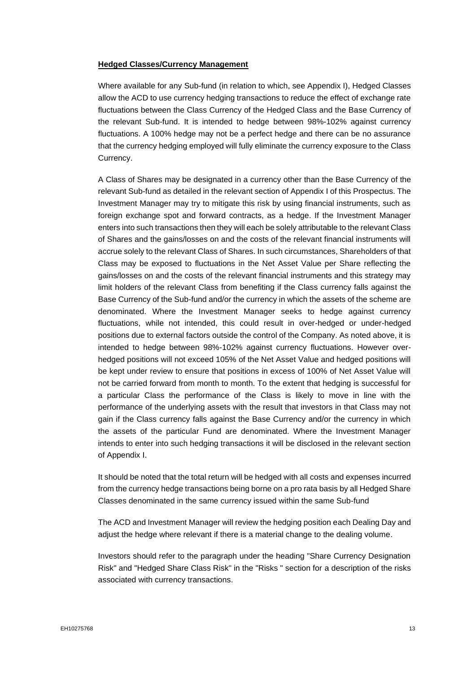#### **Hedged Classes/Currency Management**

Where available for any Sub-fund (in relation to which, see Appendix I), Hedged Classes allow the ACD to use currency hedging transactions to reduce the effect of exchange rate fluctuations between the Class Currency of the Hedged Class and the Base Currency of the relevant Sub-fund. It is intended to hedge between 98%-102% against currency fluctuations. A 100% hedge may not be a perfect hedge and there can be no assurance that the currency hedging employed will fully eliminate the currency exposure to the Class Currency.

A Class of Shares may be designated in a currency other than the Base Currency of the relevant Sub-fund as detailed in the relevant section of Appendix I of this Prospectus. The Investment Manager may try to mitigate this risk by using financial instruments, such as foreign exchange spot and forward contracts, as a hedge. If the Investment Manager enters into such transactions then they will each be solely attributable to the relevant Class of Shares and the gains/losses on and the costs of the relevant financial instruments will accrue solely to the relevant Class of Shares. In such circumstances, Shareholders of that Class may be exposed to fluctuations in the Net Asset Value per Share reflecting the gains/losses on and the costs of the relevant financial instruments and this strategy may limit holders of the relevant Class from benefiting if the Class currency falls against the Base Currency of the Sub-fund and/or the currency in which the assets of the scheme are denominated. Where the Investment Manager seeks to hedge against currency fluctuations, while not intended, this could result in over-hedged or under-hedged positions due to external factors outside the control of the Company. As noted above, it is intended to hedge between 98%-102% against currency fluctuations. However overhedged positions will not exceed 105% of the Net Asset Value and hedged positions will be kept under review to ensure that positions in excess of 100% of Net Asset Value will not be carried forward from month to month. To the extent that hedging is successful for a particular Class the performance of the Class is likely to move in line with the performance of the underlying assets with the result that investors in that Class may not gain if the Class currency falls against the Base Currency and/or the currency in which the assets of the particular Fund are denominated. Where the Investment Manager intends to enter into such hedging transactions it will be disclosed in the relevant section of Appendix I.

It should be noted that the total return will be hedged with all costs and expenses incurred from the currency hedge transactions being borne on a pro rata basis by all Hedged Share Classes denominated in the same currency issued within the same Sub-fund

The ACD and Investment Manager will review the hedging position each Dealing Day and adjust the hedge where relevant if there is a material change to the dealing volume.

Investors should refer to the paragraph under the heading "Share Currency Designation Risk" and "Hedged Share Class Risk" in the "Risks " section for a description of the risks associated with currency transactions.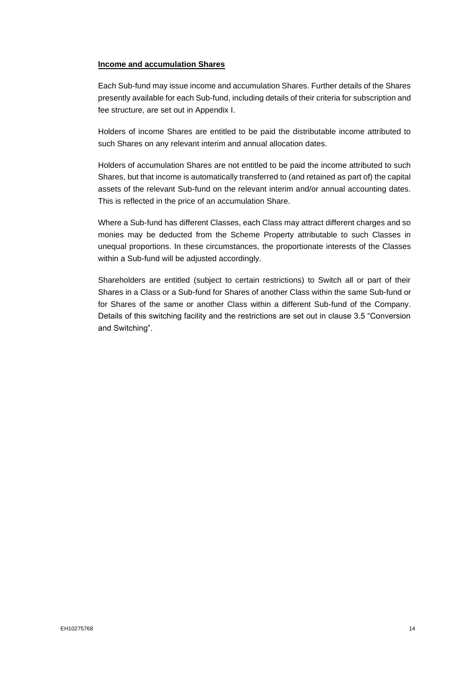#### **Income and accumulation Shares**

Each Sub-fund may issue income and accumulation Shares. Further details of the Shares presently available for each Sub-fund, including details of their criteria for subscription and fee structure, are set out in Appendix I.

Holders of income Shares are entitled to be paid the distributable income attributed to such Shares on any relevant interim and annual allocation dates.

Holders of accumulation Shares are not entitled to be paid the income attributed to such Shares, but that income is automatically transferred to (and retained as part of) the capital assets of the relevant Sub-fund on the relevant interim and/or annual accounting dates. This is reflected in the price of an accumulation Share.

Where a Sub-fund has different Classes, each Class may attract different charges and so monies may be deducted from the Scheme Property attributable to such Classes in unequal proportions. In these circumstances, the proportionate interests of the Classes within a Sub-fund will be adjusted accordingly.

Shareholders are entitled (subject to certain restrictions) to Switch all or part of their Shares in a Class or a Sub-fund for Shares of another Class within the same Sub-fund or for Shares of the same or another Class within a different Sub-fund of the Company. Details of this switching facility and the restrictions are set out in clause 3.5 "Conversion and Switching".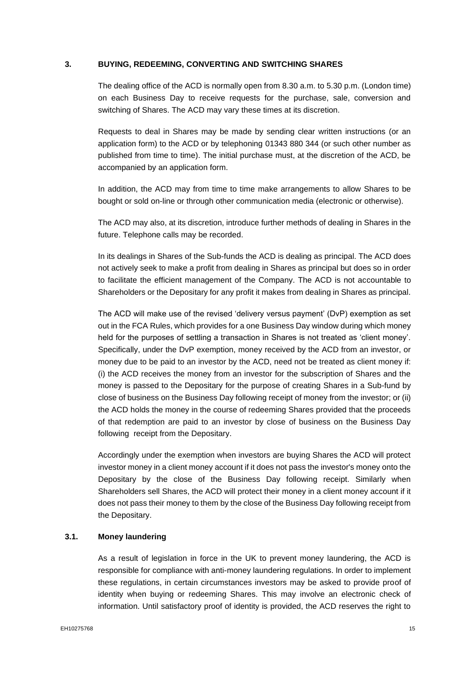### **3. BUYING, REDEEMING, CONVERTING AND SWITCHING SHARES**

<span id="page-15-0"></span>The dealing office of the ACD is normally open from 8.30 a.m. to 5.30 p.m. (London time) on each Business Day to receive requests for the purchase, sale, conversion and switching of Shares. The ACD may vary these times at its discretion.

Requests to deal in Shares may be made by sending clear written instructions (or an application form) to the ACD or by telephoning 01343 880 344 (or such other number as published from time to time). The initial purchase must, at the discretion of the ACD, be accompanied by an application form.

In addition, the ACD may from time to time make arrangements to allow Shares to be bought or sold on-line or through other communication media (electronic or otherwise).

The ACD may also, at its discretion, introduce further methods of dealing in Shares in the future. Telephone calls may be recorded.

In its dealings in Shares of the Sub-funds the ACD is dealing as principal. The ACD does not actively seek to make a profit from dealing in Shares as principal but does so in order to facilitate the efficient management of the Company. The ACD is not accountable to Shareholders or the Depositary for any profit it makes from dealing in Shares as principal.

The ACD will make use of the revised 'delivery versus payment' (DvP) exemption as set out in the FCA Rules, which provides for a one Business Day window during which money held for the purposes of settling a transaction in Shares is not treated as 'client money'. Specifically, under the DvP exemption, money received by the ACD from an investor, or money due to be paid to an investor by the ACD, need not be treated as client money if: (i) the ACD receives the money from an investor for the subscription of Shares and the money is passed to the Depositary for the purpose of creating Shares in a Sub-fund by close of business on the Business Day following receipt of money from the investor; or (ii) the ACD holds the money in the course of redeeming Shares provided that the proceeds of that redemption are paid to an investor by close of business on the Business Day following receipt from the Depositary.

Accordingly under the exemption when investors are buying Shares the ACD will protect investor money in a client money account if it does not pass the investor's money onto the Depositary by the close of the Business Day following receipt. Similarly when Shareholders sell Shares, the ACD will protect their money in a client money account if it does not pass their money to them by the close of the Business Day following receipt from the Depositary.

# **3.1. Money laundering**

As a result of legislation in force in the UK to prevent money laundering, the ACD is responsible for compliance with anti-money laundering regulations. In order to implement these regulations, in certain circumstances investors may be asked to provide proof of identity when buying or redeeming Shares. This may involve an electronic check of information. Until satisfactory proof of identity is provided, the ACD reserves the right to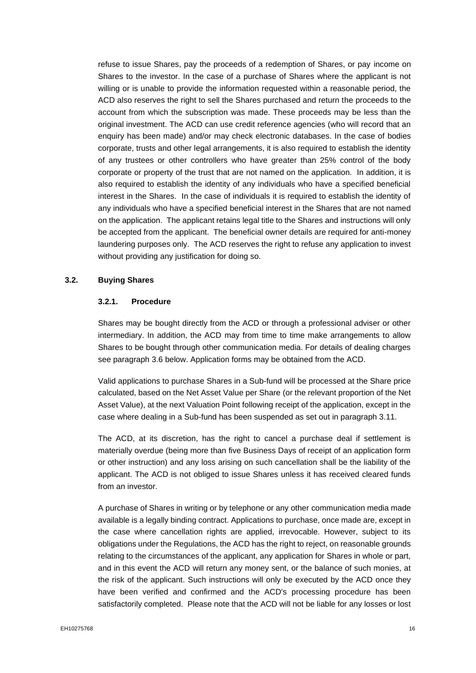refuse to issue Shares, pay the proceeds of a redemption of Shares, or pay income on Shares to the investor. In the case of a purchase of Shares where the applicant is not willing or is unable to provide the information requested within a reasonable period, the ACD also reserves the right to sell the Shares purchased and return the proceeds to the account from which the subscription was made. These proceeds may be less than the original investment. The ACD can use credit reference agencies (who will record that an enquiry has been made) and/or may check electronic databases. In the case of bodies corporate, trusts and other legal arrangements, it is also required to establish the identity of any trustees or other controllers who have greater than 25% control of the body corporate or property of the trust that are not named on the application. In addition, it is also required to establish the identity of any individuals who have a specified beneficial interest in the Shares. In the case of individuals it is required to establish the identity of any individuals who have a specified beneficial interest in the Shares that are not named on the application. The applicant retains legal title to the Shares and instructions will only be accepted from the applicant. The beneficial owner details are required for anti-money laundering purposes only. The ACD reserves the right to refuse any application to invest without providing any justification for doing so.

### **3.2. Buying Shares**

### **3.2.1. Procedure**

Shares may be bought directly from the ACD or through a professional adviser or other intermediary. In addition, the ACD may from time to time make arrangements to allow Shares to be bought through other communication media. For details of dealing charges see paragraph 3.6 below. Application forms may be obtained from the ACD.

Valid applications to purchase Shares in a Sub-fund will be processed at the Share price calculated, based on the Net Asset Value per Share (or the relevant proportion of the Net Asset Value), at the next Valuation Point following receipt of the application, except in the case where dealing in a Sub-fund has been suspended as set out in paragraph 3.11.

The ACD, at its discretion, has the right to cancel a purchase deal if settlement is materially overdue (being more than five Business Days of receipt of an application form or other instruction) and any loss arising on such cancellation shall be the liability of the applicant. The ACD is not obliged to issue Shares unless it has received cleared funds from an investor.

A purchase of Shares in writing or by telephone or any other communication media made available is a legally binding contract. Applications to purchase, once made are, except in the case where cancellation rights are applied, irrevocable. However, subject to its obligations under the Regulations, the ACD has the right to reject, on reasonable grounds relating to the circumstances of the applicant, any application for Shares in whole or part, and in this event the ACD will return any money sent, or the balance of such monies, at the risk of the applicant. Such instructions will only be executed by the ACD once they have been verified and confirmed and the ACD's processing procedure has been satisfactorily completed. Please note that the ACD will not be liable for any losses or lost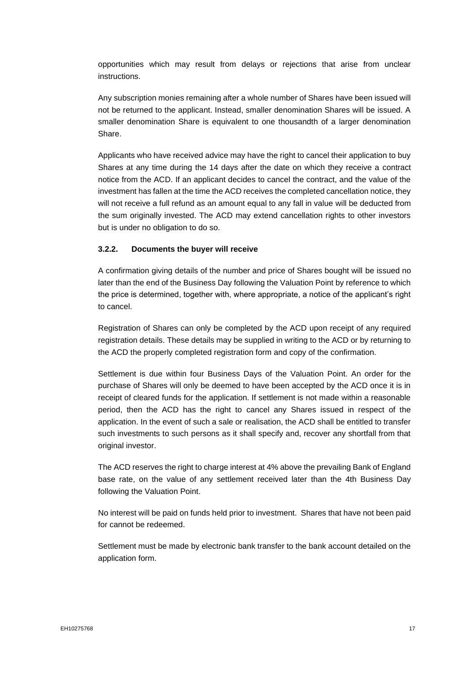opportunities which may result from delays or rejections that arise from unclear instructions.

Any subscription monies remaining after a whole number of Shares have been issued will not be returned to the applicant. Instead, smaller denomination Shares will be issued. A smaller denomination Share is equivalent to one thousandth of a larger denomination Share.

Applicants who have received advice may have the right to cancel their application to buy Shares at any time during the 14 days after the date on which they receive a contract notice from the ACD. If an applicant decides to cancel the contract, and the value of the investment has fallen at the time the ACD receives the completed cancellation notice, they will not receive a full refund as an amount equal to any fall in value will be deducted from the sum originally invested. The ACD may extend cancellation rights to other investors but is under no obligation to do so.

# **3.2.2. Documents the buyer will receive**

A confirmation giving details of the number and price of Shares bought will be issued no later than the end of the Business Day following the Valuation Point by reference to which the price is determined, together with, where appropriate, a notice of the applicant's right to cancel.

Registration of Shares can only be completed by the ACD upon receipt of any required registration details. These details may be supplied in writing to the ACD or by returning to the ACD the properly completed registration form and copy of the confirmation.

Settlement is due within four Business Days of the Valuation Point. An order for the purchase of Shares will only be deemed to have been accepted by the ACD once it is in receipt of cleared funds for the application. If settlement is not made within a reasonable period, then the ACD has the right to cancel any Shares issued in respect of the application. In the event of such a sale or realisation, the ACD shall be entitled to transfer such investments to such persons as it shall specify and, recover any shortfall from that original investor.

The ACD reserves the right to charge interest at 4% above the prevailing Bank of England base rate, on the value of any settlement received later than the 4th Business Day following the Valuation Point.

No interest will be paid on funds held prior to investment. Shares that have not been paid for cannot be redeemed.

Settlement must be made by electronic bank transfer to the bank account detailed on the application form.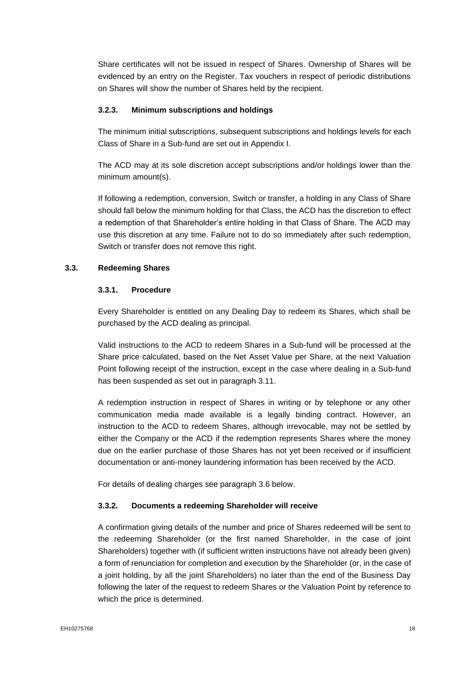Share certificates will not be issued in respect of Shares. Ownership of Shares will be evidenced by an entry on the Register. Tax vouchers in respect of periodic distributions on Shares will show the number of Shares held by the recipient.

# **3.2.3. Minimum subscriptions and holdings**

The minimum initial subscriptions, subsequent subscriptions and holdings levels for each Class of Share in a Sub-fund are set out in Appendix I.

The ACD may at its sole discretion accept subscriptions and/or holdings lower than the minimum amount(s).

If following a redemption, conversion, Switch or transfer, a holding in any Class of Share should fall below the minimum holding for that Class, the ACD has the discretion to effect a redemption of that Shareholder's entire holding in that Class of Share. The ACD may use this discretion at any time. Failure not to do so immediately after such redemption, Switch or transfer does not remove this right.

# **3.3. Redeeming Shares**

### **3.3.1. Procedure**

Every Shareholder is entitled on any Dealing Day to redeem its Shares, which shall be purchased by the ACD dealing as principal.

Valid instructions to the ACD to redeem Shares in a Sub-fund will be processed at the Share price calculated, based on the Net Asset Value per Share, at the next Valuation Point following receipt of the instruction, except in the case where dealing in a Sub-fund has been suspended as set out in paragraph 3.11.

A redemption instruction in respect of Shares in writing or by telephone or any other communication media made available is a legally binding contract. However, an instruction to the ACD to redeem Shares, although irrevocable, may not be settled by either the Company or the ACD if the redemption represents Shares where the money due on the earlier purchase of those Shares has not yet been received or if insufficient documentation or anti-money laundering information has been received by the ACD.

For details of dealing charges see paragraph 3.6 below.

#### **3.3.2. Documents a redeeming Shareholder will receive**

A confirmation giving details of the number and price of Shares redeemed will be sent to the redeeming Shareholder (or the first named Shareholder, in the case of joint Shareholders) together with (if sufficient written instructions have not already been given) a form of renunciation for completion and execution by the Shareholder (or, in the case of a joint holding, by all the joint Shareholders) no later than the end of the Business Day following the later of the request to redeem Shares or the Valuation Point by reference to which the price is determined.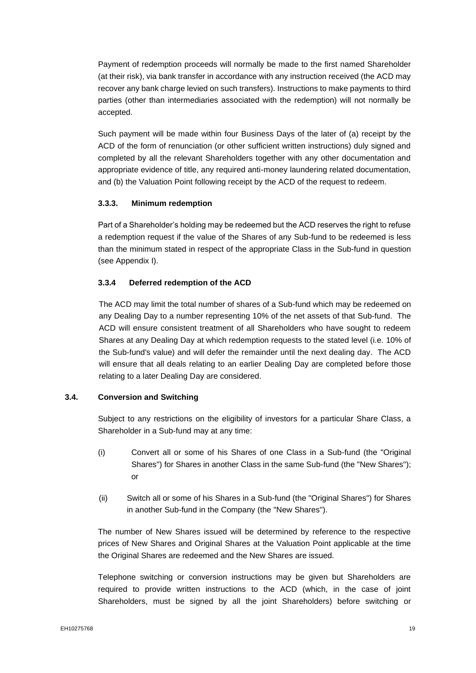Payment of redemption proceeds will normally be made to the first named Shareholder (at their risk), via bank transfer in accordance with any instruction received (the ACD may recover any bank charge levied on such transfers). Instructions to make payments to third parties (other than intermediaries associated with the redemption) will not normally be accepted.

Such payment will be made within four Business Days of the later of (a) receipt by the ACD of the form of renunciation (or other sufficient written instructions) duly signed and completed by all the relevant Shareholders together with any other documentation and appropriate evidence of title, any required anti-money laundering related documentation, and (b) the Valuation Point following receipt by the ACD of the request to redeem.

### **3.3.3. Minimum redemption**

Part of a Shareholder's holding may be redeemed but the ACD reserves the right to refuse a redemption request if the value of the Shares of any Sub-fund to be redeemed is less than the minimum stated in respect of the appropriate Class in the Sub-fund in question (see Appendix I).

### **3.3.4 Deferred redemption of the ACD**

The ACD may limit the total number of shares of a Sub-fund which may be redeemed on any Dealing Day to a number representing 10% of the net assets of that Sub-fund. The ACD will ensure consistent treatment of all Shareholders who have sought to redeem Shares at any Dealing Day at which redemption requests to the stated level (i.e. 10% of the Sub-fund's value) and will defer the remainder until the next dealing day. The ACD will ensure that all deals relating to an earlier Dealing Day are completed before those relating to a later Dealing Day are considered.

# **3.4. Conversion and Switching**

Subject to any restrictions on the eligibility of investors for a particular Share Class, a Shareholder in a Sub-fund may at any time:

- (i) Convert all or some of his Shares of one Class in a Sub-fund (the "Original Shares") for Shares in another Class in the same Sub-fund (the "New Shares"); or
- (ii) Switch all or some of his Shares in a Sub-fund (the "Original Shares") for Shares in another Sub-fund in the Company (the "New Shares").

The number of New Shares issued will be determined by reference to the respective prices of New Shares and Original Shares at the Valuation Point applicable at the time the Original Shares are redeemed and the New Shares are issued.

Telephone switching or conversion instructions may be given but Shareholders are required to provide written instructions to the ACD (which, in the case of joint Shareholders, must be signed by all the joint Shareholders) before switching or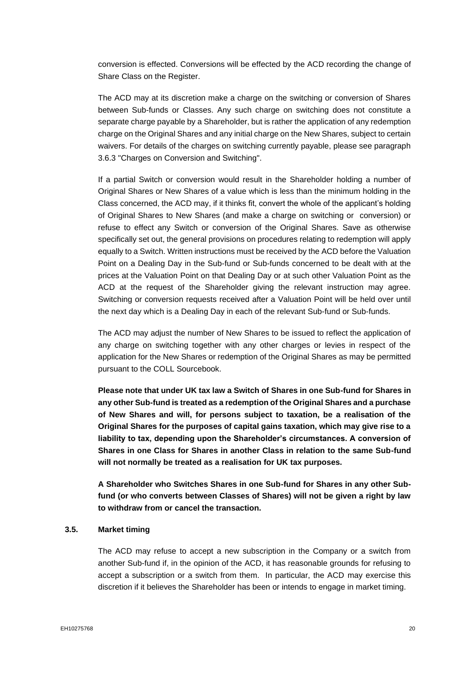conversion is effected. Conversions will be effected by the ACD recording the change of Share Class on the Register.

The ACD may at its discretion make a charge on the switching or conversion of Shares between Sub-funds or Classes. Any such charge on switching does not constitute a separate charge payable by a Shareholder, but is rather the application of any redemption charge on the Original Shares and any initial charge on the New Shares, subject to certain waivers. For details of the charges on switching currently payable, please see paragraph 3.6.3 "Charges on Conversion and Switching".

If a partial Switch or conversion would result in the Shareholder holding a number of Original Shares or New Shares of a value which is less than the minimum holding in the Class concerned, the ACD may, if it thinks fit, convert the whole of the applicant's holding of Original Shares to New Shares (and make a charge on switching or conversion) or refuse to effect any Switch or conversion of the Original Shares. Save as otherwise specifically set out, the general provisions on procedures relating to redemption will apply equally to a Switch. Written instructions must be received by the ACD before the Valuation Point on a Dealing Day in the Sub-fund or Sub-funds concerned to be dealt with at the prices at the Valuation Point on that Dealing Day or at such other Valuation Point as the ACD at the request of the Shareholder giving the relevant instruction may agree. Switching or conversion requests received after a Valuation Point will be held over until the next day which is a Dealing Day in each of the relevant Sub-fund or Sub-funds.

The ACD may adjust the number of New Shares to be issued to reflect the application of any charge on switching together with any other charges or levies in respect of the application for the New Shares or redemption of the Original Shares as may be permitted pursuant to the COLL Sourcebook.

**Please note that under UK tax law a Switch of Shares in one Sub-fund for Shares in any other Sub-fund is treated as a redemption of the Original Shares and a purchase of New Shares and will, for persons subject to taxation, be a realisation of the Original Shares for the purposes of capital gains taxation, which may give rise to a liability to tax, depending upon the Shareholder's circumstances. A conversion of Shares in one Class for Shares in another Class in relation to the same Sub-fund will not normally be treated as a realisation for UK tax purposes.** 

**A Shareholder who Switches Shares in one Sub-fund for Shares in any other Subfund (or who converts between Classes of Shares) will not be given a right by law to withdraw from or cancel the transaction.**

#### **3.5. Market timing**

The ACD may refuse to accept a new subscription in the Company or a switch from another Sub-fund if, in the opinion of the ACD, it has reasonable grounds for refusing to accept a subscription or a switch from them. In particular, the ACD may exercise this discretion if it believes the Shareholder has been or intends to engage in market timing.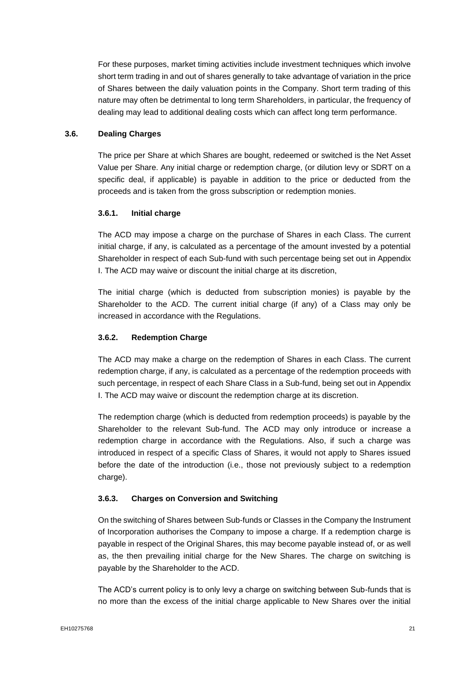For these purposes, market timing activities include investment techniques which involve short term trading in and out of shares generally to take advantage of variation in the price of Shares between the daily valuation points in the Company. Short term trading of this nature may often be detrimental to long term Shareholders, in particular, the frequency of dealing may lead to additional dealing costs which can affect long term performance.

# **3.6. Dealing Charges**

The price per Share at which Shares are bought, redeemed or switched is the Net Asset Value per Share. Any initial charge or redemption charge, (or dilution levy or SDRT on a specific deal, if applicable) is payable in addition to the price or deducted from the proceeds and is taken from the gross subscription or redemption monies.

# **3.6.1. Initial charge**

The ACD may impose a charge on the purchase of Shares in each Class. The current initial charge, if any, is calculated as a percentage of the amount invested by a potential Shareholder in respect of each Sub-fund with such percentage being set out in Appendix I. The ACD may waive or discount the initial charge at its discretion,

The initial charge (which is deducted from subscription monies) is payable by the Shareholder to the ACD. The current initial charge (if any) of a Class may only be increased in accordance with the Regulations.

# **3.6.2. Redemption Charge**

The ACD may make a charge on the redemption of Shares in each Class. The current redemption charge, if any, is calculated as a percentage of the redemption proceeds with such percentage, in respect of each Share Class in a Sub-fund, being set out in Appendix I. The ACD may waive or discount the redemption charge at its discretion.

The redemption charge (which is deducted from redemption proceeds) is payable by the Shareholder to the relevant Sub-fund. The ACD may only introduce or increase a redemption charge in accordance with the Regulations. Also, if such a charge was introduced in respect of a specific Class of Shares, it would not apply to Shares issued before the date of the introduction (i.e., those not previously subject to a redemption charge).

# **3.6.3. Charges on Conversion and Switching**

On the switching of Shares between Sub-funds or Classes in the Company the Instrument of Incorporation authorises the Company to impose a charge. If a redemption charge is payable in respect of the Original Shares, this may become payable instead of, or as well as, the then prevailing initial charge for the New Shares. The charge on switching is payable by the Shareholder to the ACD.

The ACD's current policy is to only levy a charge on switching between Sub-funds that is no more than the excess of the initial charge applicable to New Shares over the initial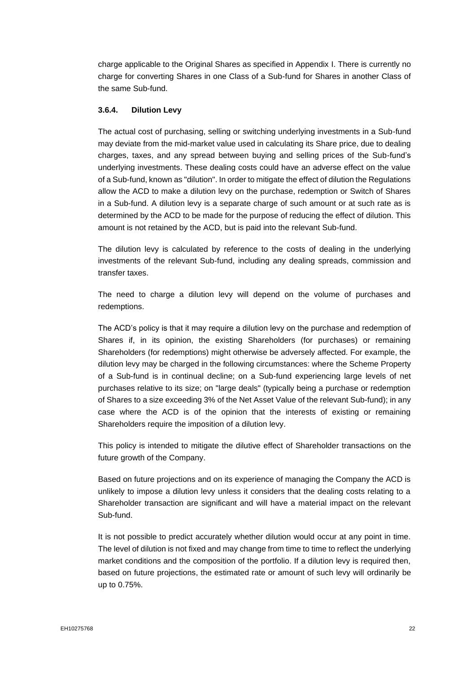charge applicable to the Original Shares as specified in Appendix I. There is currently no charge for converting Shares in one Class of a Sub-fund for Shares in another Class of the same Sub-fund.

# **3.6.4. Dilution Levy**

The actual cost of purchasing, selling or switching underlying investments in a Sub-fund may deviate from the mid-market value used in calculating its Share price, due to dealing charges, taxes, and any spread between buying and selling prices of the Sub-fund's underlying investments. These dealing costs could have an adverse effect on the value of a Sub-fund, known as "dilution". In order to mitigate the effect of dilution the Regulations allow the ACD to make a dilution levy on the purchase, redemption or Switch of Shares in a Sub-fund. A dilution levy is a separate charge of such amount or at such rate as is determined by the ACD to be made for the purpose of reducing the effect of dilution. This amount is not retained by the ACD, but is paid into the relevant Sub-fund.

The dilution levy is calculated by reference to the costs of dealing in the underlying investments of the relevant Sub-fund, including any dealing spreads, commission and transfer taxes.

The need to charge a dilution levy will depend on the volume of purchases and redemptions.

The ACD's policy is that it may require a dilution levy on the purchase and redemption of Shares if, in its opinion, the existing Shareholders (for purchases) or remaining Shareholders (for redemptions) might otherwise be adversely affected. For example, the dilution levy may be charged in the following circumstances: where the Scheme Property of a Sub-fund is in continual decline; on a Sub-fund experiencing large levels of net purchases relative to its size; on "large deals" (typically being a purchase or redemption of Shares to a size exceeding 3% of the Net Asset Value of the relevant Sub-fund); in any case where the ACD is of the opinion that the interests of existing or remaining Shareholders require the imposition of a dilution levy.

This policy is intended to mitigate the dilutive effect of Shareholder transactions on the future growth of the Company.

Based on future projections and on its experience of managing the Company the ACD is unlikely to impose a dilution levy unless it considers that the dealing costs relating to a Shareholder transaction are significant and will have a material impact on the relevant Sub-fund.

It is not possible to predict accurately whether dilution would occur at any point in time. The level of dilution is not fixed and may change from time to time to reflect the underlying market conditions and the composition of the portfolio. If a dilution levy is required then, based on future projections, the estimated rate or amount of such levy will ordinarily be up to 0.75%.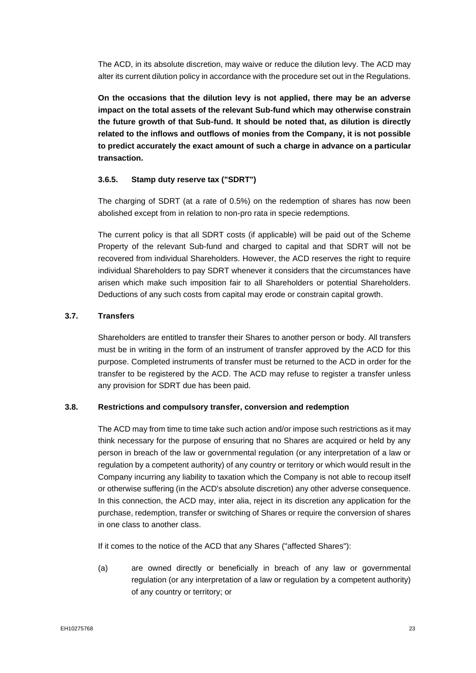The ACD, in its absolute discretion, may waive or reduce the dilution levy. The ACD may alter its current dilution policy in accordance with the procedure set out in the Regulations.

**On the occasions that the dilution levy is not applied, there may be an adverse impact on the total assets of the relevant Sub-fund which may otherwise constrain the future growth of that Sub-fund. It should be noted that, as dilution is directly related to the inflows and outflows of monies from the Company, it is not possible to predict accurately the exact amount of such a charge in advance on a particular transaction.**

# **3.6.5. Stamp duty reserve tax ("SDRT")**

The charging of SDRT (at a rate of 0.5%) on the redemption of shares has now been abolished except from in relation to non-pro rata in specie redemptions.

The current policy is that all SDRT costs (if applicable) will be paid out of the Scheme Property of the relevant Sub-fund and charged to capital and that SDRT will not be recovered from individual Shareholders. However, the ACD reserves the right to require individual Shareholders to pay SDRT whenever it considers that the circumstances have arisen which make such imposition fair to all Shareholders or potential Shareholders. Deductions of any such costs from capital may erode or constrain capital growth.

# **3.7. Transfers**

Shareholders are entitled to transfer their Shares to another person or body. All transfers must be in writing in the form of an instrument of transfer approved by the ACD for this purpose. Completed instruments of transfer must be returned to the ACD in order for the transfer to be registered by the ACD. The ACD may refuse to register a transfer unless any provision for SDRT due has been paid.

# **3.8. Restrictions and compulsory transfer, conversion and redemption**

The ACD may from time to time take such action and/or impose such restrictions as it may think necessary for the purpose of ensuring that no Shares are acquired or held by any person in breach of the law or governmental regulation (or any interpretation of a law or regulation by a competent authority) of any country or territory or which would result in the Company incurring any liability to taxation which the Company is not able to recoup itself or otherwise suffering (in the ACD's absolute discretion) any other adverse consequence. In this connection, the ACD may, inter alia, reject in its discretion any application for the purchase, redemption, transfer or switching of Shares or require the conversion of shares in one class to another class.

If it comes to the notice of the ACD that any Shares ("affected Shares"):

(a) are owned directly or beneficially in breach of any law or governmental regulation (or any interpretation of a law or regulation by a competent authority) of any country or territory; or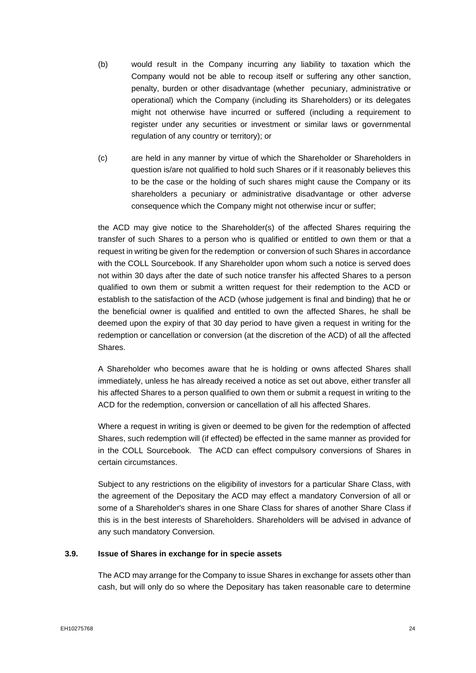- (b) would result in the Company incurring any liability to taxation which the Company would not be able to recoup itself or suffering any other sanction, penalty, burden or other disadvantage (whether pecuniary, administrative or operational) which the Company (including its Shareholders) or its delegates might not otherwise have incurred or suffered (including a requirement to register under any securities or investment or similar laws or governmental regulation of any country or territory); or
- (c) are held in any manner by virtue of which the Shareholder or Shareholders in question is/are not qualified to hold such Shares or if it reasonably believes this to be the case or the holding of such shares might cause the Company or its shareholders a pecuniary or administrative disadvantage or other adverse consequence which the Company might not otherwise incur or suffer;

the ACD may give notice to the Shareholder(s) of the affected Shares requiring the transfer of such Shares to a person who is qualified or entitled to own them or that a request in writing be given for the redemption or conversion of such Shares in accordance with the COLL Sourcebook. If any Shareholder upon whom such a notice is served does not within 30 days after the date of such notice transfer his affected Shares to a person qualified to own them or submit a written request for their redemption to the ACD or establish to the satisfaction of the ACD (whose judgement is final and binding) that he or the beneficial owner is qualified and entitled to own the affected Shares, he shall be deemed upon the expiry of that 30 day period to have given a request in writing for the redemption or cancellation or conversion (at the discretion of the ACD) of all the affected Shares.

A Shareholder who becomes aware that he is holding or owns affected Shares shall immediately, unless he has already received a notice as set out above, either transfer all his affected Shares to a person qualified to own them or submit a request in writing to the ACD for the redemption, conversion or cancellation of all his affected Shares.

Where a request in writing is given or deemed to be given for the redemption of affected Shares, such redemption will (if effected) be effected in the same manner as provided for in the COLL Sourcebook. The ACD can effect compulsory conversions of Shares in certain circumstances.

Subject to any restrictions on the eligibility of investors for a particular Share Class, with the agreement of the Depositary the ACD may effect a mandatory Conversion of all or some of a Shareholder's shares in one Share Class for shares of another Share Class if this is in the best interests of Shareholders. Shareholders will be advised in advance of any such mandatory Conversion.

# **3.9. Issue of Shares in exchange for in specie assets**

The ACD may arrange for the Company to issue Shares in exchange for assets other than cash, but will only do so where the Depositary has taken reasonable care to determine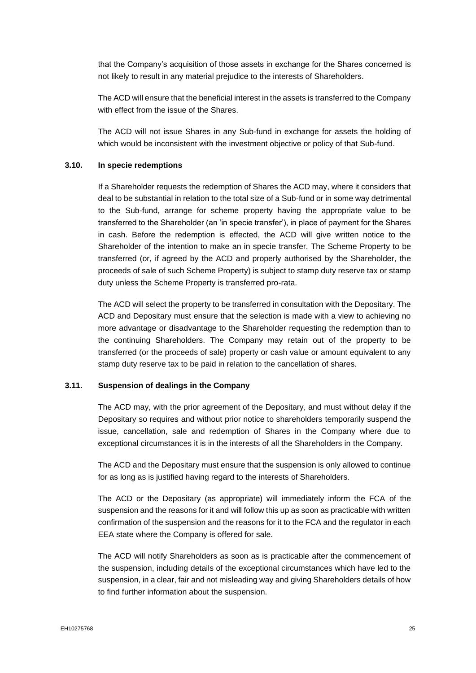that the Company's acquisition of those assets in exchange for the Shares concerned is not likely to result in any material prejudice to the interests of Shareholders.

The ACD will ensure that the beneficial interest in the assets is transferred to the Company with effect from the issue of the Shares.

The ACD will not issue Shares in any Sub-fund in exchange for assets the holding of which would be inconsistent with the investment objective or policy of that Sub-fund.

# **3.10. In specie redemptions**

If a Shareholder requests the redemption of Shares the ACD may, where it considers that deal to be substantial in relation to the total size of a Sub-fund or in some way detrimental to the Sub-fund, arrange for scheme property having the appropriate value to be transferred to the Shareholder (an 'in specie transfer'), in place of payment for the Shares in cash. Before the redemption is effected, the ACD will give written notice to the Shareholder of the intention to make an in specie transfer. The Scheme Property to be transferred (or, if agreed by the ACD and properly authorised by the Shareholder, the proceeds of sale of such Scheme Property) is subject to stamp duty reserve tax or stamp duty unless the Scheme Property is transferred pro-rata.

The ACD will select the property to be transferred in consultation with the Depositary. The ACD and Depositary must ensure that the selection is made with a view to achieving no more advantage or disadvantage to the Shareholder requesting the redemption than to the continuing Shareholders. The Company may retain out of the property to be transferred (or the proceeds of sale) property or cash value or amount equivalent to any stamp duty reserve tax to be paid in relation to the cancellation of shares.

# **3.11. Suspension of dealings in the Company**

The ACD may, with the prior agreement of the Depositary, and must without delay if the Depositary so requires and without prior notice to shareholders temporarily suspend the issue, cancellation, sale and redemption of Shares in the Company where due to exceptional circumstances it is in the interests of all the Shareholders in the Company.

The ACD and the Depositary must ensure that the suspension is only allowed to continue for as long as is justified having regard to the interests of Shareholders.

The ACD or the Depositary (as appropriate) will immediately inform the FCA of the suspension and the reasons for it and will follow this up as soon as practicable with written confirmation of the suspension and the reasons for it to the FCA and the regulator in each EEA state where the Company is offered for sale.

The ACD will notify Shareholders as soon as is practicable after the commencement of the suspension, including details of the exceptional circumstances which have led to the suspension, in a clear, fair and not misleading way and giving Shareholders details of how to find further information about the suspension.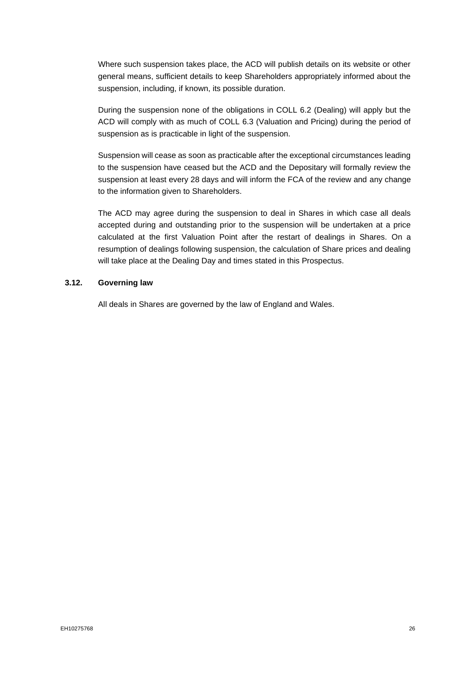Where such suspension takes place, the ACD will publish details on its website or other general means, sufficient details to keep Shareholders appropriately informed about the suspension, including, if known, its possible duration.

During the suspension none of the obligations in COLL 6.2 (Dealing) will apply but the ACD will comply with as much of COLL 6.3 (Valuation and Pricing) during the period of suspension as is practicable in light of the suspension.

Suspension will cease as soon as practicable after the exceptional circumstances leading to the suspension have ceased but the ACD and the Depositary will formally review the suspension at least every 28 days and will inform the FCA of the review and any change to the information given to Shareholders.

The ACD may agree during the suspension to deal in Shares in which case all deals accepted during and outstanding prior to the suspension will be undertaken at a price calculated at the first Valuation Point after the restart of dealings in Shares. On a resumption of dealings following suspension, the calculation of Share prices and dealing will take place at the Dealing Day and times stated in this Prospectus.

### **3.12. Governing law**

All deals in Shares are governed by the law of England and Wales.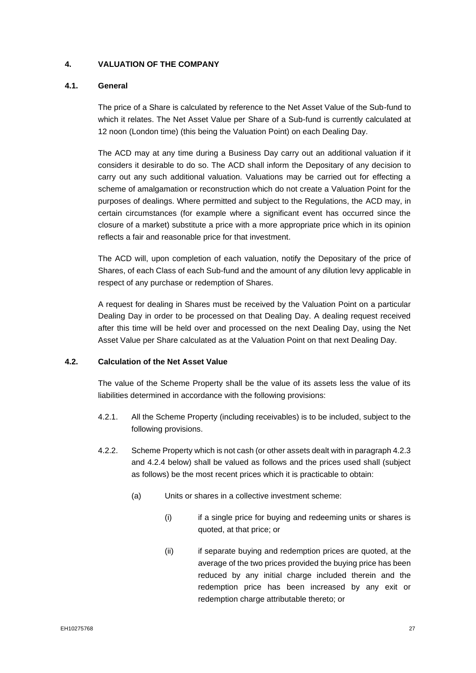# <span id="page-27-0"></span>**4. VALUATION OF THE COMPANY**

# **4.1. General**

The price of a Share is calculated by reference to the Net Asset Value of the Sub-fund to which it relates. The Net Asset Value per Share of a Sub-fund is currently calculated at 12 noon (London time) (this being the Valuation Point) on each Dealing Day.

The ACD may at any time during a Business Day carry out an additional valuation if it considers it desirable to do so. The ACD shall inform the Depositary of any decision to carry out any such additional valuation. Valuations may be carried out for effecting a scheme of amalgamation or reconstruction which do not create a Valuation Point for the purposes of dealings. Where permitted and subject to the Regulations, the ACD may, in certain circumstances (for example where a significant event has occurred since the closure of a market) substitute a price with a more appropriate price which in its opinion reflects a fair and reasonable price for that investment.

The ACD will, upon completion of each valuation, notify the Depositary of the price of Shares, of each Class of each Sub-fund and the amount of any dilution levy applicable in respect of any purchase or redemption of Shares.

A request for dealing in Shares must be received by the Valuation Point on a particular Dealing Day in order to be processed on that Dealing Day. A dealing request received after this time will be held over and processed on the next Dealing Day, using the Net Asset Value per Share calculated as at the Valuation Point on that next Dealing Day.

#### **4.2. Calculation of the Net Asset Value**

The value of the Scheme Property shall be the value of its assets less the value of its liabilities determined in accordance with the following provisions:

- 4.2.1. All the Scheme Property (including receivables) is to be included, subject to the following provisions.
- 4.2.2. Scheme Property which is not cash (or other assets dealt with in paragraph 4.2.3 and 4.2.4 below) shall be valued as follows and the prices used shall (subject as follows) be the most recent prices which it is practicable to obtain:
	- (a) Units or shares in a collective investment scheme:
		- (i) if a single price for buying and redeeming units or shares is quoted, at that price; or
		- (ii) if separate buying and redemption prices are quoted, at the average of the two prices provided the buying price has been reduced by any initial charge included therein and the redemption price has been increased by any exit or redemption charge attributable thereto; or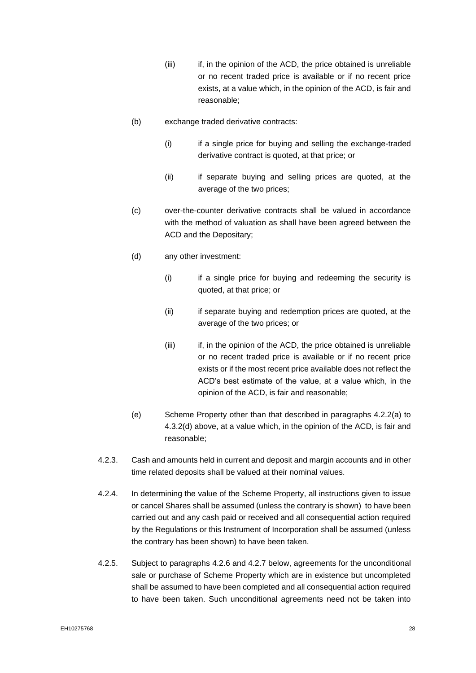- (iii) if, in the opinion of the ACD, the price obtained is unreliable or no recent traded price is available or if no recent price exists, at a value which, in the opinion of the ACD, is fair and reasonable;
- (b) exchange traded derivative contracts:
	- (i) if a single price for buying and selling the exchange-traded derivative contract is quoted, at that price; or
	- (ii) if separate buying and selling prices are quoted, at the average of the two prices;
- (c) over-the-counter derivative contracts shall be valued in accordance with the method of valuation as shall have been agreed between the ACD and the Depositary;
- (d) any other investment:
	- (i) if a single price for buying and redeeming the security is quoted, at that price; or
	- (ii) if separate buying and redemption prices are quoted, at the average of the two prices; or
	- (iii) if, in the opinion of the ACD, the price obtained is unreliable or no recent traded price is available or if no recent price exists or if the most recent price available does not reflect the ACD's best estimate of the value, at a value which, in the opinion of the ACD, is fair and reasonable;
- (e) Scheme Property other than that described in paragraphs 4.2.2(a) to 4.3.2(d) above, at a value which, in the opinion of the ACD, is fair and reasonable;
- 4.2.3. Cash and amounts held in current and deposit and margin accounts and in other time related deposits shall be valued at their nominal values.
- 4.2.4. In determining the value of the Scheme Property, all instructions given to issue or cancel Shares shall be assumed (unless the contrary is shown) to have been carried out and any cash paid or received and all consequential action required by the Regulations or this Instrument of Incorporation shall be assumed (unless the contrary has been shown) to have been taken.
- 4.2.5. Subject to paragraphs 4.2.6 and 4.2.7 below, agreements for the unconditional sale or purchase of Scheme Property which are in existence but uncompleted shall be assumed to have been completed and all consequential action required to have been taken. Such unconditional agreements need not be taken into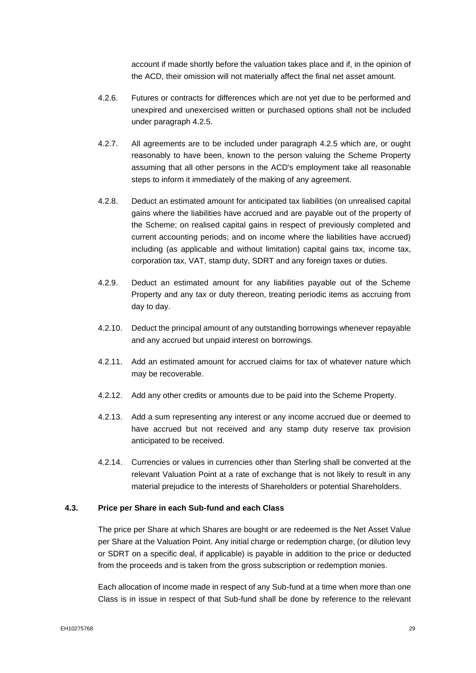account if made shortly before the valuation takes place and if, in the opinion of the ACD, their omission will not materially affect the final net asset amount.

- 4.2.6. Futures or contracts for differences which are not yet due to be performed and unexpired and unexercised written or purchased options shall not be included under paragraph 4.2.5.
- 4.2.7. All agreements are to be included under paragraph 4.2.5 which are, or ought reasonably to have been, known to the person valuing the Scheme Property assuming that all other persons in the ACD's employment take all reasonable steps to inform it immediately of the making of any agreement.
- 4.2.8. Deduct an estimated amount for anticipated tax liabilities (on unrealised capital gains where the liabilities have accrued and are payable out of the property of the Scheme; on realised capital gains in respect of previously completed and current accounting periods; and on income where the liabilities have accrued) including (as applicable and without limitation) capital gains tax, income tax, corporation tax, VAT, stamp duty, SDRT and any foreign taxes or duties.
- 4.2.9. Deduct an estimated amount for any liabilities payable out of the Scheme Property and any tax or duty thereon, treating periodic items as accruing from day to day.
- 4.2.10. Deduct the principal amount of any outstanding borrowings whenever repayable and any accrued but unpaid interest on borrowings.
- 4.2.11. Add an estimated amount for accrued claims for tax of whatever nature which may be recoverable.
- 4.2.12. Add any other credits or amounts due to be paid into the Scheme Property.
- 4.2.13. Add a sum representing any interest or any income accrued due or deemed to have accrued but not received and any stamp duty reserve tax provision anticipated to be received.
- 4.2.14. Currencies or values in currencies other than Sterling shall be converted at the relevant Valuation Point at a rate of exchange that is not likely to result in any material prejudice to the interests of Shareholders or potential Shareholders.

#### **4.3. Price per Share in each Sub-fund and each Class**

The price per Share at which Shares are bought or are redeemed is the Net Asset Value per Share at the Valuation Point. Any initial charge or redemption charge, (or dilution levy or SDRT on a specific deal, if applicable) is payable in addition to the price or deducted from the proceeds and is taken from the gross subscription or redemption monies.

Each allocation of income made in respect of any Sub-fund at a time when more than one Class is in issue in respect of that Sub-fund shall be done by reference to the relevant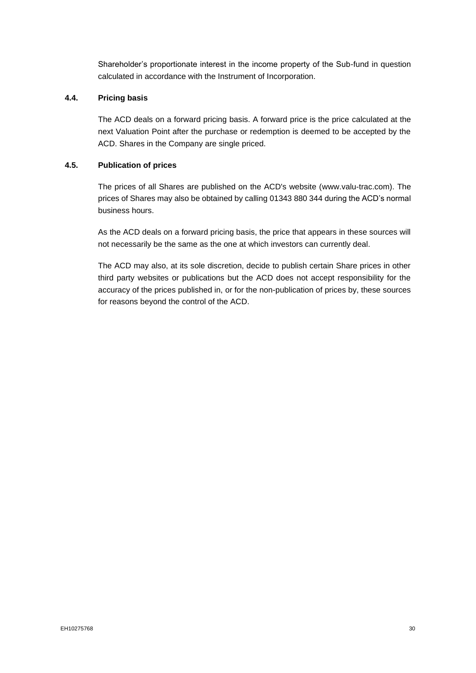Shareholder's proportionate interest in the income property of the Sub-fund in question calculated in accordance with the Instrument of Incorporation.

# **4.4. Pricing basis**

The ACD deals on a forward pricing basis. A forward price is the price calculated at the next Valuation Point after the purchase or redemption is deemed to be accepted by the ACD. Shares in the Company are single priced.

# **4.5. Publication of prices**

The prices of all Shares are published on the ACD's website (www.valu-trac.com). The prices of Shares may also be obtained by calling 01343 880 344 during the ACD's normal business hours.

As the ACD deals on a forward pricing basis, the price that appears in these sources will not necessarily be the same as the one at which investors can currently deal.

The ACD may also, at its sole discretion, decide to publish certain Share prices in other third party websites or publications but the ACD does not accept responsibility for the accuracy of the prices published in, or for the non-publication of prices by, these sources for reasons beyond the control of the ACD.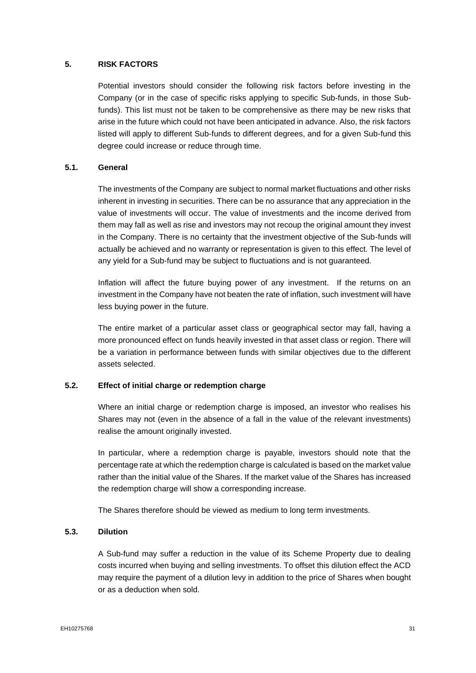# **5. RISK FACTORS**

<span id="page-31-0"></span>Potential investors should consider the following risk factors before investing in the Company (or in the case of specific risks applying to specific Sub-funds, in those Subfunds). This list must not be taken to be comprehensive as there may be new risks that arise in the future which could not have been anticipated in advance. Also, the risk factors listed will apply to different Sub-funds to different degrees, and for a given Sub-fund this degree could increase or reduce through time.

# **5.1. General**

The investments of the Company are subject to normal market fluctuations and other risks inherent in investing in securities. There can be no assurance that any appreciation in the value of investments will occur. The value of investments and the income derived from them may fall as well as rise and investors may not recoup the original amount they invest in the Company. There is no certainty that the investment objective of the Sub-funds will actually be achieved and no warranty or representation is given to this effect. The level of any yield for a Sub-fund may be subject to fluctuations and is not guaranteed.

Inflation will affect the future buying power of any investment. If the returns on an investment in the Company have not beaten the rate of inflation, such investment will have less buying power in the future.

The entire market of a particular asset class or geographical sector may fall, having a more pronounced effect on funds heavily invested in that asset class or region. There will be a variation in performance between funds with similar objectives due to the different assets selected.

# **5.2. Effect of initial charge or redemption charge**

Where an initial charge or redemption charge is imposed, an investor who realises his Shares may not (even in the absence of a fall in the value of the relevant investments) realise the amount originally invested.

In particular, where a redemption charge is payable, investors should note that the percentage rate at which the redemption charge is calculated is based on the market value rather than the initial value of the Shares. If the market value of the Shares has increased the redemption charge will show a corresponding increase.

The Shares therefore should be viewed as medium to long term investments.

#### **5.3. Dilution**

A Sub-fund may suffer a reduction in the value of its Scheme Property due to dealing costs incurred when buying and selling investments. To offset this dilution effect the ACD may require the payment of a dilution levy in addition to the price of Shares when bought or as a deduction when sold.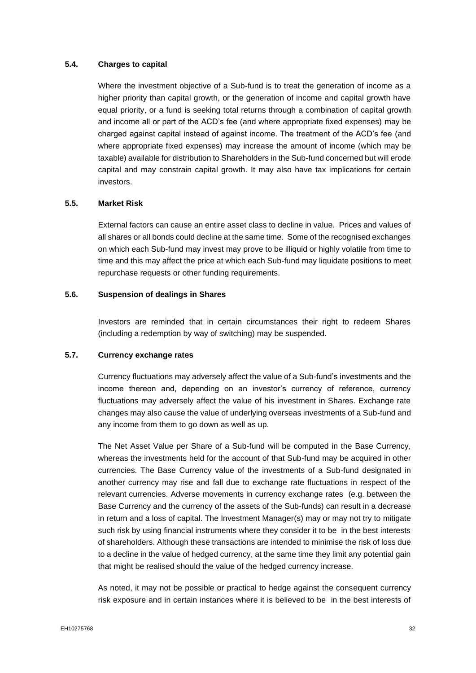### **5.4. Charges to capital**

Where the investment objective of a Sub-fund is to treat the generation of income as a higher priority than capital growth, or the generation of income and capital growth have equal priority, or a fund is seeking total returns through a combination of capital growth and income all or part of the ACD's fee (and where appropriate fixed expenses) may be charged against capital instead of against income. The treatment of the ACD's fee (and where appropriate fixed expenses) may increase the amount of income (which may be taxable) available for distribution to Shareholders in the Sub-fund concerned but will erode capital and may constrain capital growth. It may also have tax implications for certain investors.

### **5.5. Market Risk**

External factors can cause an entire asset class to decline in value. Prices and values of all shares or all bonds could decline at the same time. Some of the recognised exchanges on which each Sub-fund may invest may prove to be illiquid or highly volatile from time to time and this may affect the price at which each Sub-fund may liquidate positions to meet repurchase requests or other funding requirements.

# **5.6. Suspension of dealings in Shares**

Investors are reminded that in certain circumstances their right to redeem Shares (including a redemption by way of switching) may be suspended.

# **5.7. Currency exchange rates**

Currency fluctuations may adversely affect the value of a Sub-fund's investments and the income thereon and, depending on an investor's currency of reference, currency fluctuations may adversely affect the value of his investment in Shares. Exchange rate changes may also cause the value of underlying overseas investments of a Sub-fund and any income from them to go down as well as up.

The Net Asset Value per Share of a Sub-fund will be computed in the Base Currency, whereas the investments held for the account of that Sub-fund may be acquired in other currencies. The Base Currency value of the investments of a Sub-fund designated in another currency may rise and fall due to exchange rate fluctuations in respect of the relevant currencies. Adverse movements in currency exchange rates (e.g. between the Base Currency and the currency of the assets of the Sub-funds) can result in a decrease in return and a loss of capital. The Investment Manager(s) may or may not try to mitigate such risk by using financial instruments where they consider it to be in the best interests of shareholders. Although these transactions are intended to minimise the risk of loss due to a decline in the value of hedged currency, at the same time they limit any potential gain that might be realised should the value of the hedged currency increase.

As noted, it may not be possible or practical to hedge against the consequent currency risk exposure and in certain instances where it is believed to be in the best interests of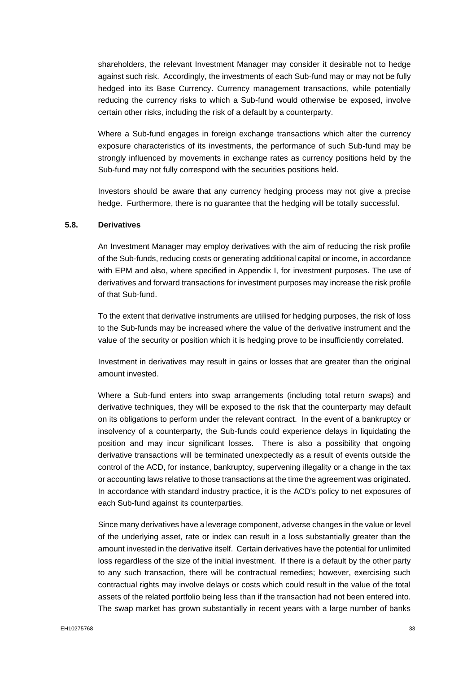shareholders, the relevant Investment Manager may consider it desirable not to hedge against such risk. Accordingly, the investments of each Sub-fund may or may not be fully hedged into its Base Currency. Currency management transactions, while potentially reducing the currency risks to which a Sub-fund would otherwise be exposed, involve certain other risks, including the risk of a default by a counterparty.

Where a Sub-fund engages in foreign exchange transactions which alter the currency exposure characteristics of its investments, the performance of such Sub-fund may be strongly influenced by movements in exchange rates as currency positions held by the Sub-fund may not fully correspond with the securities positions held.

Investors should be aware that any currency hedging process may not give a precise hedge. Furthermore, there is no guarantee that the hedging will be totally successful.

#### **5.8. Derivatives**

An Investment Manager may employ derivatives with the aim of reducing the risk profile of the Sub-funds, reducing costs or generating additional capital or income, in accordance with EPM and also, where specified in Appendix I, for investment purposes. The use of derivatives and forward transactions for investment purposes may increase the risk profile of that Sub-fund.

To the extent that derivative instruments are utilised for hedging purposes, the risk of loss to the Sub-funds may be increased where the value of the derivative instrument and the value of the security or position which it is hedging prove to be insufficiently correlated.

Investment in derivatives may result in gains or losses that are greater than the original amount invested.

Where a Sub-fund enters into swap arrangements (including total return swaps) and derivative techniques, they will be exposed to the risk that the counterparty may default on its obligations to perform under the relevant contract. In the event of a bankruptcy or insolvency of a counterparty, the Sub-funds could experience delays in liquidating the position and may incur significant losses. There is also a possibility that ongoing derivative transactions will be terminated unexpectedly as a result of events outside the control of the ACD, for instance, bankruptcy, supervening illegality or a change in the tax or accounting laws relative to those transactions at the time the agreement was originated. In accordance with standard industry practice, it is the ACD's policy to net exposures of each Sub-fund against its counterparties.

Since many derivatives have a leverage component, adverse changes in the value or level of the underlying asset, rate or index can result in a loss substantially greater than the amount invested in the derivative itself. Certain derivatives have the potential for unlimited loss regardless of the size of the initial investment. If there is a default by the other party to any such transaction, there will be contractual remedies; however, exercising such contractual rights may involve delays or costs which could result in the value of the total assets of the related portfolio being less than if the transaction had not been entered into. The swap market has grown substantially in recent years with a large number of banks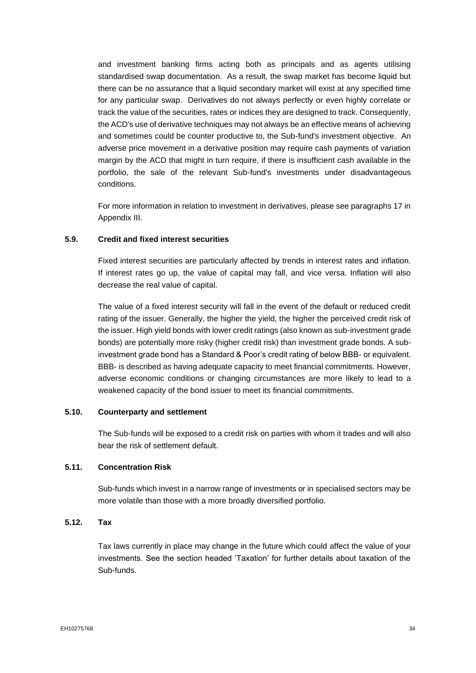and investment banking firms acting both as principals and as agents utilising standardised swap documentation. As a result, the swap market has become liquid but there can be no assurance that a liquid secondary market will exist at any specified time for any particular swap. Derivatives do not always perfectly or even highly correlate or track the value of the securities, rates or indices they are designed to track. Consequently, the ACD's use of derivative techniques may not always be an effective means of achieving and sometimes could be counter productive to, the Sub-fund's investment objective. An adverse price movement in a derivative position may require cash payments of variation margin by the ACD that might in turn require, if there is insufficient cash available in the portfolio, the sale of the relevant Sub-fund's investments under disadvantageous conditions.

For more information in relation to investment in derivatives, please see paragraphs 17 in Appendix III.

# **5.9. Credit and fixed interest securities**

Fixed interest securities are particularly affected by trends in interest rates and inflation. If interest rates go up, the value of capital may fall, and vice versa. Inflation will also decrease the real value of capital.

The value of a fixed interest security will fall in the event of the default or reduced credit rating of the issuer. Generally, the higher the yield, the higher the perceived credit risk of the issuer. High yield bonds with lower credit ratings (also known as sub-investment grade bonds) are potentially more risky (higher credit risk) than investment grade bonds. A subinvestment grade bond has a Standard & Poor's credit rating of below BBB- or equivalent. BBB- is described as having adequate capacity to meet financial commitments. However, adverse economic conditions or changing circumstances are more likely to lead to a weakened capacity of the bond issuer to meet its financial commitments.

### **5.10. Counterparty and settlement**

The Sub-funds will be exposed to a credit risk on parties with whom it trades and will also bear the risk of settlement default.

### **5.11. Concentration Risk**

Sub-funds which invest in a narrow range of investments or in specialised sectors may be more volatile than those with a more broadly diversified portfolio.

## **5.12. Tax**

Tax laws currently in place may change in the future which could affect the value of your investments. See the section headed 'Taxation' for further details about taxation of the Sub-funds.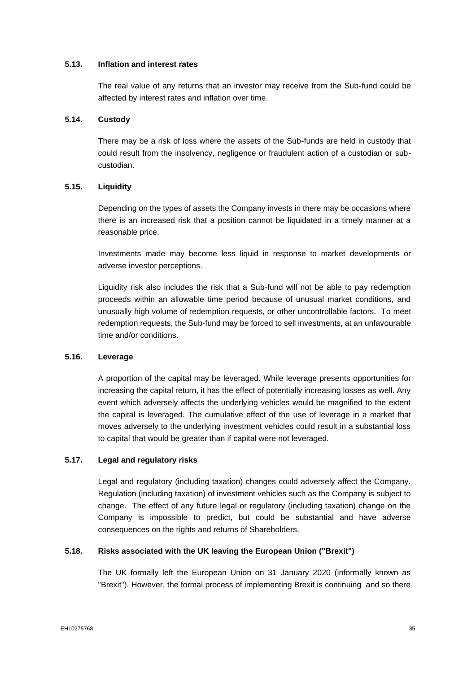### **5.13. Inflation and interest rates**

The real value of any returns that an investor may receive from the Sub-fund could be affected by interest rates and inflation over time.

### **5.14. Custody**

There may be a risk of loss where the assets of the Sub-funds are held in custody that could result from the insolvency, negligence or fraudulent action of a custodian or subcustodian.

### **5.15. Liquidity**

Depending on the types of assets the Company invests in there may be occasions where there is an increased risk that a position cannot be liquidated in a timely manner at a reasonable price.

Investments made may become less liquid in response to market developments or adverse investor perceptions.

Liquidity risk also includes the risk that a Sub-fund will not be able to pay redemption proceeds within an allowable time period because of unusual market conditions, and unusually high volume of redemption requests, or other uncontrollable factors. To meet redemption requests, the Sub-fund may be forced to sell investments, at an unfavourable time and/or conditions.

# **5.16. Leverage**

A proportion of the capital may be leveraged. While leverage presents opportunities for increasing the capital return, it has the effect of potentially increasing losses as well. Any event which adversely affects the underlying vehicles would be magnified to the extent the capital is leveraged. The cumulative effect of the use of leverage in a market that moves adversely to the underlying investment vehicles could result in a substantial loss to capital that would be greater than if capital were not leveraged.

# **5.17. Legal and regulatory risks**

Legal and regulatory (including taxation) changes could adversely affect the Company. Regulation (including taxation) of investment vehicles such as the Company is subject to change. The effect of any future legal or regulatory (including taxation) change on the Company is impossible to predict, but could be substantial and have adverse consequences on the rights and returns of Shareholders.

# **5.18. Risks associated with the UK leaving the European Union ("Brexit")**

The UK formally left the European Union on 31 January 2020 (informally known as "Brexit"). However, the formal process of implementing Brexit is continuing and so there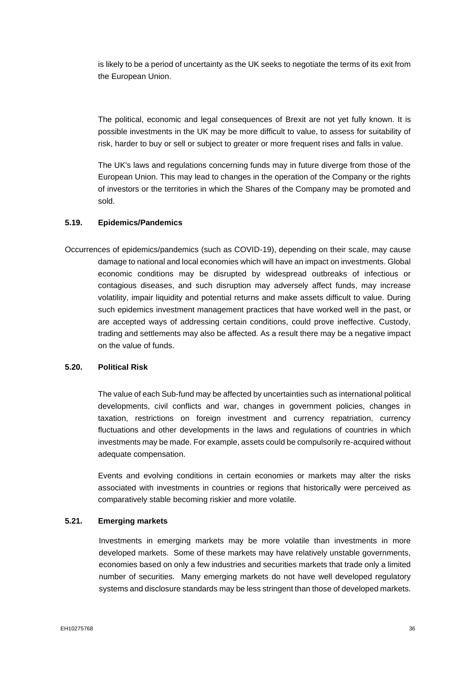is likely to be a period of uncertainty as the UK seeks to negotiate the terms of its exit from the European Union.

The political, economic and legal consequences of Brexit are not yet fully known. It is possible investments in the UK may be more difficult to value, to assess for suitability of risk, harder to buy or sell or subject to greater or more frequent rises and falls in value.

The UK's laws and regulations concerning funds may in future diverge from those of the European Union. This may lead to changes in the operation of the Company or the rights of investors or the territories in which the Shares of the Company may be promoted and sold.

## **5.19. Epidemics/Pandemics**

Occurrences of epidemics/pandemics (such as COVID-19), depending on their scale, may cause damage to national and local economies which will have an impact on investments. Global economic conditions may be disrupted by widespread outbreaks of infectious or contagious diseases, and such disruption may adversely affect funds, may increase volatility, impair liquidity and potential returns and make assets difficult to value. During such epidemics investment management practices that have worked well in the past, or are accepted ways of addressing certain conditions, could prove ineffective. Custody, trading and settlements may also be affected. As a result there may be a negative impact on the value of funds.

## **5.20. Political Risk**

The value of each Sub-fund may be affected by uncertainties such as international political developments, civil conflicts and war, changes in government policies, changes in taxation, restrictions on foreign investment and currency repatriation, currency fluctuations and other developments in the laws and regulations of countries in which investments may be made. For example, assets could be compulsorily re-acquired without adequate compensation.

Events and evolving conditions in certain economies or markets may alter the risks associated with investments in countries or regions that historically were perceived as comparatively stable becoming riskier and more volatile.

## **5.21. Emerging markets**

Investments in emerging markets may be more volatile than investments in more developed markets. Some of these markets may have relatively unstable governments, economies based on only a few industries and securities markets that trade only a limited number of securities. Many emerging markets do not have well developed regulatory systems and disclosure standards may be less stringent than those of developed markets.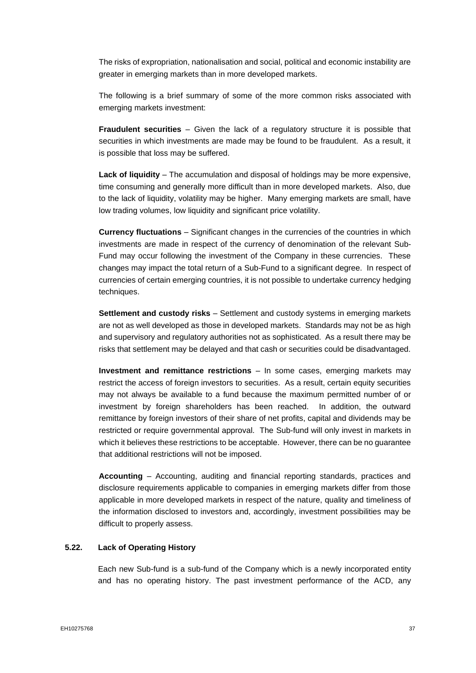The risks of expropriation, nationalisation and social, political and economic instability are greater in emerging markets than in more developed markets.

The following is a brief summary of some of the more common risks associated with emerging markets investment:

**Fraudulent securities** – Given the lack of a regulatory structure it is possible that securities in which investments are made may be found to be fraudulent. As a result, it is possible that loss may be suffered.

**Lack of liquidity** – The accumulation and disposal of holdings may be more expensive, time consuming and generally more difficult than in more developed markets. Also, due to the lack of liquidity, volatility may be higher. Many emerging markets are small, have low trading volumes, low liquidity and significant price volatility.

**Currency fluctuations** – Significant changes in the currencies of the countries in which investments are made in respect of the currency of denomination of the relevant Sub-Fund may occur following the investment of the Company in these currencies. These changes may impact the total return of a Sub-Fund to a significant degree. In respect of currencies of certain emerging countries, it is not possible to undertake currency hedging techniques.

**Settlement and custody risks** – Settlement and custody systems in emerging markets are not as well developed as those in developed markets. Standards may not be as high and supervisory and regulatory authorities not as sophisticated. As a result there may be risks that settlement may be delayed and that cash or securities could be disadvantaged.

**Investment and remittance restrictions** – In some cases, emerging markets may restrict the access of foreign investors to securities. As a result, certain equity securities may not always be available to a fund because the maximum permitted number of or investment by foreign shareholders has been reached. In addition, the outward remittance by foreign investors of their share of net profits, capital and dividends may be restricted or require governmental approval. The Sub-fund will only invest in markets in which it believes these restrictions to be acceptable. However, there can be no guarantee that additional restrictions will not be imposed.

**Accounting** – Accounting, auditing and financial reporting standards, practices and disclosure requirements applicable to companies in emerging markets differ from those applicable in more developed markets in respect of the nature, quality and timeliness of the information disclosed to investors and, accordingly, investment possibilities may be difficult to properly assess.

### **5.22. Lack of Operating History**

Each new Sub-fund is a sub-fund of the Company which is a newly incorporated entity and has no operating history. The past investment performance of the ACD, any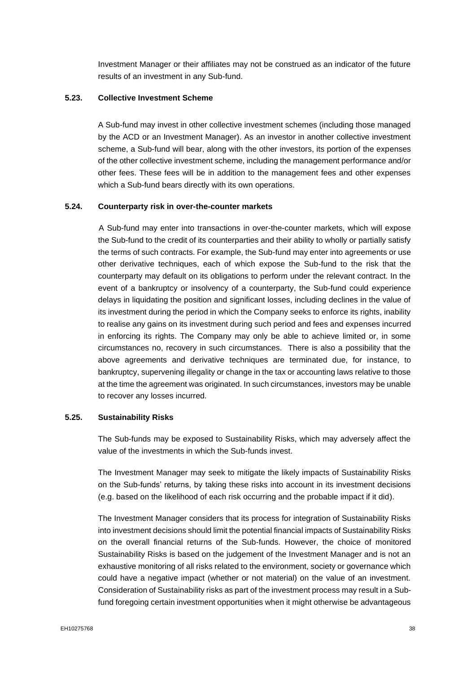Investment Manager or their affiliates may not be construed as an indicator of the future results of an investment in any Sub-fund.

## **5.23. Collective Investment Scheme**

A Sub-fund may invest in other collective investment schemes (including those managed by the ACD or an Investment Manager). As an investor in another collective investment scheme, a Sub-fund will bear, along with the other investors, its portion of the expenses of the other collective investment scheme, including the management performance and/or other fees. These fees will be in addition to the management fees and other expenses which a Sub-fund bears directly with its own operations.

## **5.24. Counterparty risk in over-the-counter markets**

A Sub-fund may enter into transactions in over-the-counter markets, which will expose the Sub-fund to the credit of its counterparties and their ability to wholly or partially satisfy the terms of such contracts. For example, the Sub-fund may enter into agreements or use other derivative techniques, each of which expose the Sub-fund to the risk that the counterparty may default on its obligations to perform under the relevant contract. In the event of a bankruptcy or insolvency of a counterparty, the Sub-fund could experience delays in liquidating the position and significant losses, including declines in the value of its investment during the period in which the Company seeks to enforce its rights, inability to realise any gains on its investment during such period and fees and expenses incurred in enforcing its rights. The Company may only be able to achieve limited or, in some circumstances no, recovery in such circumstances. There is also a possibility that the above agreements and derivative techniques are terminated due, for instance, to bankruptcy, supervening illegality or change in the tax or accounting laws relative to those at the time the agreement was originated. In such circumstances, investors may be unable to recover any losses incurred.

#### **5.25. Sustainability Risks**

The Sub-funds may be exposed to Sustainability Risks, which may adversely affect the value of the investments in which the Sub-funds invest.

The Investment Manager may seek to mitigate the likely impacts of Sustainability Risks on the Sub-funds' returns, by taking these risks into account in its investment decisions (e.g. based on the likelihood of each risk occurring and the probable impact if it did).

The Investment Manager considers that its process for integration of Sustainability Risks into investment decisions should limit the potential financial impacts of Sustainability Risks on the overall financial returns of the Sub-funds. However, the choice of monitored Sustainability Risks is based on the judgement of the Investment Manager and is not an exhaustive monitoring of all risks related to the environment, society or governance which could have a negative impact (whether or not material) on the value of an investment. Consideration of Sustainability risks as part of the investment process may result in a Subfund foregoing certain investment opportunities when it might otherwise be advantageous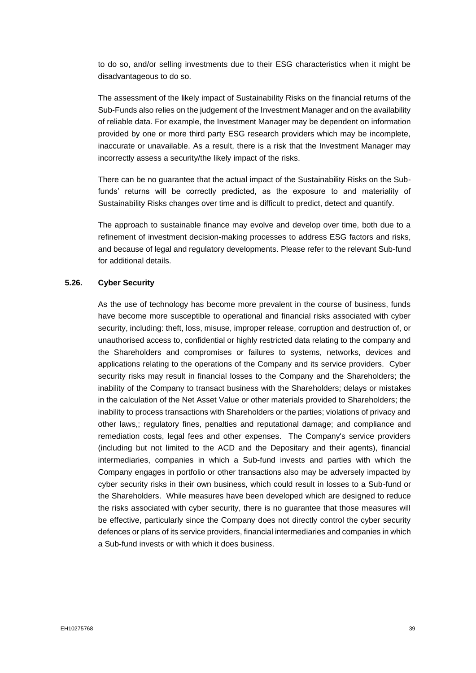to do so, and/or selling investments due to their ESG characteristics when it might be disadvantageous to do so.

The assessment of the likely impact of Sustainability Risks on the financial returns of the Sub-Funds also relies on the judgement of the Investment Manager and on the availability of reliable data. For example, the Investment Manager may be dependent on information provided by one or more third party ESG research providers which may be incomplete, inaccurate or unavailable. As a result, there is a risk that the Investment Manager may incorrectly assess a security/the likely impact of the risks.

There can be no guarantee that the actual impact of the Sustainability Risks on the Subfunds' returns will be correctly predicted, as the exposure to and materiality of Sustainability Risks changes over time and is difficult to predict, detect and quantify.

The approach to sustainable finance may evolve and develop over time, both due to a refinement of investment decision-making processes to address ESG factors and risks, and because of legal and regulatory developments. Please refer to the relevant Sub-fund for additional details.

#### **5.26. Cyber Security**

As the use of technology has become more prevalent in the course of business, funds have become more susceptible to operational and financial risks associated with cyber security, including: theft, loss, misuse, improper release, corruption and destruction of, or unauthorised access to, confidential or highly restricted data relating to the company and the Shareholders and compromises or failures to systems, networks, devices and applications relating to the operations of the Company and its service providers. Cyber security risks may result in financial losses to the Company and the Shareholders; the inability of the Company to transact business with the Shareholders; delays or mistakes in the calculation of the Net Asset Value or other materials provided to Shareholders; the inability to process transactions with Shareholders or the parties; violations of privacy and other laws,; regulatory fines, penalties and reputational damage; and compliance and remediation costs, legal fees and other expenses. The Company's service providers (including but not limited to the ACD and the Depositary and their agents), financial intermediaries, companies in which a Sub-fund invests and parties with which the Company engages in portfolio or other transactions also may be adversely impacted by cyber security risks in their own business, which could result in losses to a Sub-fund or the Shareholders. While measures have been developed which are designed to reduce the risks associated with cyber security, there is no guarantee that those measures will be effective, particularly since the Company does not directly control the cyber security defences or plans of its service providers, financial intermediaries and companies in which a Sub-fund invests or with which it does business.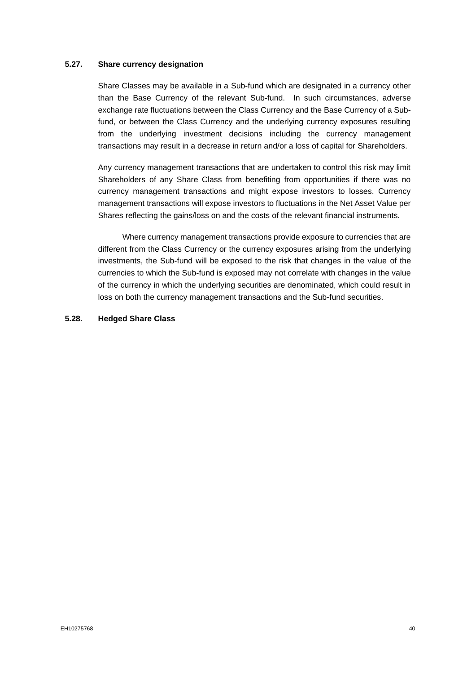### **5.27. Share currency designation**

Share Classes may be available in a Sub-fund which are designated in a currency other than the Base Currency of the relevant Sub-fund. In such circumstances, adverse exchange rate fluctuations between the Class Currency and the Base Currency of a Subfund, or between the Class Currency and the underlying currency exposures resulting from the underlying investment decisions including the currency management transactions may result in a decrease in return and/or a loss of capital for Shareholders.

Any currency management transactions that are undertaken to control this risk may limit Shareholders of any Share Class from benefiting from opportunities if there was no currency management transactions and might expose investors to losses. Currency management transactions will expose investors to fluctuations in the Net Asset Value per Shares reflecting the gains/loss on and the costs of the relevant financial instruments.

Where currency management transactions provide exposure to currencies that are different from the Class Currency or the currency exposures arising from the underlying investments, the Sub-fund will be exposed to the risk that changes in the value of the currencies to which the Sub-fund is exposed may not correlate with changes in the value of the currency in which the underlying securities are denominated, which could result in loss on both the currency management transactions and the Sub-fund securities.

#### **5.28. Hedged Share Class**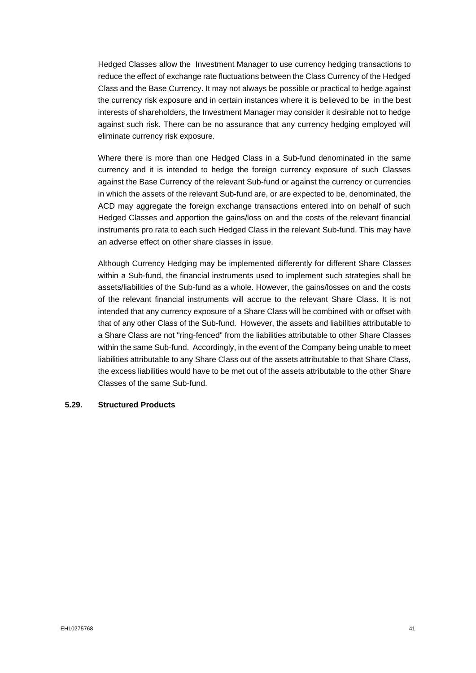Hedged Classes allow the Investment Manager to use currency hedging transactions to reduce the effect of exchange rate fluctuations between the Class Currency of the Hedged Class and the Base Currency. It may not always be possible or practical to hedge against the currency risk exposure and in certain instances where it is believed to be in the best interests of shareholders, the Investment Manager may consider it desirable not to hedge against such risk. There can be no assurance that any currency hedging employed will eliminate currency risk exposure.

Where there is more than one Hedged Class in a Sub-fund denominated in the same currency and it is intended to hedge the foreign currency exposure of such Classes against the Base Currency of the relevant Sub-fund or against the currency or currencies in which the assets of the relevant Sub-fund are, or are expected to be, denominated, the ACD may aggregate the foreign exchange transactions entered into on behalf of such Hedged Classes and apportion the gains/loss on and the costs of the relevant financial instruments pro rata to each such Hedged Class in the relevant Sub-fund. This may have an adverse effect on other share classes in issue.

Although Currency Hedging may be implemented differently for different Share Classes within a Sub-fund, the financial instruments used to implement such strategies shall be assets/liabilities of the Sub-fund as a whole. However, the gains/losses on and the costs of the relevant financial instruments will accrue to the relevant Share Class. It is not intended that any currency exposure of a Share Class will be combined with or offset with that of any other Class of the Sub-fund. However, the assets and liabilities attributable to a Share Class are not "ring-fenced" from the liabilities attributable to other Share Classes within the same Sub-fund. Accordingly, in the event of the Company being unable to meet liabilities attributable to any Share Class out of the assets attributable to that Share Class, the excess liabilities would have to be met out of the assets attributable to the other Share Classes of the same Sub-fund.

## **5.29. Structured Products**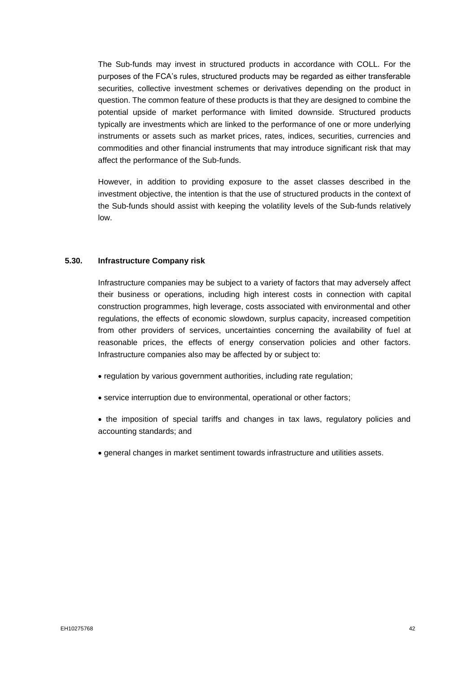The Sub-funds may invest in structured products in accordance with COLL. For the purposes of the FCA's rules, structured products may be regarded as either transferable securities, collective investment schemes or derivatives depending on the product in question. The common feature of these products is that they are designed to combine the potential upside of market performance with limited downside. Structured products typically are investments which are linked to the performance of one or more underlying instruments or assets such as market prices, rates, indices, securities, currencies and commodities and other financial instruments that may introduce significant risk that may affect the performance of the Sub-funds.

However, in addition to providing exposure to the asset classes described in the investment objective, the intention is that the use of structured products in the context of the Sub-funds should assist with keeping the volatility levels of the Sub-funds relatively low.

#### **5.30. Infrastructure Company risk**

Infrastructure companies may be subject to a variety of factors that may adversely affect their business or operations, including high interest costs in connection with capital construction programmes, high leverage, costs associated with environmental and other regulations, the effects of economic slowdown, surplus capacity, increased competition from other providers of services, uncertainties concerning the availability of fuel at reasonable prices, the effects of energy conservation policies and other factors. Infrastructure companies also may be affected by or subject to:

- regulation by various government authorities, including rate regulation;
- service interruption due to environmental, operational or other factors;
- the imposition of special tariffs and changes in tax laws, regulatory policies and accounting standards; and
- general changes in market sentiment towards infrastructure and utilities assets.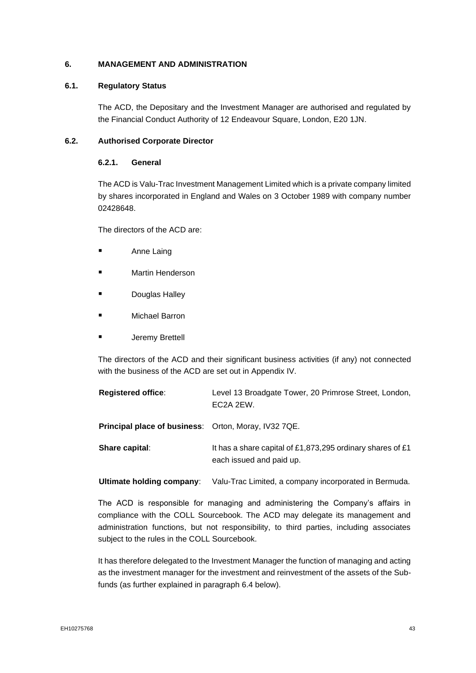## **6. MANAGEMENT AND ADMINISTRATION**

### **6.1. Regulatory Status**

The ACD, the Depositary and the Investment Manager are authorised and regulated by the Financial Conduct Authority of 12 Endeavour Square, London, E20 1JN.

## **6.2. Authorised Corporate Director**

## **6.2.1. General**

The ACD is Valu-Trac Investment Management Limited which is a private company limited by shares incorporated in England and Wales on 3 October 1989 with company number 02428648.

The directors of the ACD are:

- Anne Laing
- **Martin Henderson**
- **Douglas Halley**
- **Michael Barron**
- **Jeremy Brettell**

The directors of the ACD and their significant business activities (if any) not connected with the business of the ACD are set out in Appendix IV.

| <b>Registered office:</b>                                   | Level 13 Broadgate Tower, 20 Primrose Street, London,<br>EC2A 2EW.                     |
|-------------------------------------------------------------|----------------------------------------------------------------------------------------|
| <b>Principal place of business:</b> Orton, Moray, IV32 7QE. |                                                                                        |
| Share capital:                                              | It has a share capital of £1,873,295 ordinary shares of £1<br>each issued and paid up. |

**Ultimate holding company**: Valu-Trac Limited, a company incorporated in Bermuda.

The ACD is responsible for managing and administering the Company's affairs in compliance with the COLL Sourcebook. The ACD may delegate its management and administration functions, but not responsibility, to third parties, including associates subject to the rules in the COLL Sourcebook.

It has therefore delegated to the Investment Manager the function of managing and acting as the investment manager for the investment and reinvestment of the assets of the Subfunds (as further explained in paragraph 6.4 below).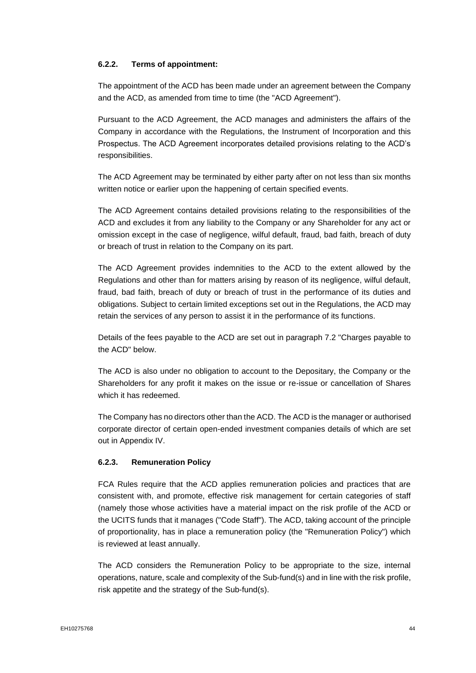## **6.2.2. Terms of appointment:**

The appointment of the ACD has been made under an agreement between the Company and the ACD, as amended from time to time (the "ACD Agreement").

Pursuant to the ACD Agreement, the ACD manages and administers the affairs of the Company in accordance with the Regulations, the Instrument of Incorporation and this Prospectus. The ACD Agreement incorporates detailed provisions relating to the ACD's responsibilities.

The ACD Agreement may be terminated by either party after on not less than six months written notice or earlier upon the happening of certain specified events.

The ACD Agreement contains detailed provisions relating to the responsibilities of the ACD and excludes it from any liability to the Company or any Shareholder for any act or omission except in the case of negligence, wilful default, fraud, bad faith, breach of duty or breach of trust in relation to the Company on its part.

The ACD Agreement provides indemnities to the ACD to the extent allowed by the Regulations and other than for matters arising by reason of its negligence, wilful default, fraud, bad faith, breach of duty or breach of trust in the performance of its duties and obligations. Subject to certain limited exceptions set out in the Regulations, the ACD may retain the services of any person to assist it in the performance of its functions.

Details of the fees payable to the ACD are set out in paragraph 7.2 "Charges payable to the ACD" below.

The ACD is also under no obligation to account to the Depositary, the Company or the Shareholders for any profit it makes on the issue or re-issue or cancellation of Shares which it has redeemed.

The Company has no directors other than the ACD. The ACD is the manager or authorised corporate director of certain open-ended investment companies details of which are set out in Appendix IV.

#### **6.2.3. Remuneration Policy**

FCA Rules require that the ACD applies remuneration policies and practices that are consistent with, and promote, effective risk management for certain categories of staff (namely those whose activities have a material impact on the risk profile of the ACD or the UCITS funds that it manages ("Code Staff"). The ACD, taking account of the principle of proportionality, has in place a remuneration policy (the "Remuneration Policy") which is reviewed at least annually.

The ACD considers the Remuneration Policy to be appropriate to the size, internal operations, nature, scale and complexity of the Sub-fund(s) and in line with the risk profile, risk appetite and the strategy of the Sub-fund(s).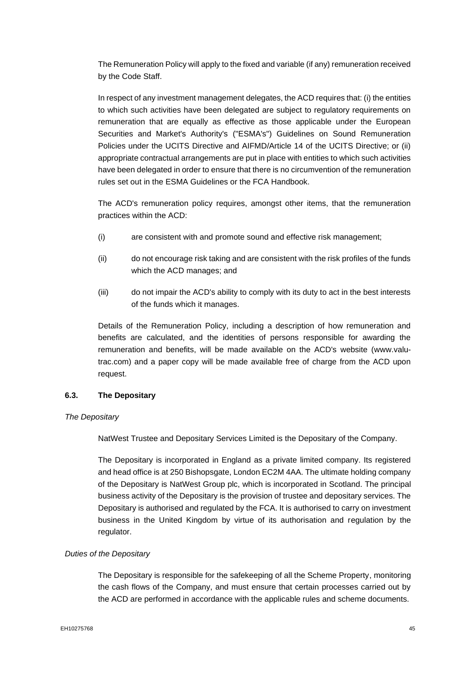The Remuneration Policy will apply to the fixed and variable (if any) remuneration received by the Code Staff.

In respect of any investment management delegates, the ACD requires that: (i) the entities to which such activities have been delegated are subject to regulatory requirements on remuneration that are equally as effective as those applicable under the European Securities and Market's Authority's ("ESMA's") Guidelines on Sound Remuneration Policies under the UCITS Directive and AIFMD/Article 14 of the UCITS Directive; or (ii) appropriate contractual arrangements are put in place with entities to which such activities have been delegated in order to ensure that there is no circumvention of the remuneration rules set out in the ESMA Guidelines or the FCA Handbook.

The ACD's remuneration policy requires, amongst other items, that the remuneration practices within the ACD:

- (i) are consistent with and promote sound and effective risk management;
- (ii) do not encourage risk taking and are consistent with the risk profiles of the funds which the ACD manages; and
- (iii) do not impair the ACD's ability to comply with its duty to act in the best interests of the funds which it manages.

Details of the Remuneration Policy, including a description of how remuneration and benefits are calculated, and the identities of persons responsible for awarding the remuneration and benefits, will be made available on the ACD's website (www.valutrac.com) and a paper copy will be made available free of charge from the ACD upon request.

#### **6.3. The Depositary**

#### *The Depositary*

NatWest Trustee and Depositary Services Limited is the Depositary of the Company.

The Depositary is incorporated in England as a private limited company. Its registered and head office is at 250 Bishopsgate, London EC2M 4AA. The ultimate holding company of the Depositary is NatWest Group plc, which is incorporated in Scotland. The principal business activity of the Depositary is the provision of trustee and depositary services. The Depositary is authorised and regulated by the FCA. It is authorised to carry on investment business in the United Kingdom by virtue of its authorisation and regulation by the regulator.

#### *Duties of the Depositary*

The Depositary is responsible for the safekeeping of all the Scheme Property, monitoring the cash flows of the Company, and must ensure that certain processes carried out by the ACD are performed in accordance with the applicable rules and scheme documents.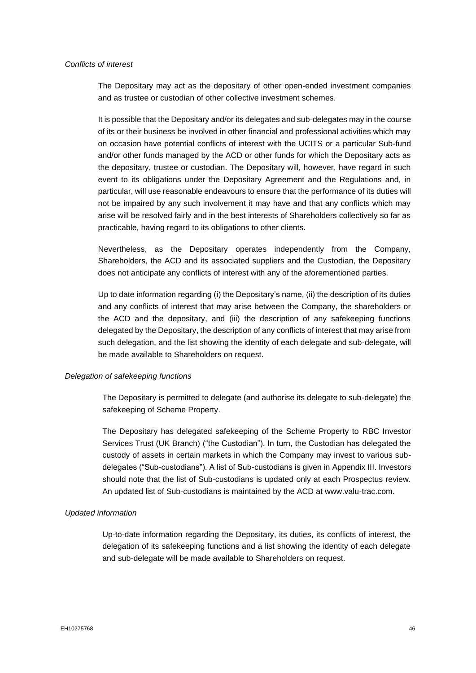#### *Conflicts of interest*

The Depositary may act as the depositary of other open-ended investment companies and as trustee or custodian of other collective investment schemes.

It is possible that the Depositary and/or its delegates and sub-delegates may in the course of its or their business be involved in other financial and professional activities which may on occasion have potential conflicts of interest with the UCITS or a particular Sub-fund and/or other funds managed by the ACD or other funds for which the Depositary acts as the depositary, trustee or custodian. The Depositary will, however, have regard in such event to its obligations under the Depositary Agreement and the Regulations and, in particular, will use reasonable endeavours to ensure that the performance of its duties will not be impaired by any such involvement it may have and that any conflicts which may arise will be resolved fairly and in the best interests of Shareholders collectively so far as practicable, having regard to its obligations to other clients.

Nevertheless, as the Depositary operates independently from the Company, Shareholders, the ACD and its associated suppliers and the Custodian, the Depositary does not anticipate any conflicts of interest with any of the aforementioned parties.

Up to date information regarding (i) the Depositary's name, (ii) the description of its duties and any conflicts of interest that may arise between the Company, the shareholders or the ACD and the depositary, and (iii) the description of any safekeeping functions delegated by the Depositary, the description of any conflicts of interest that may arise from such delegation, and the list showing the identity of each delegate and sub-delegate, will be made available to Shareholders on request.

#### *Delegation of safekeeping functions*

The Depositary is permitted to delegate (and authorise its delegate to sub-delegate) the safekeeping of Scheme Property.

The Depositary has delegated safekeeping of the Scheme Property to RBC Investor Services Trust (UK Branch) ("the Custodian"). In turn, the Custodian has delegated the custody of assets in certain markets in which the Company may invest to various subdelegates ("Sub-custodians"). A list of Sub-custodians is given in Appendix III. Investors should note that the list of Sub-custodians is updated only at each Prospectus review. An updated list of Sub-custodians is maintained by the ACD at www.valu-trac.com.

## *Updated information*

Up-to-date information regarding the Depositary, its duties, its conflicts of interest, the delegation of its safekeeping functions and a list showing the identity of each delegate and sub-delegate will be made available to Shareholders on request.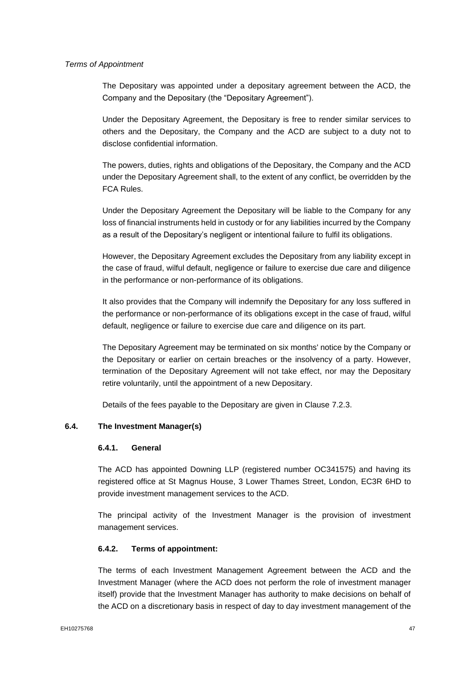## *Terms of Appointment*

The Depositary was appointed under a depositary agreement between the ACD, the Company and the Depositary (the "Depositary Agreement").

Under the Depositary Agreement, the Depositary is free to render similar services to others and the Depositary, the Company and the ACD are subject to a duty not to disclose confidential information.

The powers, duties, rights and obligations of the Depositary, the Company and the ACD under the Depositary Agreement shall, to the extent of any conflict, be overridden by the FCA Rules.

Under the Depositary Agreement the Depositary will be liable to the Company for any loss of financial instruments held in custody or for any liabilities incurred by the Company as a result of the Depositary's negligent or intentional failure to fulfil its obligations.

However, the Depositary Agreement excludes the Depositary from any liability except in the case of fraud, wilful default, negligence or failure to exercise due care and diligence in the performance or non-performance of its obligations.

It also provides that the Company will indemnify the Depositary for any loss suffered in the performance or non-performance of its obligations except in the case of fraud, wilful default, negligence or failure to exercise due care and diligence on its part.

The Depositary Agreement may be terminated on six months' notice by the Company or the Depositary or earlier on certain breaches or the insolvency of a party. However, termination of the Depositary Agreement will not take effect, nor may the Depositary retire voluntarily, until the appointment of a new Depositary.

Details of the fees payable to the Depositary are given in Clause 7.2.3.

## **6.4. The Investment Manager(s)**

#### **6.4.1. General**

The ACD has appointed Downing LLP (registered number OC341575) and having its registered office at St Magnus House, 3 Lower Thames Street, London, EC3R 6HD to provide investment management services to the ACD.

The principal activity of the Investment Manager is the provision of investment management services.

### **6.4.2. Terms of appointment:**

The terms of each Investment Management Agreement between the ACD and the Investment Manager (where the ACD does not perform the role of investment manager itself) provide that the Investment Manager has authority to make decisions on behalf of the ACD on a discretionary basis in respect of day to day investment management of the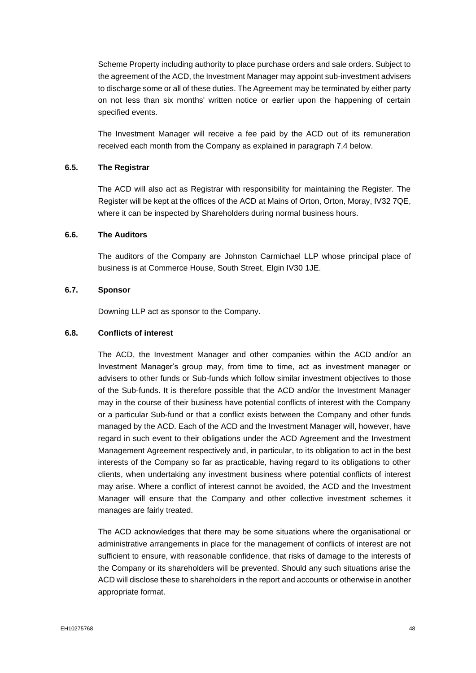Scheme Property including authority to place purchase orders and sale orders. Subject to the agreement of the ACD, the Investment Manager may appoint sub-investment advisers to discharge some or all of these duties. The Agreement may be terminated by either party on not less than six months' written notice or earlier upon the happening of certain specified events.

The Investment Manager will receive a fee paid by the ACD out of its remuneration received each month from the Company as explained in paragraph 7.4 below.

### **6.5. The Registrar**

The ACD will also act as Registrar with responsibility for maintaining the Register. The Register will be kept at the offices of the ACD at Mains of Orton, Orton, Moray, IV32 7QE, where it can be inspected by Shareholders during normal business hours.

## **6.6. The Auditors**

The auditors of the Company are Johnston Carmichael LLP whose principal place of business is at Commerce House, South Street, Elgin IV30 1JE.

#### **6.7. Sponsor**

Downing LLP act as sponsor to the Company.

## **6.8. Conflicts of interest**

The ACD, the Investment Manager and other companies within the ACD and/or an Investment Manager's group may, from time to time, act as investment manager or advisers to other funds or Sub-funds which follow similar investment objectives to those of the Sub-funds. It is therefore possible that the ACD and/or the Investment Manager may in the course of their business have potential conflicts of interest with the Company or a particular Sub-fund or that a conflict exists between the Company and other funds managed by the ACD. Each of the ACD and the Investment Manager will, however, have regard in such event to their obligations under the ACD Agreement and the Investment Management Agreement respectively and, in particular, to its obligation to act in the best interests of the Company so far as practicable, having regard to its obligations to other clients, when undertaking any investment business where potential conflicts of interest may arise. Where a conflict of interest cannot be avoided, the ACD and the Investment Manager will ensure that the Company and other collective investment schemes it manages are fairly treated.

The ACD acknowledges that there may be some situations where the organisational or administrative arrangements in place for the management of conflicts of interest are not sufficient to ensure, with reasonable confidence, that risks of damage to the interests of the Company or its shareholders will be prevented. Should any such situations arise the ACD will disclose these to shareholders in the report and accounts or otherwise in another appropriate format.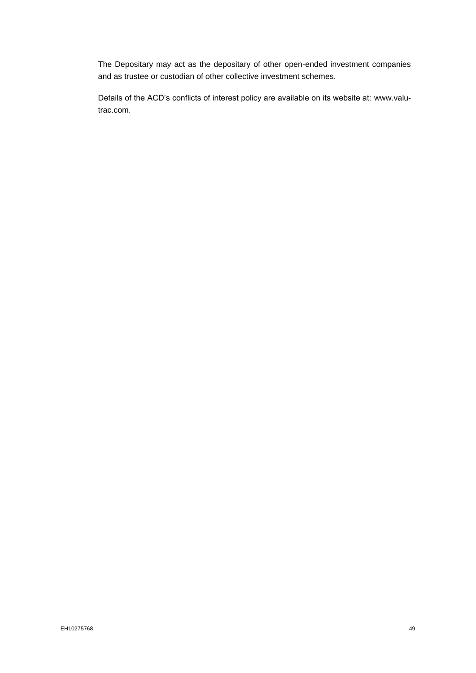The Depositary may act as the depositary of other open-ended investment companies and as trustee or custodian of other collective investment schemes.

Details of the ACD's conflicts of interest policy are available on its website at: www.valutrac.com.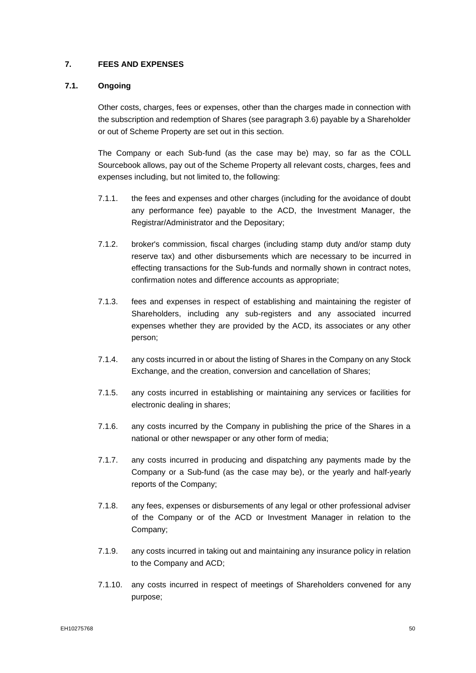## **7. FEES AND EXPENSES**

## **7.1. Ongoing**

Other costs, charges, fees or expenses, other than the charges made in connection with the subscription and redemption of Shares (see paragraph 3.6) payable by a Shareholder or out of Scheme Property are set out in this section.

The Company or each Sub-fund (as the case may be) may, so far as the COLL Sourcebook allows, pay out of the Scheme Property all relevant costs, charges, fees and expenses including, but not limited to, the following:

- 7.1.1. the fees and expenses and other charges (including for the avoidance of doubt any performance fee) payable to the ACD, the Investment Manager, the Registrar/Administrator and the Depositary;
- 7.1.2. broker's commission, fiscal charges (including stamp duty and/or stamp duty reserve tax) and other disbursements which are necessary to be incurred in effecting transactions for the Sub-funds and normally shown in contract notes, confirmation notes and difference accounts as appropriate;
- 7.1.3. fees and expenses in respect of establishing and maintaining the register of Shareholders, including any sub-registers and any associated incurred expenses whether they are provided by the ACD, its associates or any other person;
- 7.1.4. any costs incurred in or about the listing of Shares in the Company on any Stock Exchange, and the creation, conversion and cancellation of Shares;
- 7.1.5. any costs incurred in establishing or maintaining any services or facilities for electronic dealing in shares;
- 7.1.6. any costs incurred by the Company in publishing the price of the Shares in a national or other newspaper or any other form of media;
- 7.1.7. any costs incurred in producing and dispatching any payments made by the Company or a Sub-fund (as the case may be), or the yearly and half-yearly reports of the Company;
- 7.1.8. any fees, expenses or disbursements of any legal or other professional adviser of the Company or of the ACD or Investment Manager in relation to the Company;
- 7.1.9. any costs incurred in taking out and maintaining any insurance policy in relation to the Company and ACD;
- 7.1.10. any costs incurred in respect of meetings of Shareholders convened for any purpose;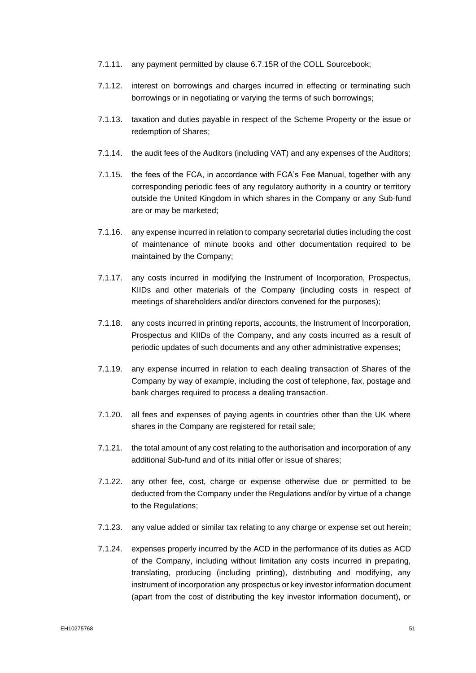- 7.1.11. any payment permitted by clause 6.7.15R of the COLL Sourcebook;
- 7.1.12. interest on borrowings and charges incurred in effecting or terminating such borrowings or in negotiating or varying the terms of such borrowings;
- 7.1.13. taxation and duties payable in respect of the Scheme Property or the issue or redemption of Shares;
- 7.1.14. the audit fees of the Auditors (including VAT) and any expenses of the Auditors;
- 7.1.15. the fees of the FCA, in accordance with FCA's Fee Manual, together with any corresponding periodic fees of any regulatory authority in a country or territory outside the United Kingdom in which shares in the Company or any Sub-fund are or may be marketed;
- 7.1.16. any expense incurred in relation to company secretarial duties including the cost of maintenance of minute books and other documentation required to be maintained by the Company;
- 7.1.17. any costs incurred in modifying the Instrument of Incorporation, Prospectus, KIIDs and other materials of the Company (including costs in respect of meetings of shareholders and/or directors convened for the purposes);
- 7.1.18. any costs incurred in printing reports, accounts, the Instrument of Incorporation, Prospectus and KIIDs of the Company, and any costs incurred as a result of periodic updates of such documents and any other administrative expenses;
- 7.1.19. any expense incurred in relation to each dealing transaction of Shares of the Company by way of example, including the cost of telephone, fax, postage and bank charges required to process a dealing transaction.
- 7.1.20. all fees and expenses of paying agents in countries other than the UK where shares in the Company are registered for retail sale;
- 7.1.21. the total amount of any cost relating to the authorisation and incorporation of any additional Sub-fund and of its initial offer or issue of shares;
- 7.1.22. any other fee, cost, charge or expense otherwise due or permitted to be deducted from the Company under the Regulations and/or by virtue of a change to the Regulations;
- 7.1.23. any value added or similar tax relating to any charge or expense set out herein;
- 7.1.24. expenses properly incurred by the ACD in the performance of its duties as ACD of the Company, including without limitation any costs incurred in preparing, translating, producing (including printing), distributing and modifying, any instrument of incorporation any prospectus or key investor information document (apart from the cost of distributing the key investor information document), or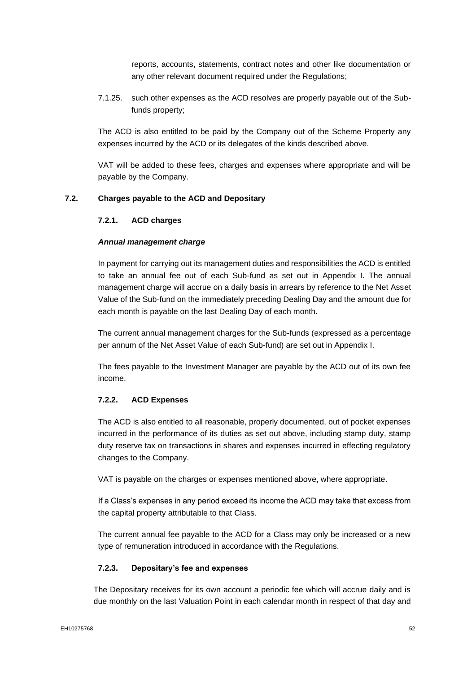reports, accounts, statements, contract notes and other like documentation or any other relevant document required under the Regulations;

7.1.25. such other expenses as the ACD resolves are properly payable out of the Subfunds property;

The ACD is also entitled to be paid by the Company out of the Scheme Property any expenses incurred by the ACD or its delegates of the kinds described above.

VAT will be added to these fees, charges and expenses where appropriate and will be payable by the Company.

## **7.2. Charges payable to the ACD and Depositary**

#### **7.2.1. ACD charges**

#### *Annual management charge*

In payment for carrying out its management duties and responsibilities the ACD is entitled to take an annual fee out of each Sub-fund as set out in Appendix I. The annual management charge will accrue on a daily basis in arrears by reference to the Net Asset Value of the Sub-fund on the immediately preceding Dealing Day and the amount due for each month is payable on the last Dealing Day of each month.

The current annual management charges for the Sub-funds (expressed as a percentage per annum of the Net Asset Value of each Sub-fund) are set out in Appendix I.

The fees payable to the Investment Manager are payable by the ACD out of its own fee income.

## **7.2.2. ACD Expenses**

The ACD is also entitled to all reasonable, properly documented, out of pocket expenses incurred in the performance of its duties as set out above, including stamp duty, stamp duty reserve tax on transactions in shares and expenses incurred in effecting regulatory changes to the Company.

VAT is payable on the charges or expenses mentioned above, where appropriate.

If a Class's expenses in any period exceed its income the ACD may take that excess from the capital property attributable to that Class.

The current annual fee payable to the ACD for a Class may only be increased or a new type of remuneration introduced in accordance with the Regulations.

#### **7.2.3. Depositary's fee and expenses**

The Depositary receives for its own account a periodic fee which will accrue daily and is due monthly on the last Valuation Point in each calendar month in respect of that day and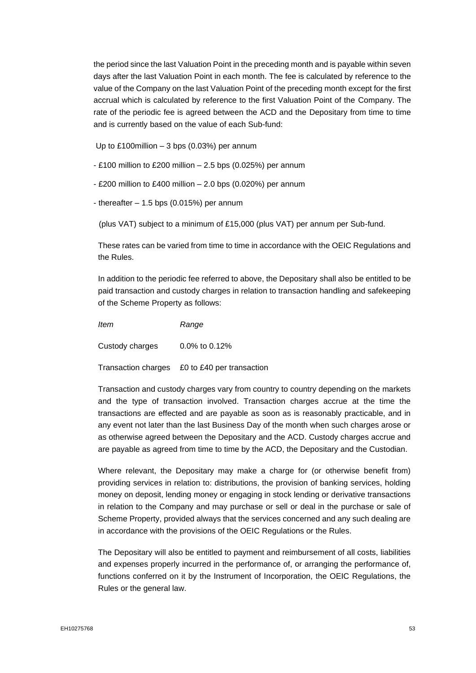the period since the last Valuation Point in the preceding month and is payable within seven days after the last Valuation Point in each month. The fee is calculated by reference to the value of the Company on the last Valuation Point of the preceding month except for the first accrual which is calculated by reference to the first Valuation Point of the Company. The rate of the periodic fee is agreed between the ACD and the Depositary from time to time and is currently based on the value of each Sub-fund:

Up to £100million – 3 bps (0.03%) per annum

- £100 million to £200 million 2.5 bps (0.025%) per annum
- £200 million to £400 million 2.0 bps (0.020%) per annum
- thereafter  $-1.5$  bps (0.015%) per annum

(plus VAT) subject to a minimum of £15,000 (plus VAT) per annum per Sub-fund.

These rates can be varied from time to time in accordance with the OEIC Regulations and the Rules.

In addition to the periodic fee referred to above, the Depositary shall also be entitled to be paid transaction and custody charges in relation to transaction handling and safekeeping of the Scheme Property as follows:

*Item Range*

Custody charges 0.0% to 0.12%

Transaction charges £0 to £40 per transaction

Transaction and custody charges vary from country to country depending on the markets and the type of transaction involved. Transaction charges accrue at the time the transactions are effected and are payable as soon as is reasonably practicable, and in any event not later than the last Business Day of the month when such charges arose or as otherwise agreed between the Depositary and the ACD. Custody charges accrue and are payable as agreed from time to time by the ACD, the Depositary and the Custodian.

Where relevant, the Depositary may make a charge for (or otherwise benefit from) providing services in relation to: distributions, the provision of banking services, holding money on deposit, lending money or engaging in stock lending or derivative transactions in relation to the Company and may purchase or sell or deal in the purchase or sale of Scheme Property, provided always that the services concerned and any such dealing are in accordance with the provisions of the OEIC Regulations or the Rules.

The Depositary will also be entitled to payment and reimbursement of all costs, liabilities and expenses properly incurred in the performance of, or arranging the performance of, functions conferred on it by the Instrument of Incorporation, the OEIC Regulations, the Rules or the general law.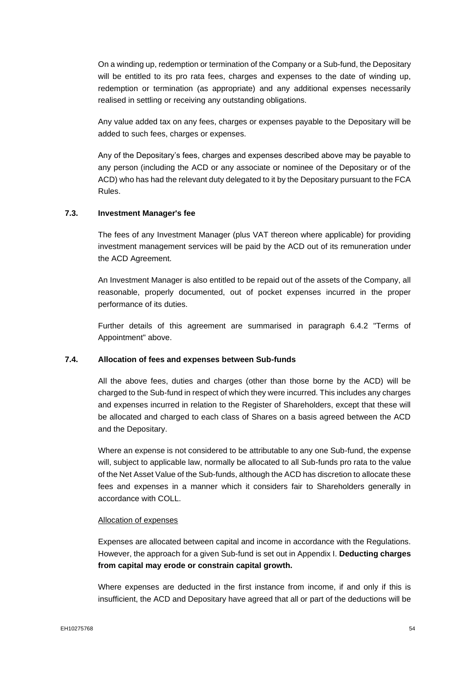On a winding up, redemption or termination of the Company or a Sub-fund, the Depositary will be entitled to its pro rata fees, charges and expenses to the date of winding up, redemption or termination (as appropriate) and any additional expenses necessarily realised in settling or receiving any outstanding obligations.

Any value added tax on any fees, charges or expenses payable to the Depositary will be added to such fees, charges or expenses.

Any of the Depositary's fees, charges and expenses described above may be payable to any person (including the ACD or any associate or nominee of the Depositary or of the ACD) who has had the relevant duty delegated to it by the Depositary pursuant to the FCA Rules.

#### **7.3. Investment Manager's fee**

The fees of any Investment Manager (plus VAT thereon where applicable) for providing investment management services will be paid by the ACD out of its remuneration under the ACD Agreement.

An Investment Manager is also entitled to be repaid out of the assets of the Company, all reasonable, properly documented, out of pocket expenses incurred in the proper performance of its duties.

Further details of this agreement are summarised in paragraph 6.4.2 "Terms of Appointment" above.

#### **7.4. Allocation of fees and expenses between Sub-funds**

All the above fees, duties and charges (other than those borne by the ACD) will be charged to the Sub-fund in respect of which they were incurred. This includes any charges and expenses incurred in relation to the Register of Shareholders, except that these will be allocated and charged to each class of Shares on a basis agreed between the ACD and the Depositary.

Where an expense is not considered to be attributable to any one Sub-fund, the expense will, subject to applicable law, normally be allocated to all Sub-funds pro rata to the value of the Net Asset Value of the Sub-funds, although the ACD has discretion to allocate these fees and expenses in a manner which it considers fair to Shareholders generally in accordance with COLL.

#### Allocation of expenses

Expenses are allocated between capital and income in accordance with the Regulations. However, the approach for a given Sub-fund is set out in Appendix I. **Deducting charges from capital may erode or constrain capital growth.**

Where expenses are deducted in the first instance from income, if and only if this is insufficient, the ACD and Depositary have agreed that all or part of the deductions will be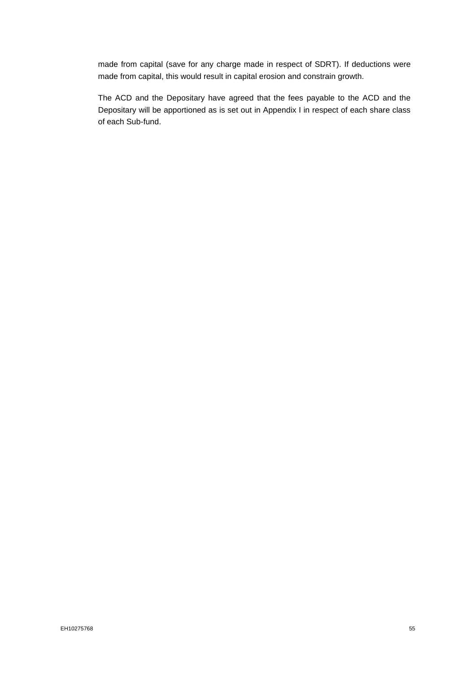made from capital (save for any charge made in respect of SDRT). If deductions were made from capital, this would result in capital erosion and constrain growth.

The ACD and the Depositary have agreed that the fees payable to the ACD and the Depositary will be apportioned as is set out in Appendix I in respect of each share class of each Sub-fund.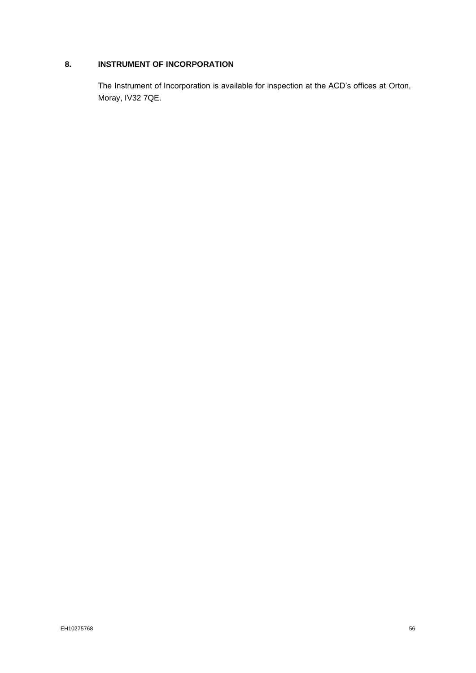# **8. INSTRUMENT OF INCORPORATION**

The Instrument of Incorporation is available for inspection at the ACD's offices at Orton, Moray, IV32 7QE.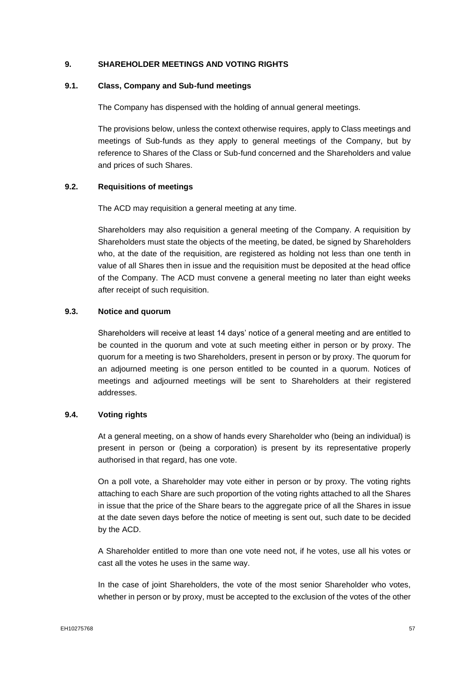## **9. SHAREHOLDER MEETINGS AND VOTING RIGHTS**

## **9.1. Class, Company and Sub-fund meetings**

The Company has dispensed with the holding of annual general meetings.

The provisions below, unless the context otherwise requires, apply to Class meetings and meetings of Sub-funds as they apply to general meetings of the Company, but by reference to Shares of the Class or Sub-fund concerned and the Shareholders and value and prices of such Shares.

## **9.2. Requisitions of meetings**

The ACD may requisition a general meeting at any time.

Shareholders may also requisition a general meeting of the Company. A requisition by Shareholders must state the objects of the meeting, be dated, be signed by Shareholders who, at the date of the requisition, are registered as holding not less than one tenth in value of all Shares then in issue and the requisition must be deposited at the head office of the Company. The ACD must convene a general meeting no later than eight weeks after receipt of such requisition.

## **9.3. Notice and quorum**

Shareholders will receive at least 14 days' notice of a general meeting and are entitled to be counted in the quorum and vote at such meeting either in person or by proxy. The quorum for a meeting is two Shareholders, present in person or by proxy. The quorum for an adjourned meeting is one person entitled to be counted in a quorum. Notices of meetings and adjourned meetings will be sent to Shareholders at their registered addresses.

#### **9.4. Voting rights**

At a general meeting, on a show of hands every Shareholder who (being an individual) is present in person or (being a corporation) is present by its representative properly authorised in that regard, has one vote.

On a poll vote, a Shareholder may vote either in person or by proxy. The voting rights attaching to each Share are such proportion of the voting rights attached to all the Shares in issue that the price of the Share bears to the aggregate price of all the Shares in issue at the date seven days before the notice of meeting is sent out, such date to be decided by the ACD.

A Shareholder entitled to more than one vote need not, if he votes, use all his votes or cast all the votes he uses in the same way.

In the case of joint Shareholders, the vote of the most senior Shareholder who votes, whether in person or by proxy, must be accepted to the exclusion of the votes of the other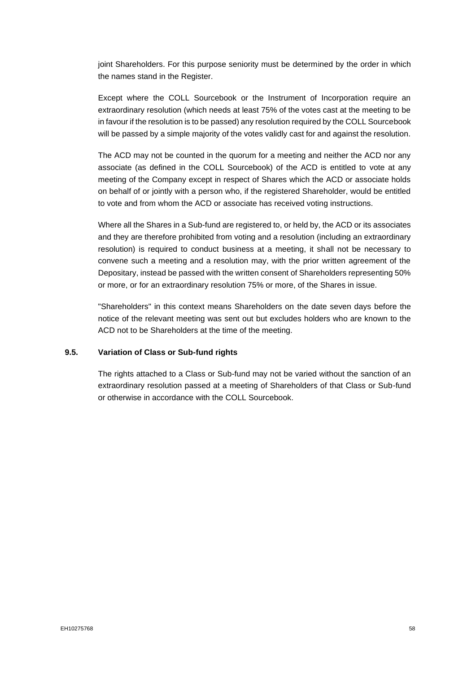joint Shareholders. For this purpose seniority must be determined by the order in which the names stand in the Register.

Except where the COLL Sourcebook or the Instrument of Incorporation require an extraordinary resolution (which needs at least 75% of the votes cast at the meeting to be in favour if the resolution is to be passed) any resolution required by the COLL Sourcebook will be passed by a simple majority of the votes validly cast for and against the resolution.

The ACD may not be counted in the quorum for a meeting and neither the ACD nor any associate (as defined in the COLL Sourcebook) of the ACD is entitled to vote at any meeting of the Company except in respect of Shares which the ACD or associate holds on behalf of or jointly with a person who, if the registered Shareholder, would be entitled to vote and from whom the ACD or associate has received voting instructions.

Where all the Shares in a Sub-fund are registered to, or held by, the ACD or its associates and they are therefore prohibited from voting and a resolution (including an extraordinary resolution) is required to conduct business at a meeting, it shall not be necessary to convene such a meeting and a resolution may, with the prior written agreement of the Depositary, instead be passed with the written consent of Shareholders representing 50% or more, or for an extraordinary resolution 75% or more, of the Shares in issue.

"Shareholders" in this context means Shareholders on the date seven days before the notice of the relevant meeting was sent out but excludes holders who are known to the ACD not to be Shareholders at the time of the meeting.

#### **9.5. Variation of Class or Sub-fund rights**

The rights attached to a Class or Sub-fund may not be varied without the sanction of an extraordinary resolution passed at a meeting of Shareholders of that Class or Sub-fund or otherwise in accordance with the COLL Sourcebook.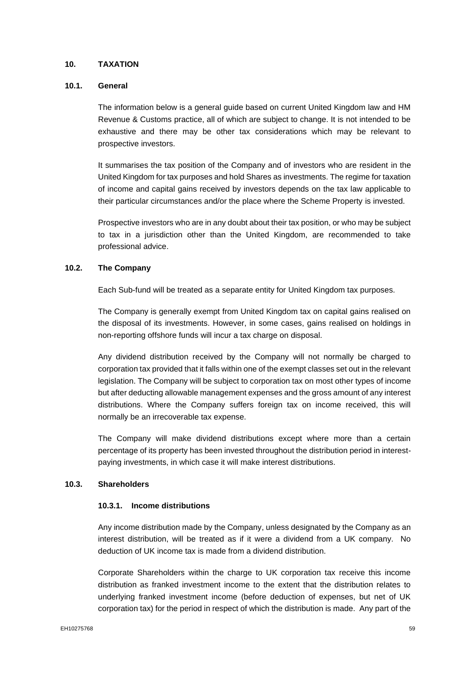## **10. TAXATION**

## **10.1. General**

The information below is a general guide based on current United Kingdom law and HM Revenue & Customs practice, all of which are subject to change. It is not intended to be exhaustive and there may be other tax considerations which may be relevant to prospective investors.

It summarises the tax position of the Company and of investors who are resident in the United Kingdom for tax purposes and hold Shares as investments. The regime for taxation of income and capital gains received by investors depends on the tax law applicable to their particular circumstances and/or the place where the Scheme Property is invested.

Prospective investors who are in any doubt about their tax position, or who may be subject to tax in a jurisdiction other than the United Kingdom, are recommended to take professional advice.

## **10.2. The Company**

Each Sub-fund will be treated as a separate entity for United Kingdom tax purposes.

The Company is generally exempt from United Kingdom tax on capital gains realised on the disposal of its investments. However, in some cases, gains realised on holdings in non-reporting offshore funds will incur a tax charge on disposal.

Any dividend distribution received by the Company will not normally be charged to corporation tax provided that it falls within one of the exempt classes set out in the relevant legislation. The Company will be subject to corporation tax on most other types of income but after deducting allowable management expenses and the gross amount of any interest distributions. Where the Company suffers foreign tax on income received, this will normally be an irrecoverable tax expense.

The Company will make dividend distributions except where more than a certain percentage of its property has been invested throughout the distribution period in interestpaying investments, in which case it will make interest distributions.

### **10.3. Shareholders**

## **10.3.1. Income distributions**

Any income distribution made by the Company, unless designated by the Company as an interest distribution, will be treated as if it were a dividend from a UK company. No deduction of UK income tax is made from a dividend distribution.

Corporate Shareholders within the charge to UK corporation tax receive this income distribution as franked investment income to the extent that the distribution relates to underlying franked investment income (before deduction of expenses, but net of UK corporation tax) for the period in respect of which the distribution is made. Any part of the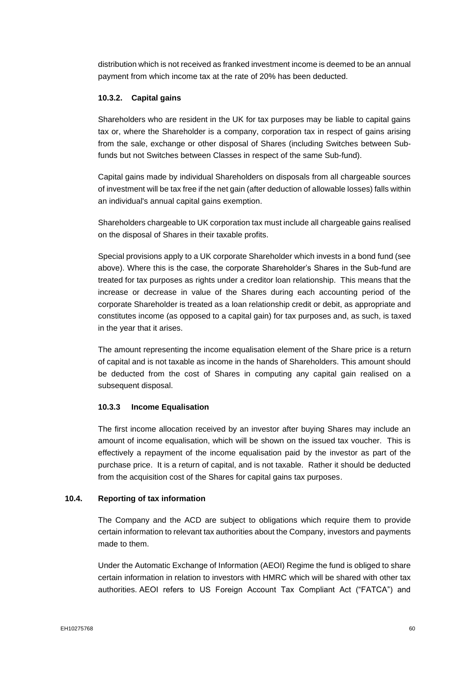distribution which is not received as franked investment income is deemed to be an annual payment from which income tax at the rate of 20% has been deducted.

## **10.3.2. Capital gains**

Shareholders who are resident in the UK for tax purposes may be liable to capital gains tax or, where the Shareholder is a company, corporation tax in respect of gains arising from the sale, exchange or other disposal of Shares (including Switches between Subfunds but not Switches between Classes in respect of the same Sub-fund).

Capital gains made by individual Shareholders on disposals from all chargeable sources of investment will be tax free if the net gain (after deduction of allowable losses) falls within an individual's annual capital gains exemption.

Shareholders chargeable to UK corporation tax must include all chargeable gains realised on the disposal of Shares in their taxable profits.

Special provisions apply to a UK corporate Shareholder which invests in a bond fund (see above). Where this is the case, the corporate Shareholder's Shares in the Sub-fund are treated for tax purposes as rights under a creditor loan relationship. This means that the increase or decrease in value of the Shares during each accounting period of the corporate Shareholder is treated as a loan relationship credit or debit, as appropriate and constitutes income (as opposed to a capital gain) for tax purposes and, as such, is taxed in the year that it arises.

The amount representing the income equalisation element of the Share price is a return of capital and is not taxable as income in the hands of Shareholders. This amount should be deducted from the cost of Shares in computing any capital gain realised on a subsequent disposal.

## **10.3.3 Income Equalisation**

The first income allocation received by an investor after buying Shares may include an amount of income equalisation, which will be shown on the issued tax voucher. This is effectively a repayment of the income equalisation paid by the investor as part of the purchase price. It is a return of capital, and is not taxable. Rather it should be deducted from the acquisition cost of the Shares for capital gains tax purposes.

#### **10.4. Reporting of tax information**

The Company and the ACD are subject to obligations which require them to provide certain information to relevant tax authorities about the Company, investors and payments made to them.

Under the Automatic Exchange of Information (AEOI) Regime the fund is obliged to share certain information in relation to investors with HMRC which will be shared with other tax authorities. AEOI refers to US Foreign Account Tax Compliant Act ("FATCA") and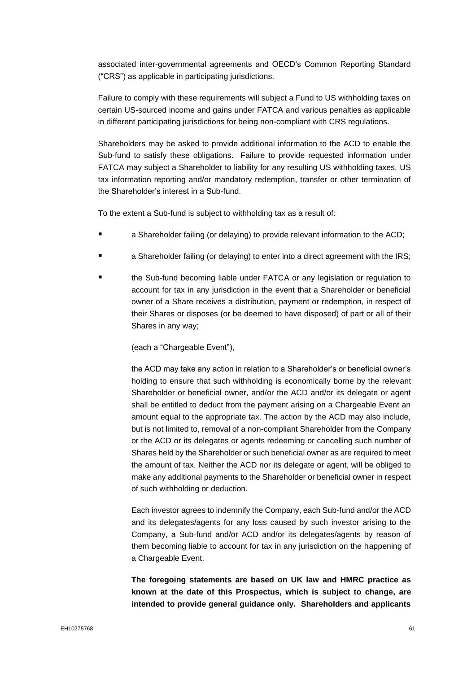associated inter-governmental agreements and OECD's Common Reporting Standard ("CRS") as applicable in participating jurisdictions.

Failure to comply with these requirements will subject a Fund to US withholding taxes on certain US-sourced income and gains under FATCA and various penalties as applicable in different participating jurisdictions for being non-compliant with CRS regulations.

Shareholders may be asked to provide additional information to the ACD to enable the Sub-fund to satisfy these obligations. Failure to provide requested information under FATCA may subject a Shareholder to liability for any resulting US withholding taxes, US tax information reporting and/or mandatory redemption, transfer or other termination of the Shareholder's interest in a Sub-fund.

To the extent a Sub-fund is subject to withholding tax as a result of:

- a Shareholder failing (or delaying) to provide relevant information to the ACD;
- a Shareholder failing (or delaying) to enter into a direct agreement with the IRS;
- the Sub-fund becoming liable under FATCA or any legislation or regulation to account for tax in any jurisdiction in the event that a Shareholder or beneficial owner of a Share receives a distribution, payment or redemption, in respect of their Shares or disposes (or be deemed to have disposed) of part or all of their Shares in any way;

(each a "Chargeable Event"),

the ACD may take any action in relation to a Shareholder's or beneficial owner's holding to ensure that such withholding is economically borne by the relevant Shareholder or beneficial owner, and/or the ACD and/or its delegate or agent shall be entitled to deduct from the payment arising on a Chargeable Event an amount equal to the appropriate tax. The action by the ACD may also include, but is not limited to, removal of a non-compliant Shareholder from the Company or the ACD or its delegates or agents redeeming or cancelling such number of Shares held by the Shareholder or such beneficial owner as are required to meet the amount of tax. Neither the ACD nor its delegate or agent, will be obliged to make any additional payments to the Shareholder or beneficial owner in respect of such withholding or deduction.

Each investor agrees to indemnify the Company, each Sub-fund and/or the ACD and its delegates/agents for any loss caused by such investor arising to the Company, a Sub-fund and/or ACD and/or its delegates/agents by reason of them becoming liable to account for tax in any jurisdiction on the happening of a Chargeable Event.

**The foregoing statements are based on UK law and HMRC practice as known at the date of this Prospectus, which is subject to change, are intended to provide general guidance only. Shareholders and applicants**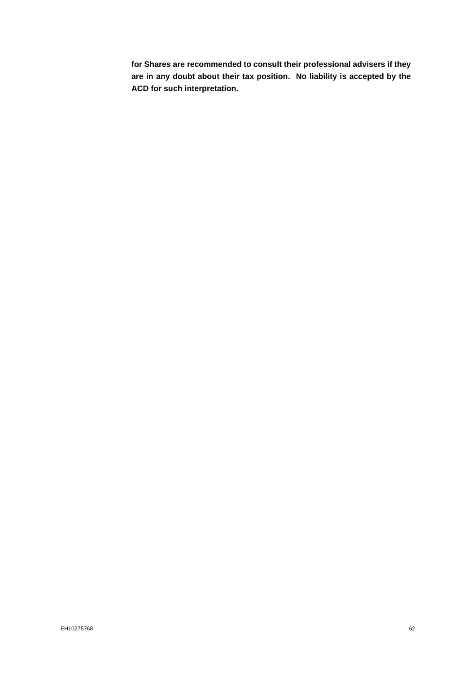**for Shares are recommended to consult their professional advisers if they are in any doubt about their tax position. No liability is accepted by the ACD for such interpretation.**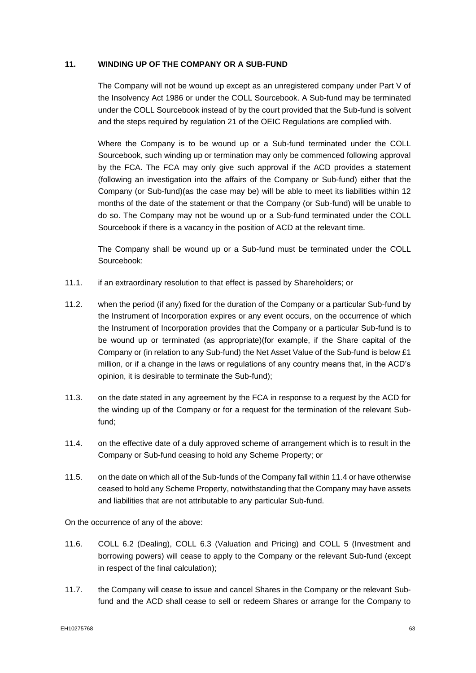## **11. WINDING UP OF THE COMPANY OR A SUB-FUND**

The Company will not be wound up except as an unregistered company under Part V of the Insolvency Act 1986 or under the COLL Sourcebook. A Sub-fund may be terminated under the COLL Sourcebook instead of by the court provided that the Sub-fund is solvent and the steps required by regulation 21 of the OEIC Regulations are complied with.

Where the Company is to be wound up or a Sub-fund terminated under the COLL Sourcebook, such winding up or termination may only be commenced following approval by the FCA. The FCA may only give such approval if the ACD provides a statement (following an investigation into the affairs of the Company or Sub-fund) either that the Company (or Sub-fund)(as the case may be) will be able to meet its liabilities within 12 months of the date of the statement or that the Company (or Sub-fund) will be unable to do so. The Company may not be wound up or a Sub-fund terminated under the COLL Sourcebook if there is a vacancy in the position of ACD at the relevant time.

The Company shall be wound up or a Sub-fund must be terminated under the COLL Sourcebook:

- 11.1. if an extraordinary resolution to that effect is passed by Shareholders; or
- 11.2. when the period (if any) fixed for the duration of the Company or a particular Sub-fund by the Instrument of Incorporation expires or any event occurs, on the occurrence of which the Instrument of Incorporation provides that the Company or a particular Sub-fund is to be wound up or terminated (as appropriate)(for example, if the Share capital of the Company or (in relation to any Sub-fund) the Net Asset Value of the Sub-fund is below £1 million, or if a change in the laws or regulations of any country means that, in the ACD's opinion, it is desirable to terminate the Sub-fund);
- 11.3. on the date stated in any agreement by the FCA in response to a request by the ACD for the winding up of the Company or for a request for the termination of the relevant Subfund;
- 11.4. on the effective date of a duly approved scheme of arrangement which is to result in the Company or Sub-fund ceasing to hold any Scheme Property; or
- 11.5. on the date on which all of the Sub-funds of the Company fall within 11.4 or have otherwise ceased to hold any Scheme Property, notwithstanding that the Company may have assets and liabilities that are not attributable to any particular Sub-fund.

On the occurrence of any of the above:

- 11.6. COLL 6.2 (Dealing), COLL 6.3 (Valuation and Pricing) and COLL 5 (Investment and borrowing powers) will cease to apply to the Company or the relevant Sub-fund (except in respect of the final calculation);
- 11.7. the Company will cease to issue and cancel Shares in the Company or the relevant Subfund and the ACD shall cease to sell or redeem Shares or arrange for the Company to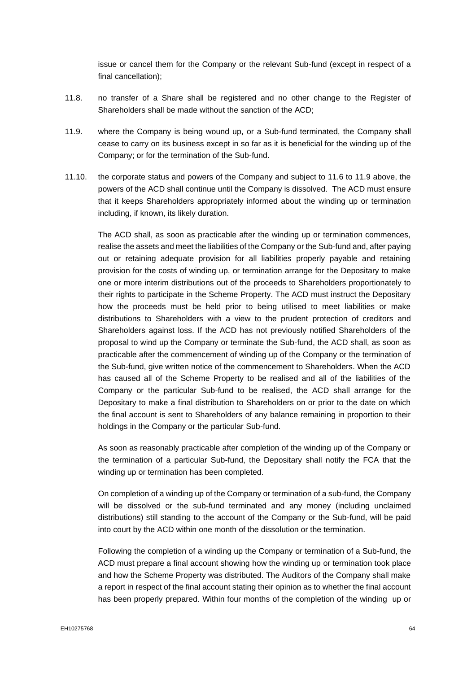issue or cancel them for the Company or the relevant Sub-fund (except in respect of a final cancellation);

- 11.8. no transfer of a Share shall be registered and no other change to the Register of Shareholders shall be made without the sanction of the ACD;
- 11.9. where the Company is being wound up, or a Sub-fund terminated, the Company shall cease to carry on its business except in so far as it is beneficial for the winding up of the Company; or for the termination of the Sub-fund.
- 11.10. the corporate status and powers of the Company and subject to 11.6 to 11.9 above, the powers of the ACD shall continue until the Company is dissolved. The ACD must ensure that it keeps Shareholders appropriately informed about the winding up or termination including, if known, its likely duration.

The ACD shall, as soon as practicable after the winding up or termination commences, realise the assets and meet the liabilities of the Company or the Sub-fund and, after paying out or retaining adequate provision for all liabilities properly payable and retaining provision for the costs of winding up, or termination arrange for the Depositary to make one or more interim distributions out of the proceeds to Shareholders proportionately to their rights to participate in the Scheme Property. The ACD must instruct the Depositary how the proceeds must be held prior to being utilised to meet liabilities or make distributions to Shareholders with a view to the prudent protection of creditors and Shareholders against loss. If the ACD has not previously notified Shareholders of the proposal to wind up the Company or terminate the Sub-fund, the ACD shall, as soon as practicable after the commencement of winding up of the Company or the termination of the Sub-fund, give written notice of the commencement to Shareholders. When the ACD has caused all of the Scheme Property to be realised and all of the liabilities of the Company or the particular Sub-fund to be realised, the ACD shall arrange for the Depositary to make a final distribution to Shareholders on or prior to the date on which the final account is sent to Shareholders of any balance remaining in proportion to their holdings in the Company or the particular Sub-fund.

As soon as reasonably practicable after completion of the winding up of the Company or the termination of a particular Sub-fund, the Depositary shall notify the FCA that the winding up or termination has been completed.

On completion of a winding up of the Company or termination of a sub-fund, the Company will be dissolved or the sub-fund terminated and any money (including unclaimed distributions) still standing to the account of the Company or the Sub-fund, will be paid into court by the ACD within one month of the dissolution or the termination.

Following the completion of a winding up the Company or termination of a Sub-fund, the ACD must prepare a final account showing how the winding up or termination took place and how the Scheme Property was distributed. The Auditors of the Company shall make a report in respect of the final account stating their opinion as to whether the final account has been properly prepared. Within four months of the completion of the winding up or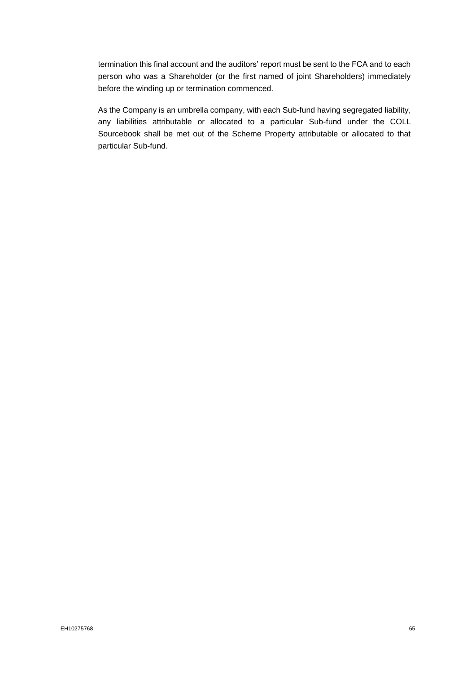termination this final account and the auditors' report must be sent to the FCA and to each person who was a Shareholder (or the first named of joint Shareholders) immediately before the winding up or termination commenced.

As the Company is an umbrella company, with each Sub-fund having segregated liability, any liabilities attributable or allocated to a particular Sub-fund under the COLL Sourcebook shall be met out of the Scheme Property attributable or allocated to that particular Sub-fund.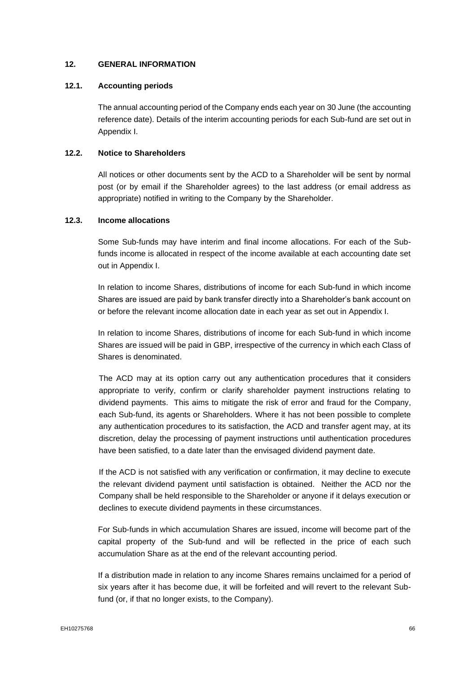## **12. GENERAL INFORMATION**

## **12.1. Accounting periods**

The annual accounting period of the Company ends each year on 30 June (the accounting reference date). Details of the interim accounting periods for each Sub-fund are set out in Appendix I.

## **12.2. Notice to Shareholders**

All notices or other documents sent by the ACD to a Shareholder will be sent by normal post (or by email if the Shareholder agrees) to the last address (or email address as appropriate) notified in writing to the Company by the Shareholder.

## **12.3. Income allocations**

Some Sub-funds may have interim and final income allocations. For each of the Subfunds income is allocated in respect of the income available at each accounting date set out in Appendix I.

In relation to income Shares, distributions of income for each Sub-fund in which income Shares are issued are paid by bank transfer directly into a Shareholder's bank account on or before the relevant income allocation date in each year as set out in Appendix I.

In relation to income Shares, distributions of income for each Sub-fund in which income Shares are issued will be paid in GBP, irrespective of the currency in which each Class of Shares is denominated.

The ACD may at its option carry out any authentication procedures that it considers appropriate to verify, confirm or clarify shareholder payment instructions relating to dividend payments. This aims to mitigate the risk of error and fraud for the Company, each Sub-fund, its agents or Shareholders. Where it has not been possible to complete any authentication procedures to its satisfaction, the ACD and transfer agent may, at its discretion, delay the processing of payment instructions until authentication procedures have been satisfied, to a date later than the envisaged dividend payment date.

If the ACD is not satisfied with any verification or confirmation, it may decline to execute the relevant dividend payment until satisfaction is obtained. Neither the ACD nor the Company shall be held responsible to the Shareholder or anyone if it delays execution or declines to execute dividend payments in these circumstances.

For Sub-funds in which accumulation Shares are issued, income will become part of the capital property of the Sub-fund and will be reflected in the price of each such accumulation Share as at the end of the relevant accounting period.

If a distribution made in relation to any income Shares remains unclaimed for a period of six years after it has become due, it will be forfeited and will revert to the relevant Subfund (or, if that no longer exists, to the Company).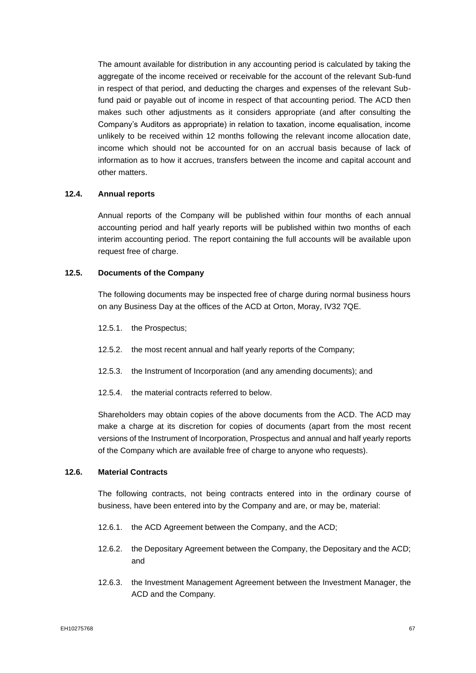The amount available for distribution in any accounting period is calculated by taking the aggregate of the income received or receivable for the account of the relevant Sub-fund in respect of that period, and deducting the charges and expenses of the relevant Subfund paid or payable out of income in respect of that accounting period. The ACD then makes such other adjustments as it considers appropriate (and after consulting the Company's Auditors as appropriate) in relation to taxation, income equalisation, income unlikely to be received within 12 months following the relevant income allocation date, income which should not be accounted for on an accrual basis because of lack of information as to how it accrues, transfers between the income and capital account and other matters.

## **12.4. Annual reports**

Annual reports of the Company will be published within four months of each annual accounting period and half yearly reports will be published within two months of each interim accounting period. The report containing the full accounts will be available upon request free of charge.

## **12.5. Documents of the Company**

The following documents may be inspected free of charge during normal business hours on any Business Day at the offices of the ACD at Orton, Moray, IV32 7QE.

- 12.5.1. the Prospectus;
- 12.5.2. the most recent annual and half yearly reports of the Company;
- 12.5.3. the Instrument of Incorporation (and any amending documents); and
- 12.5.4. the material contracts referred to below.

Shareholders may obtain copies of the above documents from the ACD. The ACD may make a charge at its discretion for copies of documents (apart from the most recent versions of the Instrument of Incorporation, Prospectus and annual and half yearly reports of the Company which are available free of charge to anyone who requests).

## **12.6. Material Contracts**

The following contracts, not being contracts entered into in the ordinary course of business, have been entered into by the Company and are, or may be, material:

- 12.6.1. the ACD Agreement between the Company, and the ACD;
- 12.6.2. the Depositary Agreement between the Company, the Depositary and the ACD; and
- 12.6.3. the Investment Management Agreement between the Investment Manager, the ACD and the Company.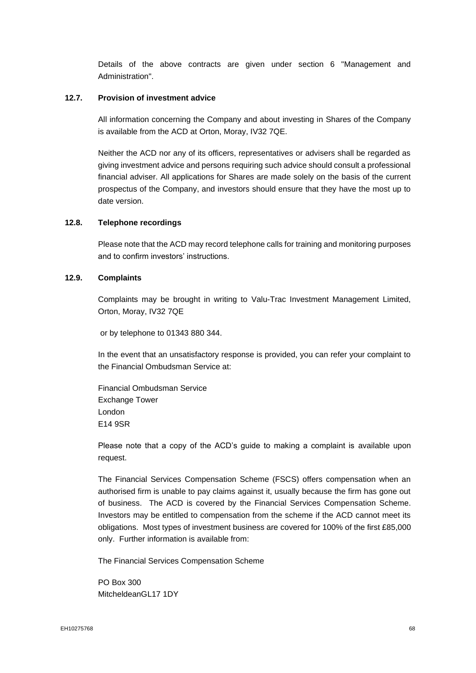Details of the above contracts are given under section 6 "Management and Administration".

### **12.7. Provision of investment advice**

All information concerning the Company and about investing in Shares of the Company is available from the ACD at Orton, Moray, IV32 7QE.

Neither the ACD nor any of its officers, representatives or advisers shall be regarded as giving investment advice and persons requiring such advice should consult a professional financial adviser. All applications for Shares are made solely on the basis of the current prospectus of the Company, and investors should ensure that they have the most up to date version.

## **12.8. Telephone recordings**

Please note that the ACD may record telephone calls for training and monitoring purposes and to confirm investors' instructions.

## **12.9. Complaints**

Complaints may be brought in writing to Valu-Trac Investment Management Limited, Orton, Moray, IV32 7QE

or by telephone to 01343 880 344.

In the event that an unsatisfactory response is provided, you can refer your complaint to the Financial Ombudsman Service at:

Financial Ombudsman Service Exchange Tower London E14 9SR

Please note that a copy of the ACD's guide to making a complaint is available upon request.

The Financial Services Compensation Scheme (FSCS) offers compensation when an authorised firm is unable to pay claims against it, usually because the firm has gone out of business. The ACD is covered by the Financial Services Compensation Scheme. Investors may be entitled to compensation from the scheme if the ACD cannot meet its obligations. Most types of investment business are covered for 100% of the first £85,000 only. Further information is available from:

The Financial Services Compensation Scheme

PO Box 300 MitcheldeanGL17 1DY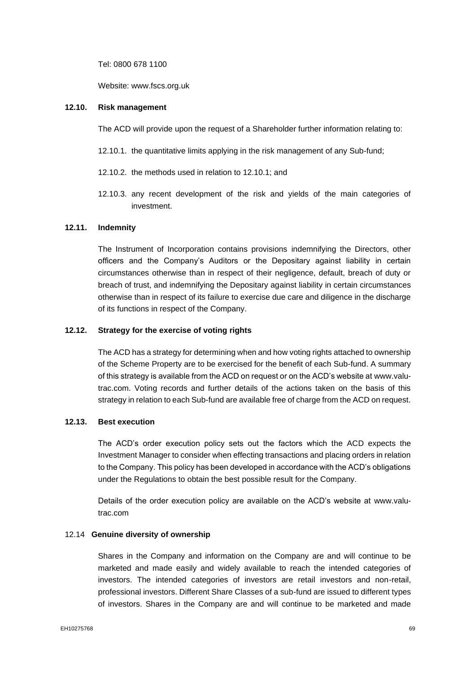Tel: 0800 678 1100

Website: www.fscs.org.uk

## **12.10. Risk management**

The ACD will provide upon the request of a Shareholder further information relating to:

- 12.10.1. the quantitative limits applying in the risk management of any Sub-fund;
- 12.10.2. the methods used in relation to 12.10.1; and
- 12.10.3. any recent development of the risk and yields of the main categories of investment.

# **12.11. Indemnity**

The Instrument of Incorporation contains provisions indemnifying the Directors, other officers and the Company's Auditors or the Depositary against liability in certain circumstances otherwise than in respect of their negligence, default, breach of duty or breach of trust, and indemnifying the Depositary against liability in certain circumstances otherwise than in respect of its failure to exercise due care and diligence in the discharge of its functions in respect of the Company.

## **12.12. Strategy for the exercise of voting rights**

The ACD has a strategy for determining when and how voting rights attached to ownership of the Scheme Property are to be exercised for the benefit of each Sub-fund. A summary of this strategy is available from the ACD on request or on the ACD's website at www.valutrac.com. Voting records and further details of the actions taken on the basis of this strategy in relation to each Sub-fund are available free of charge from the ACD on request.

## **12.13. Best execution**

The ACD's order execution policy sets out the factors which the ACD expects the Investment Manager to consider when effecting transactions and placing orders in relation to the Company. This policy has been developed in accordance with the ACD's obligations under the Regulations to obtain the best possible result for the Company.

Details of the order execution policy are available on the ACD's website at www.valutrac.com

#### 12.14 **Genuine diversity of ownership**

Shares in the Company and information on the Company are and will continue to be marketed and made easily and widely available to reach the intended categories of investors. The intended categories of investors are retail investors and non-retail, professional investors. Different Share Classes of a sub-fund are issued to different types of investors. Shares in the Company are and will continue to be marketed and made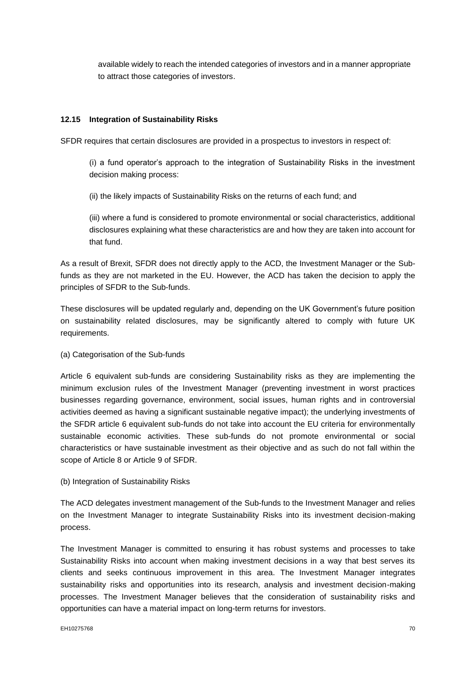available widely to reach the intended categories of investors and in a manner appropriate to attract those categories of investors.

## **12.15 Integration of Sustainability Risks**

SFDR requires that certain disclosures are provided in a prospectus to investors in respect of:

(i) a fund operator's approach to the integration of Sustainability Risks in the investment decision making process:

(ii) the likely impacts of Sustainability Risks on the returns of each fund; and

(iii) where a fund is considered to promote environmental or social characteristics, additional disclosures explaining what these characteristics are and how they are taken into account for that fund.

As a result of Brexit, SFDR does not directly apply to the ACD, the Investment Manager or the Subfunds as they are not marketed in the EU. However, the ACD has taken the decision to apply the principles of SFDR to the Sub-funds.

These disclosures will be updated regularly and, depending on the UK Government's future position on sustainability related disclosures, may be significantly altered to comply with future UK requirements.

#### (a) Categorisation of the Sub-funds

Article 6 equivalent sub-funds are considering Sustainability risks as they are implementing the minimum exclusion rules of the Investment Manager (preventing investment in worst practices businesses regarding governance, environment, social issues, human rights and in controversial activities deemed as having a significant sustainable negative impact); the underlying investments of the SFDR article 6 equivalent sub-funds do not take into account the EU criteria for environmentally sustainable economic activities. These sub-funds do not promote environmental or social characteristics or have sustainable investment as their objective and as such do not fall within the scope of Article 8 or Article 9 of SFDR.

#### (b) Integration of Sustainability Risks

The ACD delegates investment management of the Sub-funds to the Investment Manager and relies on the Investment Manager to integrate Sustainability Risks into its investment decision-making process.

The Investment Manager is committed to ensuring it has robust systems and processes to take Sustainability Risks into account when making investment decisions in a way that best serves its clients and seeks continuous improvement in this area. The Investment Manager integrates sustainability risks and opportunities into its research, analysis and investment decision-making processes. The Investment Manager believes that the consideration of sustainability risks and opportunities can have a material impact on long-term returns for investors.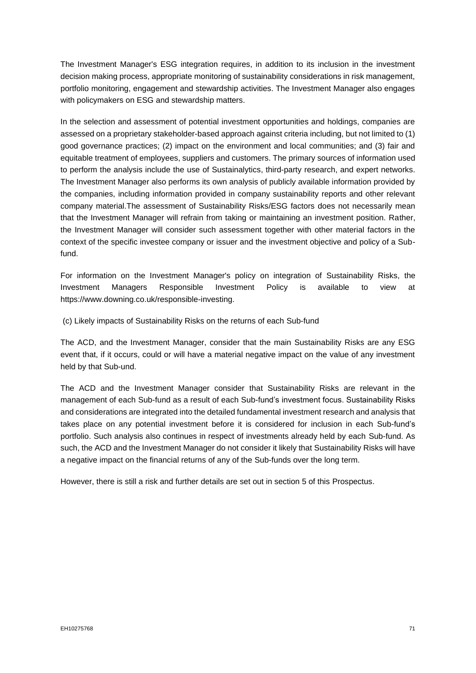The Investment Manager's ESG integration requires, in addition to its inclusion in the investment decision making process, appropriate monitoring of sustainability considerations in risk management, portfolio monitoring, engagement and stewardship activities. The Investment Manager also engages with policymakers on ESG and stewardship matters.

In the selection and assessment of potential investment opportunities and holdings, companies are assessed on a proprietary stakeholder-based approach against criteria including, but not limited to (1) good governance practices; (2) impact on the environment and local communities; and (3) fair and equitable treatment of employees, suppliers and customers. The primary sources of information used to perform the analysis include the use of Sustainalytics, third-party research, and expert networks. The Investment Manager also performs its own analysis of publicly available information provided by the companies, including information provided in company sustainability reports and other relevant company material.The assessment of Sustainability Risks/ESG factors does not necessarily mean that the Investment Manager will refrain from taking or maintaining an investment position. Rather, the Investment Manager will consider such assessment together with other material factors in the context of the specific investee company or issuer and the investment objective and policy of a Subfund.

For information on the Investment Manager's policy on integration of Sustainability Risks, the Investment Managers Responsible Investment Policy is available to view at https://www.downing.co.uk/responsible-investing.

(c) Likely impacts of Sustainability Risks on the returns of each Sub-fund

The ACD, and the Investment Manager, consider that the main Sustainability Risks are any ESG event that, if it occurs, could or will have a material negative impact on the value of any investment held by that Sub-und.

The ACD and the Investment Manager consider that Sustainability Risks are relevant in the management of each Sub-fund as a result of each Sub-fund's investment focus. Sustainability Risks and considerations are integrated into the detailed fundamental investment research and analysis that takes place on any potential investment before it is considered for inclusion in each Sub-fund's portfolio. Such analysis also continues in respect of investments already held by each Sub-fund. As such, the ACD and the Investment Manager do not consider it likely that Sustainability Risks will have a negative impact on the financial returns of any of the Sub-funds over the long term.

However, there is still a risk and further details are set out in section 5 of this Prospectus.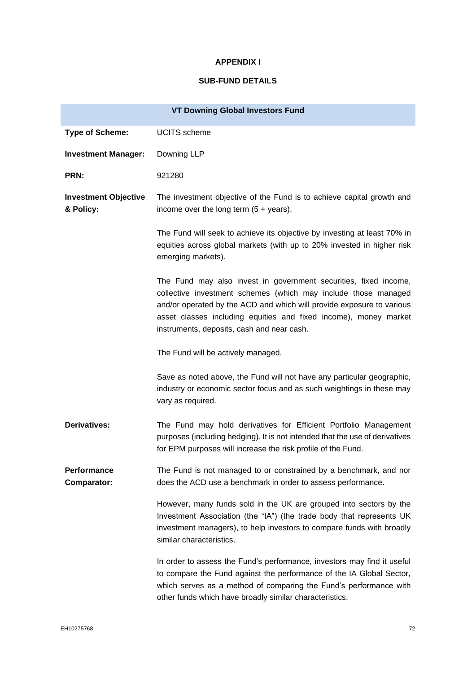### **APPENDIX I**

# **SUB-FUND DETAILS**

|                                          | <b>VT Downing Global Investors Fund</b>                                                                                                                                                                                                                                                                                       |
|------------------------------------------|-------------------------------------------------------------------------------------------------------------------------------------------------------------------------------------------------------------------------------------------------------------------------------------------------------------------------------|
| <b>Type of Scheme:</b>                   | <b>UCITS</b> scheme                                                                                                                                                                                                                                                                                                           |
| <b>Investment Manager:</b>               | Downing LLP                                                                                                                                                                                                                                                                                                                   |
| PRN:                                     | 921280                                                                                                                                                                                                                                                                                                                        |
| <b>Investment Objective</b><br>& Policy: | The investment objective of the Fund is to achieve capital growth and<br>income over the long term $(5 + \text{years})$ .                                                                                                                                                                                                     |
|                                          | The Fund will seek to achieve its objective by investing at least 70% in<br>equities across global markets (with up to 20% invested in higher risk<br>emerging markets).                                                                                                                                                      |
|                                          | The Fund may also invest in government securities, fixed income,<br>collective investment schemes (which may include those managed<br>and/or operated by the ACD and which will provide exposure to various<br>asset classes including equities and fixed income), money market<br>instruments, deposits, cash and near cash. |
|                                          | The Fund will be actively managed.                                                                                                                                                                                                                                                                                            |
|                                          | Save as noted above, the Fund will not have any particular geographic,<br>industry or economic sector focus and as such weightings in these may<br>vary as required.                                                                                                                                                          |
| <b>Derivatives:</b>                      | The Fund may hold derivatives for Efficient Portfolio Management<br>purposes (including hedging). It is not intended that the use of derivatives<br>for EPM purposes will increase the risk profile of the Fund.                                                                                                              |
| Performance<br>Comparator:               | The Fund is not managed to or constrained by a benchmark, and nor<br>does the ACD use a benchmark in order to assess performance.                                                                                                                                                                                             |
|                                          | However, many funds sold in the UK are grouped into sectors by the<br>Investment Association (the "IA") (the trade body that represents UK<br>investment managers), to help investors to compare funds with broadly<br>similar characteristics.                                                                               |
|                                          | In order to assess the Fund's performance, investors may find it useful<br>to compare the Fund against the performance of the IA Global Sector,<br>which serves as a method of comparing the Fund's performance with<br>other funds which have broadly similar characteristics.                                               |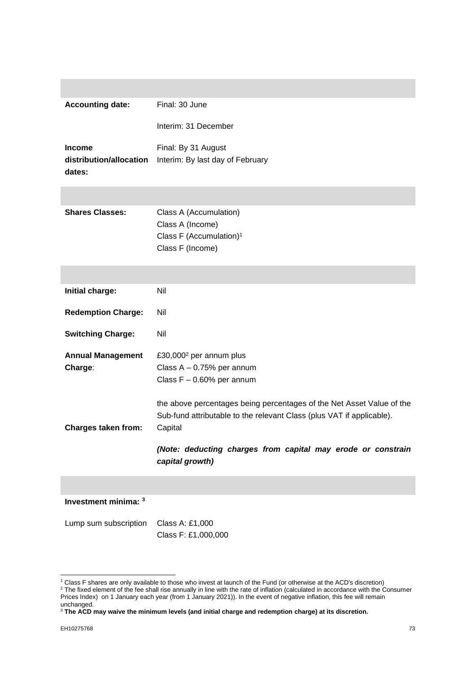| <b>Accounting date:</b>           | Final: 30 June                                                                  |
|-----------------------------------|---------------------------------------------------------------------------------|
|                                   | Interim: 31 December                                                            |
| <b>Income</b>                     | Final: By 31 August                                                             |
| distribution/allocation<br>dates: | Interim: By last day of February                                                |
|                                   |                                                                                 |
| <b>Shares Classes:</b>            | Class A (Accumulation)                                                          |
|                                   | Class A (Income)                                                                |
|                                   | Class F (Accumulation) <sup>1</sup>                                             |
|                                   | Class F (Income)                                                                |
|                                   |                                                                                 |
| Initial charge:                   | Nil                                                                             |
| <b>Redemption Charge:</b>         | Nil                                                                             |
| <b>Switching Charge:</b>          | Nil                                                                             |
| <b>Annual Management</b>          | £30,000 <sup>2</sup> per annum plus                                             |
| Charge:                           | Class $A - 0.75%$ per annum                                                     |
|                                   | Class $F - 0.60\%$ per annum                                                    |
|                                   | the above percentages being percentages of the Net Asset Value of the           |
|                                   | Sub-fund attributable to the relevant Class (plus VAT if applicable).           |
| <b>Charges taken from:</b>        | Capital                                                                         |
|                                   | (Note: deducting charges from capital may erode or constrain<br>capital growth) |
|                                   |                                                                                 |
|                                   |                                                                                 |

# **Investment minima: <sup>3</sup>**

| Lump sum subscription Class A: £1,000 |                     |  |
|---------------------------------------|---------------------|--|
|                                       | Class F: £1,000,000 |  |

<sup>1</sup> Class F shares are only available to those who invest at launch of the Fund (or otherwise at the ACD's discretion)

 $2$  The fixed element of the fee shall rise annually in line with the rate of inflation (calculated in accordance with the Consumer Prices Index) on 1 January each year (from 1 January 2021)). In the event of negative inflation, this fee will remain unchanged.

<sup>3</sup> **The ACD may waive the minimum levels (and initial charge and redemption charge) at its discretion.**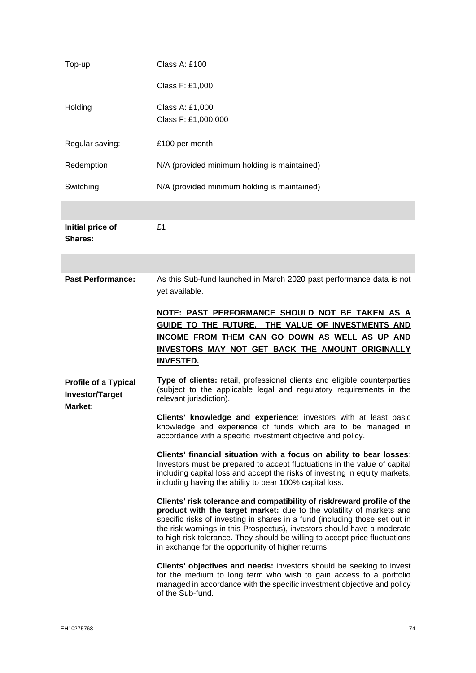| Top-up                                                | Class A: £100                                                                                                                                                                                                                                                                                                                                                                                                                                  |
|-------------------------------------------------------|------------------------------------------------------------------------------------------------------------------------------------------------------------------------------------------------------------------------------------------------------------------------------------------------------------------------------------------------------------------------------------------------------------------------------------------------|
|                                                       | Class F: £1,000                                                                                                                                                                                                                                                                                                                                                                                                                                |
| Holding                                               | Class A: £1,000<br>Class F: £1,000,000                                                                                                                                                                                                                                                                                                                                                                                                         |
| Regular saving:                                       | £100 per month                                                                                                                                                                                                                                                                                                                                                                                                                                 |
| Redemption                                            | N/A (provided minimum holding is maintained)                                                                                                                                                                                                                                                                                                                                                                                                   |
| Switching                                             | N/A (provided minimum holding is maintained)                                                                                                                                                                                                                                                                                                                                                                                                   |
|                                                       |                                                                                                                                                                                                                                                                                                                                                                                                                                                |
| Initial price of<br>Shares:                           | £1                                                                                                                                                                                                                                                                                                                                                                                                                                             |
|                                                       |                                                                                                                                                                                                                                                                                                                                                                                                                                                |
| <b>Past Performance:</b>                              | As this Sub-fund launched in March 2020 past performance data is not<br>yet available.                                                                                                                                                                                                                                                                                                                                                         |
|                                                       | NOTE: PAST PERFORMANCE SHOULD NOT BE TAKEN AS A                                                                                                                                                                                                                                                                                                                                                                                                |
|                                                       | GUIDE TO THE FUTURE. THE VALUE OF INVESTMENTS AND<br>INCOME FROM THEM CAN GO DOWN AS WELL AS UP AND<br>INVESTORS MAY NOT GET BACK THE AMOUNT ORIGINALLY<br><b>INVESTED.</b>                                                                                                                                                                                                                                                                    |
| <b>Profile of a Typical</b><br><b>Investor/Target</b> | Type of clients: retail, professional clients and eligible counterparties<br>(subject to the applicable legal and regulatory requirements in the<br>relevant jurisdiction).                                                                                                                                                                                                                                                                    |
| Market:                                               | Clients' knowledge and experience: investors with at least basic<br>knowledge and experience of funds which are to be managed in<br>accordance with a specific investment objective and policy.                                                                                                                                                                                                                                                |
|                                                       | Clients' financial situation with a focus on ability to bear losses:<br>Investors must be prepared to accept fluctuations in the value of capital<br>including capital loss and accept the risks of investing in equity markets,<br>including having the ability to bear 100% capital loss.                                                                                                                                                    |
|                                                       | Clients' risk tolerance and compatibility of risk/reward profile of the<br>product with the target market: due to the volatility of markets and<br>specific risks of investing in shares in a fund (including those set out in<br>the risk warnings in this Prospectus), investors should have a moderate<br>to high risk tolerance. They should be willing to accept price fluctuations<br>in exchange for the opportunity of higher returns. |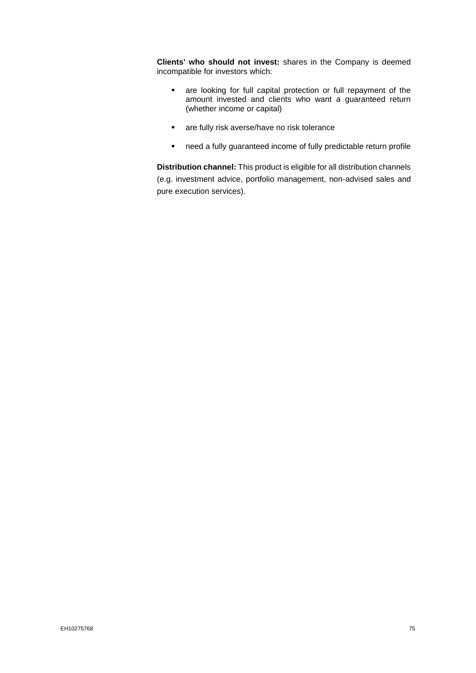**Clients' who should not invest:** shares in the Company is deemed incompatible for investors which:

- are looking for full capital protection or full repayment of the amount invested and clients who want a guaranteed return (whether income or capital)
- are fully risk averse/have no risk tolerance
- need a fully guaranteed income of fully predictable return profile

**Distribution channel:** This product is eligible for all distribution channels (e.g. investment advice, portfolio management, non-advised sales and pure execution services).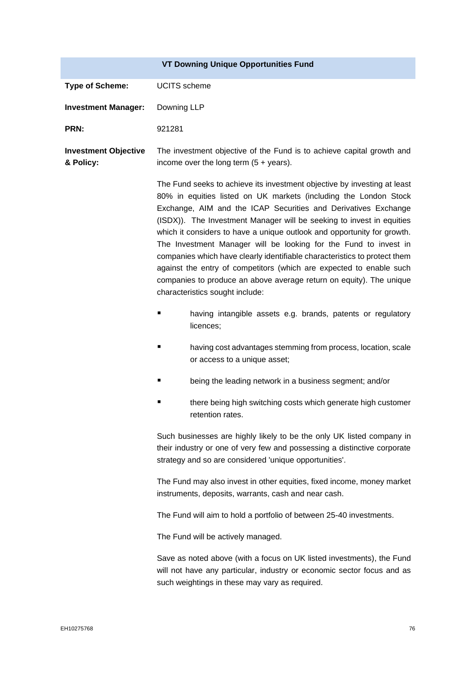|                                          |                     | <b>VT Downing Unique Opportunities Fund</b>                                                                                                                                                                                                                                                                                                                                                                                                                                                                                                                                                                                                                                                          |
|------------------------------------------|---------------------|------------------------------------------------------------------------------------------------------------------------------------------------------------------------------------------------------------------------------------------------------------------------------------------------------------------------------------------------------------------------------------------------------------------------------------------------------------------------------------------------------------------------------------------------------------------------------------------------------------------------------------------------------------------------------------------------------|
| <b>Type of Scheme:</b>                   | <b>UCITS</b> scheme |                                                                                                                                                                                                                                                                                                                                                                                                                                                                                                                                                                                                                                                                                                      |
| <b>Investment Manager:</b>               | Downing LLP         |                                                                                                                                                                                                                                                                                                                                                                                                                                                                                                                                                                                                                                                                                                      |
| PRN:                                     | 921281              |                                                                                                                                                                                                                                                                                                                                                                                                                                                                                                                                                                                                                                                                                                      |
| <b>Investment Objective</b><br>& Policy: |                     | The investment objective of the Fund is to achieve capital growth and<br>income over the long term $(5 + \text{years})$ .                                                                                                                                                                                                                                                                                                                                                                                                                                                                                                                                                                            |
|                                          |                     | The Fund seeks to achieve its investment objective by investing at least<br>80% in equities listed on UK markets (including the London Stock<br>Exchange, AIM and the ICAP Securities and Derivatives Exchange<br>(ISDX)). The Investment Manager will be seeking to invest in equities<br>which it considers to have a unique outlook and opportunity for growth.<br>The Investment Manager will be looking for the Fund to invest in<br>companies which have clearly identifiable characteristics to protect them<br>against the entry of competitors (which are expected to enable such<br>companies to produce an above average return on equity). The unique<br>characteristics sought include: |
|                                          |                     | having intangible assets e.g. brands, patents or regulatory<br>licences;                                                                                                                                                                                                                                                                                                                                                                                                                                                                                                                                                                                                                             |
|                                          |                     | having cost advantages stemming from process, location, scale<br>or access to a unique asset;                                                                                                                                                                                                                                                                                                                                                                                                                                                                                                                                                                                                        |
|                                          |                     | being the leading network in a business segment; and/or                                                                                                                                                                                                                                                                                                                                                                                                                                                                                                                                                                                                                                              |
|                                          |                     | there being high switching costs which generate high customer<br>retention rates.                                                                                                                                                                                                                                                                                                                                                                                                                                                                                                                                                                                                                    |
|                                          |                     | Such businesses are highly likely to be the only UK listed company in<br>their industry or one of very few and possessing a distinctive corporate<br>strategy and so are considered 'unique opportunities'.                                                                                                                                                                                                                                                                                                                                                                                                                                                                                          |
|                                          |                     | The Fund may also invest in other equities, fixed income, money market<br>instruments, deposits, warrants, cash and near cash.                                                                                                                                                                                                                                                                                                                                                                                                                                                                                                                                                                       |
|                                          |                     | The Fund will aim to hold a portfolio of between 25-40 investments.                                                                                                                                                                                                                                                                                                                                                                                                                                                                                                                                                                                                                                  |
|                                          |                     | The Fund will be actively managed.                                                                                                                                                                                                                                                                                                                                                                                                                                                                                                                                                                                                                                                                   |
|                                          |                     | Save as noted above (with a focus on UK listed investments), the Fund<br>will not have any particular, industry or economic sector focus and as<br>such weightings in these may vary as required.                                                                                                                                                                                                                                                                                                                                                                                                                                                                                                    |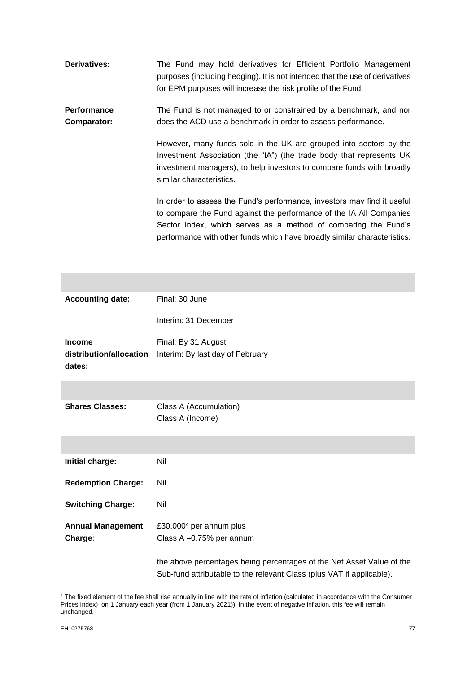| <b>Derivatives:</b> | The Fund may hold derivatives for Efficient Portfolio Management<br>purposes (including hedging). It is not intended that the use of derivatives<br>for EPM purposes will increase the risk profile of the Fund.                                                                             |
|---------------------|----------------------------------------------------------------------------------------------------------------------------------------------------------------------------------------------------------------------------------------------------------------------------------------------|
| <b>Performance</b>  | The Fund is not managed to or constrained by a benchmark, and nor                                                                                                                                                                                                                            |
| Comparator:         | does the ACD use a benchmark in order to assess performance.                                                                                                                                                                                                                                 |
|                     | However, many funds sold in the UK are grouped into sectors by the<br>Investment Association (the "IA") (the trade body that represents UK<br>investment managers), to help investors to compare funds with broadly<br>similar characteristics.                                              |
|                     | In order to assess the Fund's performance, investors may find it useful<br>to compare the Fund against the performance of the IA All Companies<br>Sector Index, which serves as a method of comparing the Fund's<br>performance with other funds which have broadly similar characteristics. |

| <b>Accounting date:</b>           | Final: 30 June                                                                                                                                 |
|-----------------------------------|------------------------------------------------------------------------------------------------------------------------------------------------|
|                                   | Interim: 31 December                                                                                                                           |
| Income                            | Final: By 31 August                                                                                                                            |
| distribution/allocation<br>dates: | Interim: By last day of February                                                                                                               |
|                                   |                                                                                                                                                |
| <b>Shares Classes:</b>            | Class A (Accumulation)<br>Class A (Income)                                                                                                     |
|                                   |                                                                                                                                                |
| Initial charge:                   | Nil                                                                                                                                            |
| <b>Redemption Charge:</b>         | Nil                                                                                                                                            |
| <b>Switching Charge:</b>          | Nil                                                                                                                                            |
| <b>Annual Management</b>          | £30,000 <sup>4</sup> per annum plus                                                                                                            |
| Charge:                           | Class A -0.75% per annum                                                                                                                       |
|                                   | the above percentages being percentages of the Net Asset Value of the<br>Sub-fund attributable to the relevant Class (plus VAT if applicable). |

<sup>4</sup> The fixed element of the fee shall rise annually in line with the rate of inflation (calculated in accordance with the Consumer Prices Index) on 1 January each year (from 1 January 2021)). In the event of negative inflation, this fee will remain unchanged.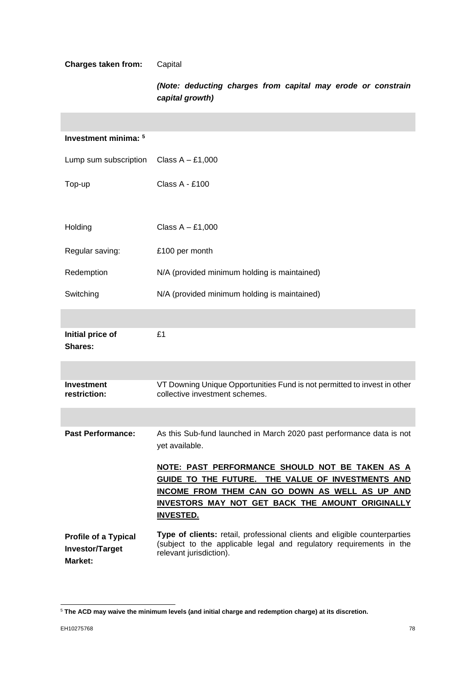# **Charges taken from:** Capital

*(Note: deducting charges from capital may erode or constrain capital growth)*

| Investment minima: 5                                                    |                                                                                                                                                                                                                                       |
|-------------------------------------------------------------------------|---------------------------------------------------------------------------------------------------------------------------------------------------------------------------------------------------------------------------------------|
| Lump sum subscription                                                   | Class $A - £1,000$                                                                                                                                                                                                                    |
| Top-up                                                                  | Class A - £100                                                                                                                                                                                                                        |
|                                                                         |                                                                                                                                                                                                                                       |
| Holding                                                                 | Class $A - £1,000$                                                                                                                                                                                                                    |
| Regular saving:                                                         | £100 per month                                                                                                                                                                                                                        |
| Redemption                                                              | N/A (provided minimum holding is maintained)                                                                                                                                                                                          |
| Switching                                                               | N/A (provided minimum holding is maintained)                                                                                                                                                                                          |
|                                                                         |                                                                                                                                                                                                                                       |
| Initial price of<br>Shares:                                             | £1                                                                                                                                                                                                                                    |
|                                                                         |                                                                                                                                                                                                                                       |
| Investment<br>restriction:                                              | VT Downing Unique Opportunities Fund is not permitted to invest in other<br>collective investment schemes.                                                                                                                            |
|                                                                         |                                                                                                                                                                                                                                       |
| <b>Past Performance:</b>                                                | As this Sub-fund launched in March 2020 past performance data is not<br>yet available.                                                                                                                                                |
|                                                                         | NOTE: PAST PERFORMANCE SHOULD NOT BE TAKEN AS A<br>GUIDE TO THE FUTURE. THE VALUE OF INVESTMENTS AND<br>INCOME FROM THEM CAN GO DOWN AS WELL AS UP AND<br><b>INVESTORS MAY NOT GET BACK THE AMOUNT ORIGINALLY</b><br><b>INVESTED.</b> |
| <b>Profile of a Typical</b><br><b>Investor/Target</b><br><b>Market:</b> | Type of clients: retail, professional clients and eligible counterparties<br>(subject to the applicable legal and regulatory requirements in the<br>relevant jurisdiction).                                                           |

<sup>5</sup> **The ACD may waive the minimum levels (and initial charge and redemption charge) at its discretion.**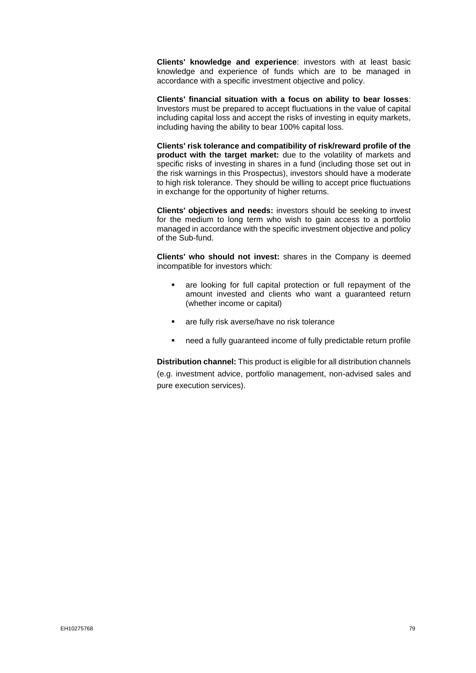**Clients' knowledge and experience**: investors with at least basic knowledge and experience of funds which are to be managed in accordance with a specific investment objective and policy.

**Clients' financial situation with a focus on ability to bear losses**: Investors must be prepared to accept fluctuations in the value of capital including capital loss and accept the risks of investing in equity markets, including having the ability to bear 100% capital loss.

**Clients' risk tolerance and compatibility of risk/reward profile of the product with the target market:** due to the volatility of markets and specific risks of investing in shares in a fund (including those set out in the risk warnings in this Prospectus), investors should have a moderate to high risk tolerance. They should be willing to accept price fluctuations in exchange for the opportunity of higher returns.

**Clients' objectives and needs:** investors should be seeking to invest for the medium to long term who wish to gain access to a portfolio managed in accordance with the specific investment objective and policy of the Sub-fund.

**Clients' who should not invest:** shares in the Company is deemed incompatible for investors which:

- are looking for full capital protection or full repayment of the amount invested and clients who want a guaranteed return (whether income or capital)
- are fully risk averse/have no risk tolerance
- need a fully quaranteed income of fully predictable return profile

**Distribution channel:** This product is eligible for all distribution channels (e.g. investment advice, portfolio management, non-advised sales and pure execution services).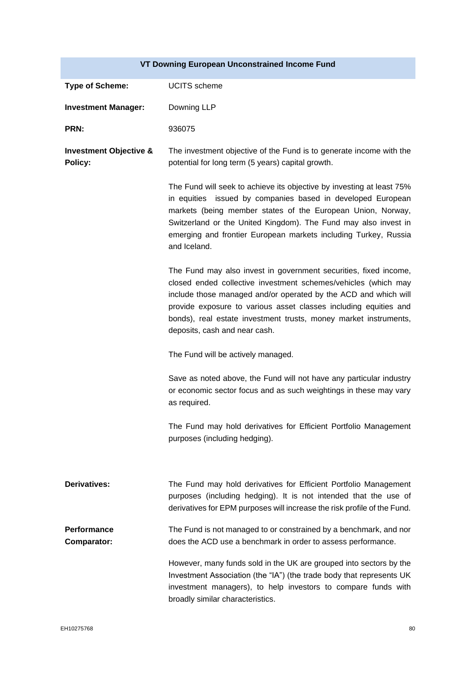# **VT Downing European Unconstrained Income Fund**

| <b>Type of Scheme:</b>                       | <b>UCITS</b> scheme                                                                                                                                                                                                                                                                                                                                                            |
|----------------------------------------------|--------------------------------------------------------------------------------------------------------------------------------------------------------------------------------------------------------------------------------------------------------------------------------------------------------------------------------------------------------------------------------|
| <b>Investment Manager:</b>                   | Downing LLP                                                                                                                                                                                                                                                                                                                                                                    |
| PRN:                                         | 936075                                                                                                                                                                                                                                                                                                                                                                         |
| <b>Investment Objective &amp;</b><br>Policy: | The investment objective of the Fund is to generate income with the<br>potential for long term (5 years) capital growth.                                                                                                                                                                                                                                                       |
|                                              | The Fund will seek to achieve its objective by investing at least 75%<br>in equities issued by companies based in developed European<br>markets (being member states of the European Union, Norway,<br>Switzerland or the United Kingdom). The Fund may also invest in<br>emerging and frontier European markets including Turkey, Russia<br>and Iceland.                      |
|                                              | The Fund may also invest in government securities, fixed income,<br>closed ended collective investment schemes/vehicles (which may<br>include those managed and/or operated by the ACD and which will<br>provide exposure to various asset classes including equities and<br>bonds), real estate investment trusts, money market instruments,<br>deposits, cash and near cash. |
|                                              | The Fund will be actively managed.                                                                                                                                                                                                                                                                                                                                             |
|                                              | Save as noted above, the Fund will not have any particular industry<br>or economic sector focus and as such weightings in these may vary<br>as required.                                                                                                                                                                                                                       |
|                                              | The Fund may hold derivatives for Efficient Portfolio Management<br>purposes (including hedging).                                                                                                                                                                                                                                                                              |
| <b>Derivatives:</b>                          | The Fund may hold derivatives for Efficient Portfolio Management<br>purposes (including hedging). It is not intended that the use of<br>derivatives for EPM purposes will increase the risk profile of the Fund.                                                                                                                                                               |
| Performance<br><b>Comparator:</b>            | The Fund is not managed to or constrained by a benchmark, and nor<br>does the ACD use a benchmark in order to assess performance.                                                                                                                                                                                                                                              |
|                                              | However, many funds sold in the UK are grouped into sectors by the<br>Investment Association (the "IA") (the trade body that represents UK<br>investment managers), to help investors to compare funds with<br>broadly similar characteristics.                                                                                                                                |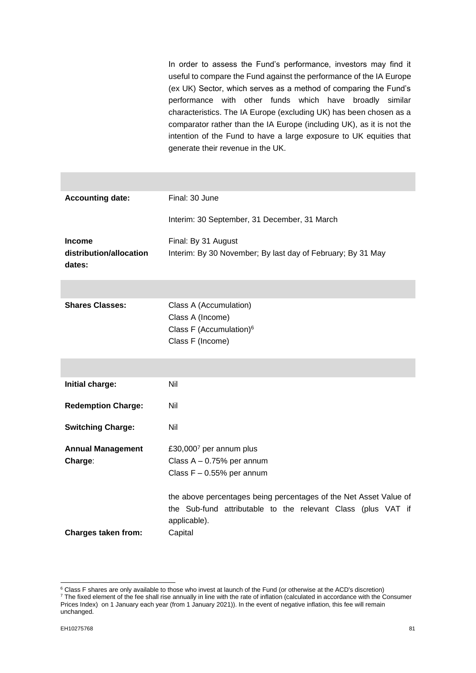In order to assess the Fund's performance, investors may find it useful to compare the Fund against the performance of the IA Europe (ex UK) Sector, which serves as a method of comparing the Fund's performance with other funds which have broadly similar characteristics. The IA Europe (excluding UK) has been chosen as a comparator rather than the IA Europe (including UK), as it is not the intention of the Fund to have a large exposure to UK equities that generate their revenue in the UK.

| <b>Accounting date:</b>           | Final: 30 June                                                    |
|-----------------------------------|-------------------------------------------------------------------|
|                                   | Interim: 30 September, 31 December, 31 March                      |
| <b>Income</b>                     | Final: By 31 August                                               |
| distribution/allocation<br>dates: | Interim: By 30 November; By last day of February; By 31 May       |
|                                   |                                                                   |
| <b>Shares Classes:</b>            | Class A (Accumulation)                                            |
|                                   | Class A (Income)                                                  |
|                                   | Class F (Accumulation) <sup>6</sup>                               |
|                                   | Class F (Income)                                                  |
|                                   |                                                                   |
|                                   |                                                                   |
| Initial charge:                   | Nil                                                               |
| <b>Redemption Charge:</b>         | Nil                                                               |
| <b>Switching Charge:</b>          | Nil                                                               |
| <b>Annual Management</b>          | £30,0007 per annum plus                                           |
| Charge:                           | Class $A - 0.75%$ per annum                                       |
|                                   | Class $F - 0.55%$ per annum                                       |
|                                   |                                                                   |
|                                   | the above percentages being percentages of the Net Asset Value of |
|                                   | the Sub-fund attributable to the relevant Class (plus VAT if      |
|                                   | applicable).                                                      |
| <b>Charges taken from:</b>        | Capital                                                           |

<sup>&</sup>lt;sup>6</sup> Class F shares are only available to those who invest at launch of the Fund (or otherwise at the ACD's discretion)

<sup>&</sup>lt;sup>7</sup> The fixed element of the fee shall rise annually in line with the rate of inflation (calculated in accordance with the Consumer Prices Index) on 1 January each year (from 1 January 2021)). In the event of negative inflation, this fee will remain unchanged.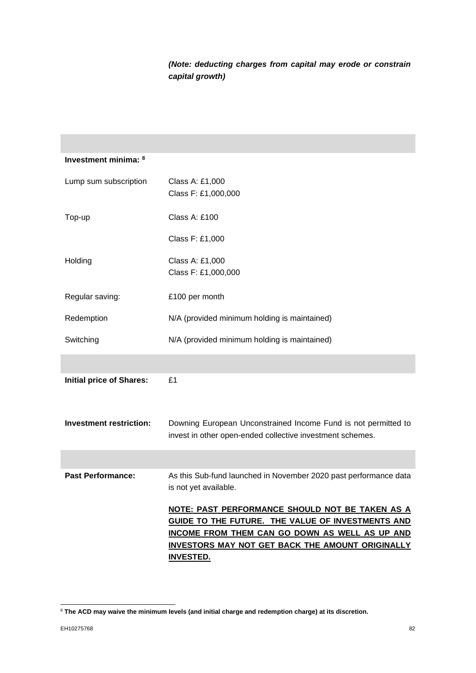# *(Note: deducting charges from capital may erode or constrain capital growth)*

| Class A: £1,000                                                                                                             |
|-----------------------------------------------------------------------------------------------------------------------------|
| Class F: £1,000,000                                                                                                         |
| Class A: £100                                                                                                               |
| Class F: £1,000                                                                                                             |
| Class A: £1,000                                                                                                             |
| Class F: £1,000,000                                                                                                         |
| £100 per month                                                                                                              |
| N/A (provided minimum holding is maintained)                                                                                |
| N/A (provided minimum holding is maintained)                                                                                |
|                                                                                                                             |
| £1                                                                                                                          |
| Downing European Unconstrained Income Fund is not permitted to<br>invest in other open-ended collective investment schemes. |
|                                                                                                                             |
| As this Sub-fund launched in November 2020 past performance data<br>is not yet available.                                   |
| NOTE: PAST PERFORMANCE SHOULD NOT BE TAKEN AS A                                                                             |
| GUIDE TO THE FUTURE. THE VALUE OF INVESTMENTS AND                                                                           |
| INCOME FROM THEM CAN GO DOWN AS WELL AS UP AND<br>INVESTORS MAY NOT GET BACK THE AMOUNT ORIGINALLY                          |
| <u>INVESTED.</u>                                                                                                            |
|                                                                                                                             |

<sup>8</sup> **The ACD may waive the minimum levels (and initial charge and redemption charge) at its discretion.**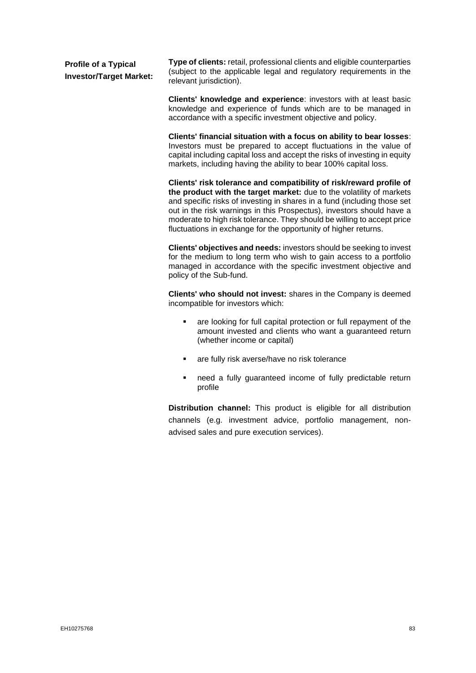| <b>Profile of a Typical</b>    | <b>Type of clients:</b> retail, professional clients and eligible counterparties |  |
|--------------------------------|----------------------------------------------------------------------------------|--|
| <b>Investor/Target Market:</b> | (subject to the applicable legal and regulatory requirements in the              |  |
|                                | relevant jurisdiction).                                                          |  |

**Clients' knowledge and experience**: investors with at least basic knowledge and experience of funds which are to be managed in accordance with a specific investment objective and policy.

**Clients' financial situation with a focus on ability to bear losses**: Investors must be prepared to accept fluctuations in the value of capital including capital loss and accept the risks of investing in equity markets, including having the ability to bear 100% capital loss.

**Clients' risk tolerance and compatibility of risk/reward profile of the product with the target market:** due to the volatility of markets and specific risks of investing in shares in a fund (including those set out in the risk warnings in this Prospectus), investors should have a moderate to high risk tolerance. They should be willing to accept price fluctuations in exchange for the opportunity of higher returns.

**Clients' objectives and needs:** investors should be seeking to invest for the medium to long term who wish to gain access to a portfolio managed in accordance with the specific investment objective and policy of the Sub-fund.

**Clients' who should not invest:** shares in the Company is deemed incompatible for investors which:

- are looking for full capital protection or full repayment of the amount invested and clients who want a guaranteed return (whether income or capital)
- are fully risk averse/have no risk tolerance
- need a fully guaranteed income of fully predictable return profile

**Distribution channel:** This product is eligible for all distribution channels (e.g. investment advice, portfolio management, nonadvised sales and pure execution services).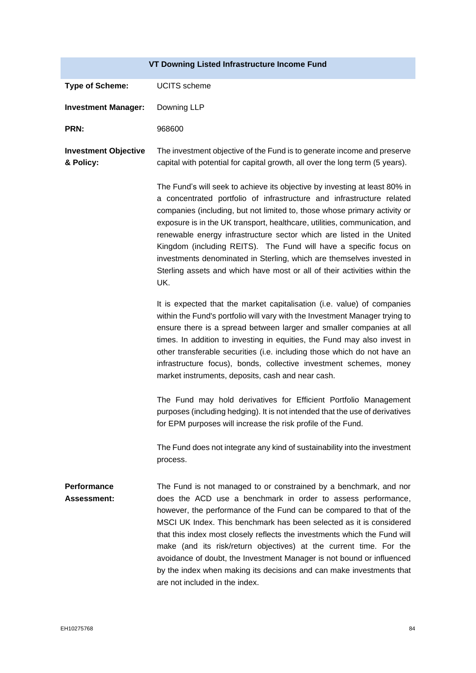| VT Downing Listed Infrastructure Income Fund |                                                                                                                                                                                                                                                                                                                                                                                                                                                                                                                                                                                                                           |  |
|----------------------------------------------|---------------------------------------------------------------------------------------------------------------------------------------------------------------------------------------------------------------------------------------------------------------------------------------------------------------------------------------------------------------------------------------------------------------------------------------------------------------------------------------------------------------------------------------------------------------------------------------------------------------------------|--|
| <b>Type of Scheme:</b>                       | <b>UCITS</b> scheme                                                                                                                                                                                                                                                                                                                                                                                                                                                                                                                                                                                                       |  |
| <b>Investment Manager:</b>                   | Downing LLP                                                                                                                                                                                                                                                                                                                                                                                                                                                                                                                                                                                                               |  |
| <b>PRN:</b>                                  | 968600                                                                                                                                                                                                                                                                                                                                                                                                                                                                                                                                                                                                                    |  |
| <b>Investment Objective</b><br>& Policy:     | The investment objective of the Fund is to generate income and preserve<br>capital with potential for capital growth, all over the long term (5 years).                                                                                                                                                                                                                                                                                                                                                                                                                                                                   |  |
|                                              | The Fund's will seek to achieve its objective by investing at least 80% in<br>a concentrated portfolio of infrastructure and infrastructure related<br>companies (including, but not limited to, those whose primary activity or<br>exposure is in the UK transport, healthcare, utilities, communication, and<br>renewable energy infrastructure sector which are listed in the United<br>Kingdom (including REITS). The Fund will have a specific focus on<br>investments denominated in Sterling, which are themselves invested in<br>Sterling assets and which have most or all of their activities within the<br>UK. |  |
|                                              | It is expected that the market capitalisation (i.e. value) of companies<br>within the Fund's portfolio will vary with the Investment Manager trying to<br>ensure there is a spread between larger and smaller companies at all<br>times. In addition to investing in equities, the Fund may also invest in<br>other transferable securities (i.e. including those which do not have an<br>infrastructure focus), bonds, collective investment schemes, money<br>market instruments, deposits, cash and near cash.                                                                                                         |  |
|                                              | The Fund may hold derivatives for Efficient Portfolio Management<br>purposes (including hedging). It is not intended that the use of derivatives<br>for EPM purposes will increase the risk profile of the Fund.                                                                                                                                                                                                                                                                                                                                                                                                          |  |
|                                              | The Fund does not integrate any kind of sustainability into the investment<br>process.                                                                                                                                                                                                                                                                                                                                                                                                                                                                                                                                    |  |
| Performance<br><b>Assessment:</b>            | The Fund is not managed to or constrained by a benchmark, and nor<br>does the ACD use a benchmark in order to assess performance,<br>however, the performance of the Fund can be compared to that of the<br>MSCI UK Index. This benchmark has been selected as it is considered<br>that this index most closely reflects the investments which the Fund will<br>make (and its risk/return objectives) at the current time. For the<br>avoidance of doubt, the Investment Manager is not bound or influenced<br>by the index when making its decisions and can make investments that<br>are not included in the index.     |  |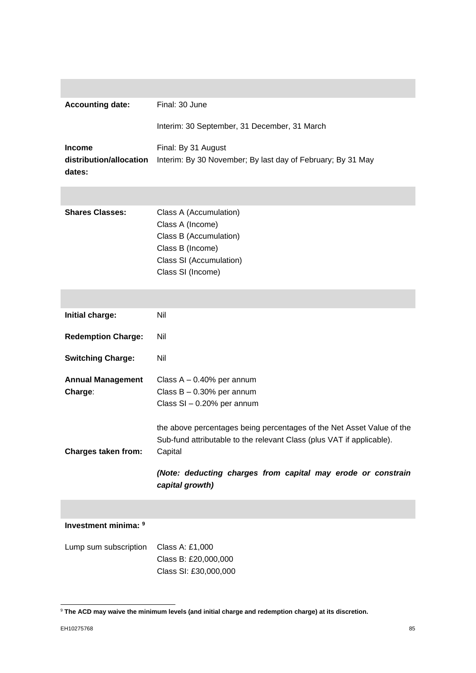| <b>Accounting date:</b>                            | Final: 30 June                                                                                                                                            |
|----------------------------------------------------|-----------------------------------------------------------------------------------------------------------------------------------------------------------|
|                                                    | Interim: 30 September, 31 December, 31 March                                                                                                              |
| <b>Income</b><br>distribution/allocation<br>dates: | Final: By 31 August<br>Interim: By 30 November; By last day of February; By 31 May                                                                        |
|                                                    |                                                                                                                                                           |
| <b>Shares Classes:</b>                             | Class A (Accumulation)<br>Class A (Income)<br>Class B (Accumulation)<br>Class B (Income)<br>Class SI (Accumulation)<br>Class SI (Income)                  |
|                                                    |                                                                                                                                                           |
| Initial charge:                                    | Nil                                                                                                                                                       |
| <b>Redemption Charge:</b>                          | Nil                                                                                                                                                       |
| <b>Switching Charge:</b>                           | Nil                                                                                                                                                       |
| <b>Annual Management</b><br>Charge:                | Class $A - 0.40\%$ per annum<br>Class $B - 0.30%$ per annum<br>Class SI - 0.20% per annum                                                                 |
| <b>Charges taken from:</b>                         | the above percentages being percentages of the Net Asset Value of the<br>Sub-fund attributable to the relevant Class (plus VAT if applicable).<br>Capital |
|                                                    | (Note: deducting charges from capital may erode or constrain<br>capital growth)                                                                           |
|                                                    |                                                                                                                                                           |

# **Investment minima: <sup>9</sup>**

Lump sum subscription Class A: £1,000 Class B: £20,000,000 Class SI: £30,000,000

<sup>9</sup> **The ACD may waive the minimum levels (and initial charge and redemption charge) at its discretion.**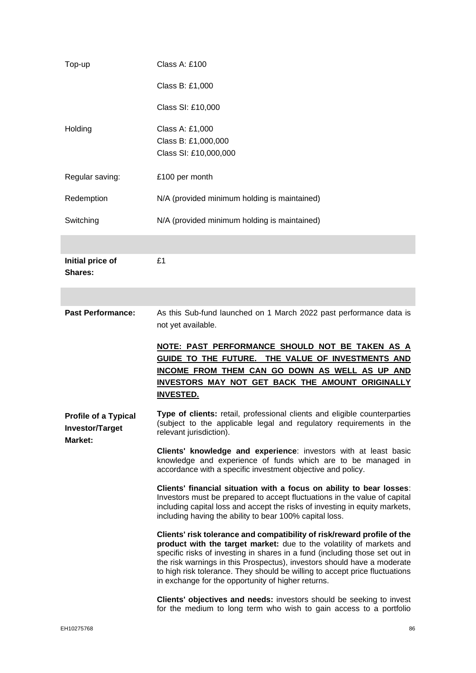| Top-up                                                | Class A: £100                                                                                                                                                                                                                                                                                                                                                                                                                                  |
|-------------------------------------------------------|------------------------------------------------------------------------------------------------------------------------------------------------------------------------------------------------------------------------------------------------------------------------------------------------------------------------------------------------------------------------------------------------------------------------------------------------|
|                                                       | Class B: £1,000                                                                                                                                                                                                                                                                                                                                                                                                                                |
|                                                       | Class SI: £10,000                                                                                                                                                                                                                                                                                                                                                                                                                              |
| Holding                                               | Class A: £1,000<br>Class B: £1,000,000<br>Class SI: £10,000,000                                                                                                                                                                                                                                                                                                                                                                                |
| Regular saving:                                       | £100 per month                                                                                                                                                                                                                                                                                                                                                                                                                                 |
| Redemption                                            | N/A (provided minimum holding is maintained)                                                                                                                                                                                                                                                                                                                                                                                                   |
| Switching                                             | N/A (provided minimum holding is maintained)                                                                                                                                                                                                                                                                                                                                                                                                   |
|                                                       |                                                                                                                                                                                                                                                                                                                                                                                                                                                |
| Initial price of<br><b>Shares:</b>                    | £1                                                                                                                                                                                                                                                                                                                                                                                                                                             |
|                                                       |                                                                                                                                                                                                                                                                                                                                                                                                                                                |
| <b>Past Performance:</b>                              | As this Sub-fund launched on 1 March 2022 past performance data is<br>not yet available.                                                                                                                                                                                                                                                                                                                                                       |
|                                                       |                                                                                                                                                                                                                                                                                                                                                                                                                                                |
|                                                       | NOTE: PAST PERFORMANCE SHOULD NOT BE TAKEN AS A<br>GUIDE TO THE FUTURE. THE VALUE OF INVESTMENTS AND<br>INCOME FROM THEM CAN GO DOWN AS WELL AS UP AND<br><b>INVESTORS MAY NOT GET BACK THE AMOUNT ORIGINALLY</b><br><b>INVESTED.</b>                                                                                                                                                                                                          |
| <b>Profile of a Typical</b><br><b>Investor/Target</b> | Type of clients: retail, professional clients and eligible counterparties<br>(subject to the applicable legal and regulatory requirements in the<br>relevant jurisdiction).                                                                                                                                                                                                                                                                    |
| Market:                                               | Clients' knowledge and experience: investors with at least basic<br>knowledge and experience of funds which are to be managed in<br>accordance with a specific investment objective and policy.                                                                                                                                                                                                                                                |
|                                                       | Clients' financial situation with a focus on ability to bear losses:<br>Investors must be prepared to accept fluctuations in the value of capital<br>including capital loss and accept the risks of investing in equity markets,<br>including having the ability to bear 100% capital loss.                                                                                                                                                    |
|                                                       | Clients' risk tolerance and compatibility of risk/reward profile of the<br>product with the target market: due to the volatility of markets and<br>specific risks of investing in shares in a fund (including those set out in<br>the risk warnings in this Prospectus), investors should have a moderate<br>to high risk tolerance. They should be willing to accept price fluctuations<br>in exchange for the opportunity of higher returns. |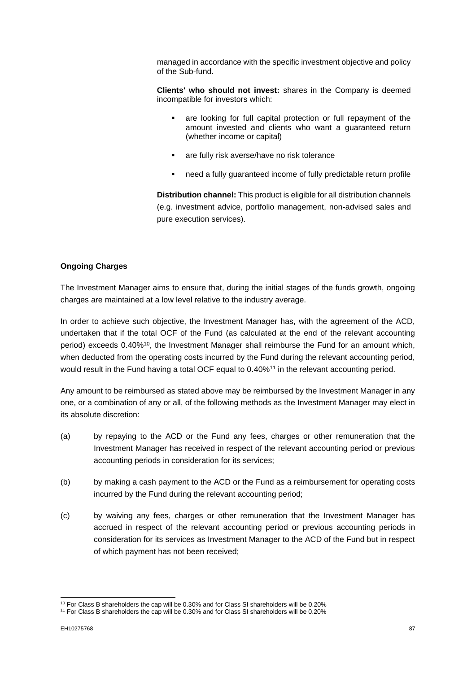managed in accordance with the specific investment objective and policy of the Sub-fund.

**Clients' who should not invest:** shares in the Company is deemed incompatible for investors which:

- are looking for full capital protection or full repayment of the amount invested and clients who want a guaranteed return (whether income or capital)
- are fully risk averse/have no risk tolerance
- need a fully guaranteed income of fully predictable return profile

**Distribution channel:** This product is eligible for all distribution channels (e.g. investment advice, portfolio management, non-advised sales and pure execution services).

#### **Ongoing Charges**

The Investment Manager aims to ensure that, during the initial stages of the funds growth, ongoing charges are maintained at a low level relative to the industry average.

In order to achieve such objective, the Investment Manager has, with the agreement of the ACD, undertaken that if the total OCF of the Fund (as calculated at the end of the relevant accounting period) exceeds 0.40%<sup>10</sup>, the Investment Manager shall reimburse the Fund for an amount which, when deducted from the operating costs incurred by the Fund during the relevant accounting period, would result in the Fund having a total OCF equal to 0.40%<sup>11</sup> in the relevant accounting period.

Any amount to be reimbursed as stated above may be reimbursed by the Investment Manager in any one, or a combination of any or all, of the following methods as the Investment Manager may elect in its absolute discretion:

- (a) by repaying to the ACD or the Fund any fees, charges or other remuneration that the Investment Manager has received in respect of the relevant accounting period or previous accounting periods in consideration for its services;
- (b) by making a cash payment to the ACD or the Fund as a reimbursement for operating costs incurred by the Fund during the relevant accounting period;
- (c) by waiving any fees, charges or other remuneration that the Investment Manager has accrued in respect of the relevant accounting period or previous accounting periods in consideration for its services as Investment Manager to the ACD of the Fund but in respect of which payment has not been received;

<sup>&</sup>lt;sup>10</sup> For Class B shareholders the cap will be 0.30% and for Class SI shareholders will be 0.20%

<sup>&</sup>lt;sup>11</sup> For Class B shareholders the cap will be 0.30% and for Class SI shareholders will be 0.20%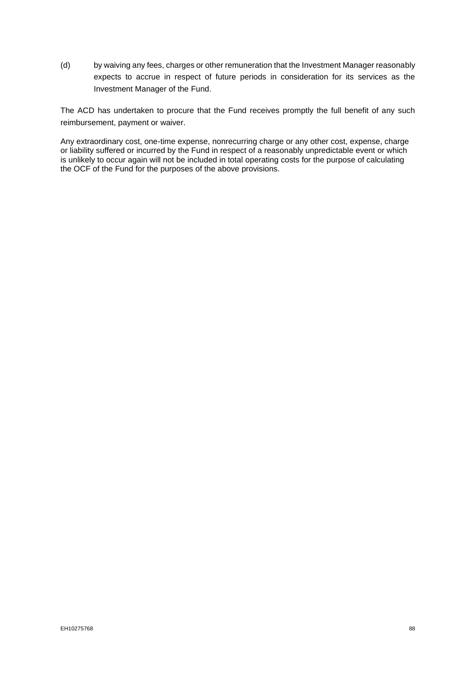(d) by waiving any fees, charges or other remuneration that the Investment Manager reasonably expects to accrue in respect of future periods in consideration for its services as the Investment Manager of the Fund.

The ACD has undertaken to procure that the Fund receives promptly the full benefit of any such reimbursement, payment or waiver.

Any extraordinary cost, one-time expense, nonrecurring charge or any other cost, expense, charge or liability suffered or incurred by the Fund in respect of a reasonably unpredictable event or which is unlikely to occur again will not be included in total operating costs for the purpose of calculating the OCF of the Fund for the purposes of the above provisions.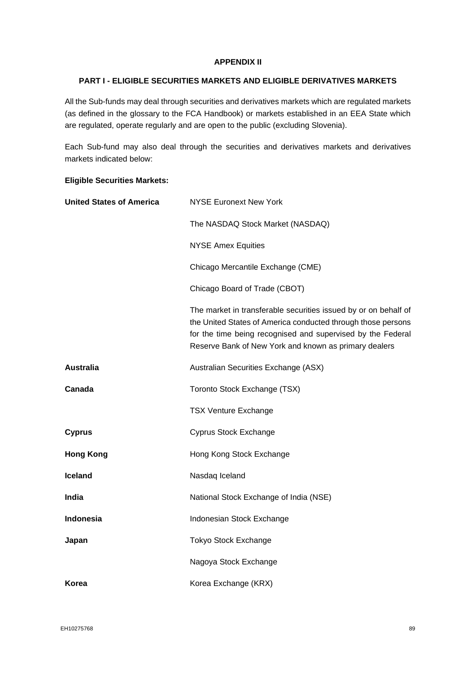#### **APPENDIX II**

### **PART I - ELIGIBLE SECURITIES MARKETS AND ELIGIBLE DERIVATIVES MARKETS**

All the Sub-funds may deal through securities and derivatives markets which are regulated markets (as defined in the glossary to the FCA Handbook) or markets established in an EEA State which are regulated, operate regularly and are open to the public (excluding Slovenia).

Each Sub-fund may also deal through the securities and derivatives markets and derivatives markets indicated below:

### **Eligible Securities Markets:**

| <b>United States of America</b> | <b>NYSE Euronext New York</b>                                                                                                                                                                                                                           |
|---------------------------------|---------------------------------------------------------------------------------------------------------------------------------------------------------------------------------------------------------------------------------------------------------|
|                                 | The NASDAQ Stock Market (NASDAQ)                                                                                                                                                                                                                        |
|                                 | <b>NYSE Amex Equities</b>                                                                                                                                                                                                                               |
|                                 | Chicago Mercantile Exchange (CME)                                                                                                                                                                                                                       |
|                                 | Chicago Board of Trade (CBOT)                                                                                                                                                                                                                           |
|                                 | The market in transferable securities issued by or on behalf of<br>the United States of America conducted through those persons<br>for the time being recognised and supervised by the Federal<br>Reserve Bank of New York and known as primary dealers |
| <b>Australia</b>                | Australian Securities Exchange (ASX)                                                                                                                                                                                                                    |
| Canada                          | Toronto Stock Exchange (TSX)                                                                                                                                                                                                                            |
|                                 | <b>TSX Venture Exchange</b>                                                                                                                                                                                                                             |
| <b>Cyprus</b>                   | Cyprus Stock Exchange                                                                                                                                                                                                                                   |
| <b>Hong Kong</b>                | Hong Kong Stock Exchange                                                                                                                                                                                                                                |
| <b>Iceland</b>                  | Nasdaq Iceland                                                                                                                                                                                                                                          |
| India                           | National Stock Exchange of India (NSE)                                                                                                                                                                                                                  |
| Indonesia                       | Indonesian Stock Exchange                                                                                                                                                                                                                               |
| Japan                           | <b>Tokyo Stock Exchange</b>                                                                                                                                                                                                                             |
|                                 | Nagoya Stock Exchange                                                                                                                                                                                                                                   |
| Korea                           | Korea Exchange (KRX)                                                                                                                                                                                                                                    |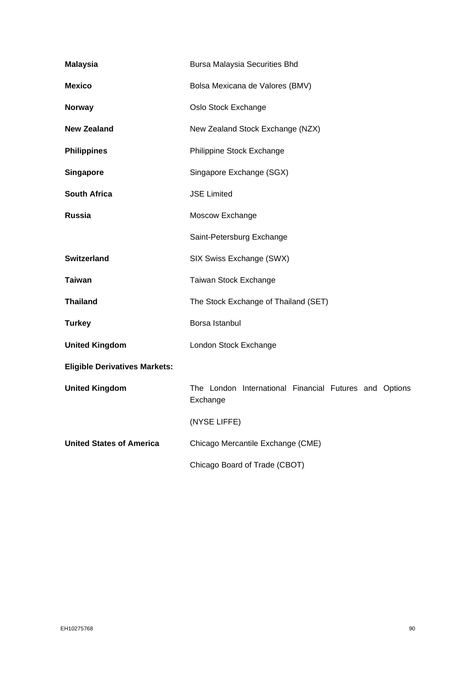| <b>Malaysia</b>                      | <b>Bursa Malaysia Securities Bhd</b>                               |
|--------------------------------------|--------------------------------------------------------------------|
| <b>Mexico</b>                        | Bolsa Mexicana de Valores (BMV)                                    |
| <b>Norway</b>                        | Oslo Stock Exchange                                                |
| <b>New Zealand</b>                   | New Zealand Stock Exchange (NZX)                                   |
| <b>Philippines</b>                   | Philippine Stock Exchange                                          |
| <b>Singapore</b>                     | Singapore Exchange (SGX)                                           |
| <b>South Africa</b>                  | <b>JSE Limited</b>                                                 |
| <b>Russia</b>                        | Moscow Exchange                                                    |
|                                      | Saint-Petersburg Exchange                                          |
| <b>Switzerland</b>                   | SIX Swiss Exchange (SWX)                                           |
| <b>Taiwan</b>                        | Taiwan Stock Exchange                                              |
| <b>Thailand</b>                      | The Stock Exchange of Thailand (SET)                               |
| <b>Turkey</b>                        | Borsa Istanbul                                                     |
| <b>United Kingdom</b>                | London Stock Exchange                                              |
| <b>Eligible Derivatives Markets:</b> |                                                                    |
| <b>United Kingdom</b>                | The London International Financial Futures and Options<br>Exchange |
|                                      | (NYSE LIFFE)                                                       |
| <b>United States of America</b>      | Chicago Mercantile Exchange (CME)                                  |
|                                      | Chicago Board of Trade (CBOT)                                      |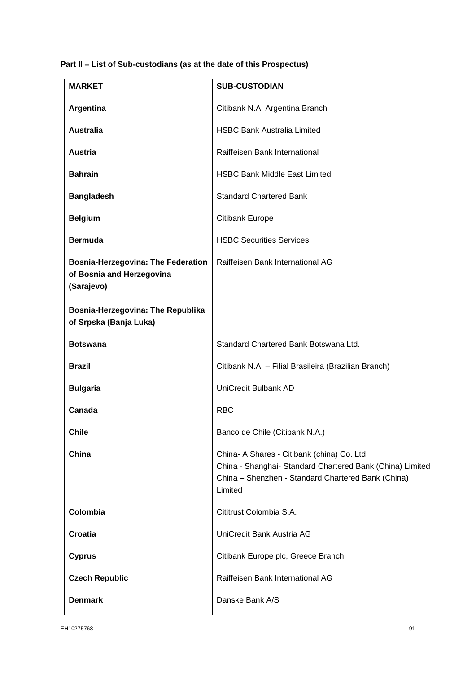# **Part II – List of Sub-custodians (as at the date of this Prospectus)**

| <b>MARKET</b>                                                                        | <b>SUB-CUSTODIAN</b>                                                                                                                                                     |
|--------------------------------------------------------------------------------------|--------------------------------------------------------------------------------------------------------------------------------------------------------------------------|
| Argentina                                                                            | Citibank N.A. Argentina Branch                                                                                                                                           |
| <b>Australia</b>                                                                     | <b>HSBC Bank Australia Limited</b>                                                                                                                                       |
| <b>Austria</b>                                                                       | Raiffeisen Bank International                                                                                                                                            |
| <b>Bahrain</b>                                                                       | <b>HSBC Bank Middle East Limited</b>                                                                                                                                     |
| <b>Bangladesh</b>                                                                    | <b>Standard Chartered Bank</b>                                                                                                                                           |
| <b>Belgium</b>                                                                       | <b>Citibank Europe</b>                                                                                                                                                   |
| <b>Bermuda</b>                                                                       | <b>HSBC Securities Services</b>                                                                                                                                          |
| <b>Bosnia-Herzegovina: The Federation</b><br>of Bosnia and Herzegovina<br>(Sarajevo) | Raiffeisen Bank International AG                                                                                                                                         |
| Bosnia-Herzegovina: The Republika<br>of Srpska (Banja Luka)                          |                                                                                                                                                                          |
| <b>Botswana</b>                                                                      | Standard Chartered Bank Botswana Ltd.                                                                                                                                    |
| <b>Brazil</b>                                                                        | Citibank N.A. - Filial Brasileira (Brazilian Branch)                                                                                                                     |
| <b>Bulgaria</b>                                                                      | UniCredit Bulbank AD                                                                                                                                                     |
| Canada                                                                               | <b>RBC</b>                                                                                                                                                               |
| <b>Chile</b>                                                                         | Banco de Chile (Citibank N.A.)                                                                                                                                           |
| China                                                                                | China- A Shares - Citibank (china) Co. Ltd<br>China - Shanghai- Standard Chartered Bank (China) Limited<br>China - Shenzhen - Standard Chartered Bank (China)<br>Limited |
| Colombia                                                                             | Cititrust Colombia S.A.                                                                                                                                                  |
| Croatia                                                                              | UniCredit Bank Austria AG                                                                                                                                                |
| <b>Cyprus</b>                                                                        | Citibank Europe plc, Greece Branch                                                                                                                                       |
| <b>Czech Republic</b>                                                                | Raiffeisen Bank International AG                                                                                                                                         |
| <b>Denmark</b>                                                                       | Danske Bank A/S                                                                                                                                                          |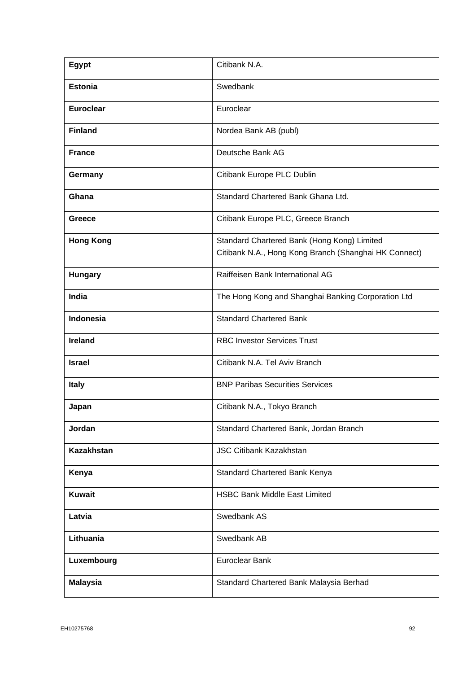| <b>Egypt</b>      | Citibank N.A.                                                                                        |
|-------------------|------------------------------------------------------------------------------------------------------|
| <b>Estonia</b>    | Swedbank                                                                                             |
| <b>Euroclear</b>  | Euroclear                                                                                            |
| <b>Finland</b>    | Nordea Bank AB (publ)                                                                                |
| <b>France</b>     | Deutsche Bank AG                                                                                     |
| Germany           | Citibank Europe PLC Dublin                                                                           |
| Ghana             | Standard Chartered Bank Ghana Ltd.                                                                   |
| Greece            | Citibank Europe PLC, Greece Branch                                                                   |
| <b>Hong Kong</b>  | Standard Chartered Bank (Hong Kong) Limited<br>Citibank N.A., Hong Kong Branch (Shanghai HK Connect) |
| <b>Hungary</b>    | Raiffeisen Bank International AG                                                                     |
| India             | The Hong Kong and Shanghai Banking Corporation Ltd                                                   |
| Indonesia         | <b>Standard Chartered Bank</b>                                                                       |
| <b>Ireland</b>    | <b>RBC Investor Services Trust</b>                                                                   |
| <b>Israel</b>     | Citibank N.A. Tel Aviv Branch                                                                        |
| <b>Italy</b>      | <b>BNP Paribas Securities Services</b>                                                               |
| Japan             | Citibank N.A., Tokyo Branch                                                                          |
| Jordan            | Standard Chartered Bank, Jordan Branch                                                               |
| <b>Kazakhstan</b> | <b>JSC Citibank Kazakhstan</b>                                                                       |
| Kenya             | Standard Chartered Bank Kenya                                                                        |
| <b>Kuwait</b>     | <b>HSBC Bank Middle East Limited</b>                                                                 |
| Latvia            | Swedbank AS                                                                                          |
| Lithuania         | Swedbank AB                                                                                          |
| Luxembourg        | <b>Euroclear Bank</b>                                                                                |
| <b>Malaysia</b>   | Standard Chartered Bank Malaysia Berhad                                                              |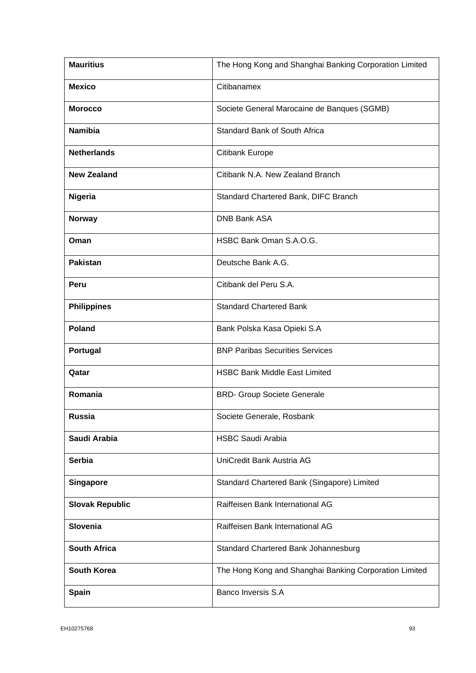| <b>Mauritius</b>       | The Hong Kong and Shanghai Banking Corporation Limited |
|------------------------|--------------------------------------------------------|
| <b>Mexico</b>          | Citibanamex                                            |
| <b>Morocco</b>         | Societe General Marocaine de Banques (SGMB)            |
| <b>Namibia</b>         | <b>Standard Bank of South Africa</b>                   |
| <b>Netherlands</b>     | Citibank Europe                                        |
| <b>New Zealand</b>     | Citibank N.A. New Zealand Branch                       |
| Nigeria                | Standard Chartered Bank, DIFC Branch                   |
| <b>Norway</b>          | <b>DNB Bank ASA</b>                                    |
| Oman                   | HSBC Bank Oman S.A.O.G.                                |
| <b>Pakistan</b>        | Deutsche Bank A.G.                                     |
| Peru                   | Citibank del Peru S.A.                                 |
| <b>Philippines</b>     | <b>Standard Chartered Bank</b>                         |
| Poland                 | Bank Polska Kasa Opieki S.A                            |
| Portugal               | <b>BNP Paribas Securities Services</b>                 |
| Qatar                  | <b>HSBC Bank Middle East Limited</b>                   |
| Romania                | <b>BRD- Group Societe Generale</b>                     |
| <b>Russia</b>          | Societe Generale, Rosbank                              |
| Saudi Arabia           | <b>HSBC Saudi Arabia</b>                               |
| <b>Serbia</b>          | UniCredit Bank Austria AG                              |
| <b>Singapore</b>       | Standard Chartered Bank (Singapore) Limited            |
| <b>Slovak Republic</b> | Raiffeisen Bank International AG                       |
| Slovenia               | Raiffeisen Bank International AG                       |
| <b>South Africa</b>    | Standard Chartered Bank Johannesburg                   |
| <b>South Korea</b>     | The Hong Kong and Shanghai Banking Corporation Limited |
| <b>Spain</b>           | Banco Inversis S.A                                     |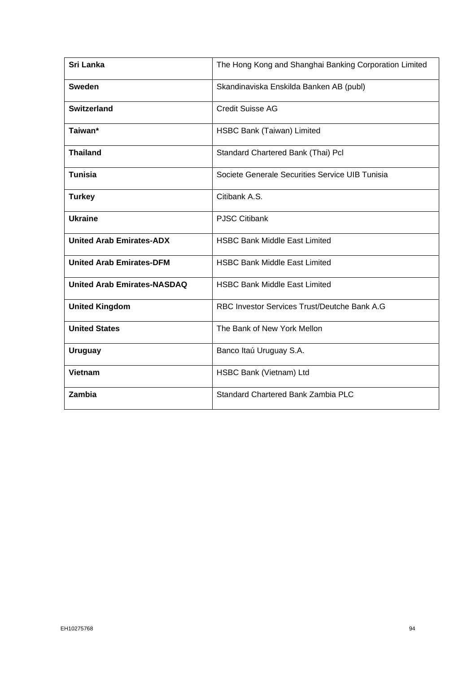| <b>Sri Lanka</b>                   | The Hong Kong and Shanghai Banking Corporation Limited |
|------------------------------------|--------------------------------------------------------|
| <b>Sweden</b>                      | Skandinaviska Enskilda Banken AB (publ)                |
| Switzerland                        | <b>Credit Suisse AG</b>                                |
| Taiwan*                            | HSBC Bank (Taiwan) Limited                             |
| <b>Thailand</b>                    | Standard Chartered Bank (Thai) Pcl                     |
| <b>Tunisia</b>                     | Societe Generale Securities Service UIB Tunisia        |
| <b>Turkey</b>                      | Citibank A.S.                                          |
| <b>Ukraine</b>                     | <b>PJSC Citibank</b>                                   |
| <b>United Arab Emirates-ADX</b>    | <b>HSBC Bank Middle East Limited</b>                   |
| <b>United Arab Emirates-DFM</b>    | <b>HSBC Bank Middle East Limited</b>                   |
| <b>United Arab Emirates-NASDAQ</b> | <b>HSBC Bank Middle East Limited</b>                   |
| <b>United Kingdom</b>              | RBC Investor Services Trust/Deutche Bank A.G           |
| <b>United States</b>               | The Bank of New York Mellon                            |
| <b>Uruguay</b>                     | Banco Itaú Uruguay S.A.                                |
| <b>Vietnam</b>                     | HSBC Bank (Vietnam) Ltd                                |
| Zambia                             | <b>Standard Chartered Bank Zambia PLC</b>              |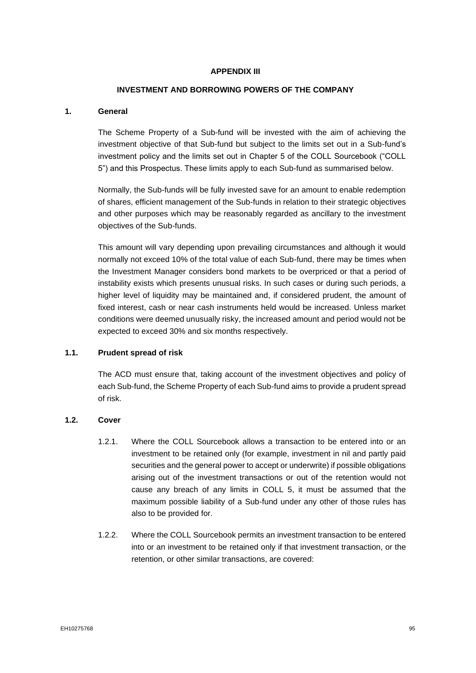#### **APPENDIX III**

#### **INVESTMENT AND BORROWING POWERS OF THE COMPANY**

#### **1. General**

The Scheme Property of a Sub-fund will be invested with the aim of achieving the investment objective of that Sub-fund but subject to the limits set out in a Sub-fund's investment policy and the limits set out in Chapter 5 of the COLL Sourcebook ("COLL 5") and this Prospectus. These limits apply to each Sub-fund as summarised below.

Normally, the Sub-funds will be fully invested save for an amount to enable redemption of shares, efficient management of the Sub-funds in relation to their strategic objectives and other purposes which may be reasonably regarded as ancillary to the investment objectives of the Sub-funds.

This amount will vary depending upon prevailing circumstances and although it would normally not exceed 10% of the total value of each Sub-fund, there may be times when the Investment Manager considers bond markets to be overpriced or that a period of instability exists which presents unusual risks. In such cases or during such periods, a higher level of liquidity may be maintained and, if considered prudent, the amount of fixed interest, cash or near cash instruments held would be increased. Unless market conditions were deemed unusually risky, the increased amount and period would not be expected to exceed 30% and six months respectively.

#### **1.1. Prudent spread of risk**

The ACD must ensure that, taking account of the investment objectives and policy of each Sub-fund, the Scheme Property of each Sub-fund aims to provide a prudent spread of risk.

#### **1.2. Cover**

- 1.2.1. Where the COLL Sourcebook allows a transaction to be entered into or an investment to be retained only (for example, investment in nil and partly paid securities and the general power to accept or underwrite) if possible obligations arising out of the investment transactions or out of the retention would not cause any breach of any limits in COLL 5, it must be assumed that the maximum possible liability of a Sub-fund under any other of those rules has also to be provided for.
- 1.2.2. Where the COLL Sourcebook permits an investment transaction to be entered into or an investment to be retained only if that investment transaction, or the retention, or other similar transactions, are covered: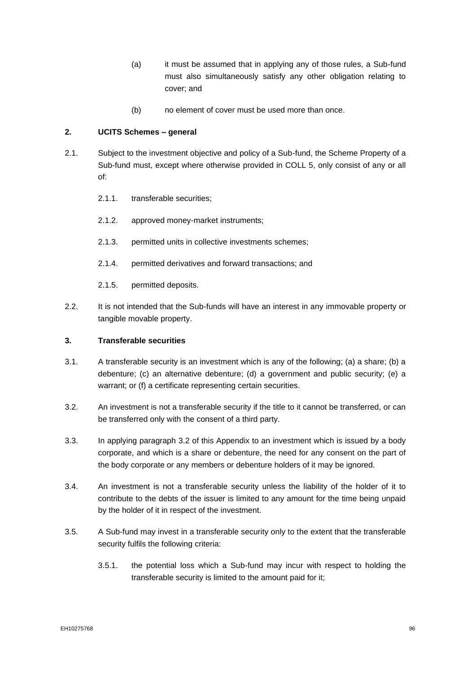- (a) it must be assumed that in applying any of those rules, a Sub-fund must also simultaneously satisfy any other obligation relating to cover; and
- (b) no element of cover must be used more than once.

#### **2. UCITS Schemes – general**

- 2.1. Subject to the investment objective and policy of a Sub-fund, the Scheme Property of a Sub-fund must, except where otherwise provided in COLL 5, only consist of any or all of:
	- 2.1.1. transferable securities;
	- 2.1.2. approved money-market instruments;
	- 2.1.3. permitted units in collective investments schemes;
	- 2.1.4. permitted derivatives and forward transactions; and
	- 2.1.5. permitted deposits.
- 2.2. It is not intended that the Sub-funds will have an interest in any immovable property or tangible movable property.

#### **3. Transferable securities**

- 3.1. A transferable security is an investment which is any of the following; (a) a share; (b) a debenture; (c) an alternative debenture; (d) a government and public security; (e) a warrant; or (f) a certificate representing certain securities.
- <span id="page-96-0"></span>3.2. An investment is not a transferable security if the title to it cannot be transferred, or can be transferred only with the consent of a third party.
- 3.3. In applying paragraph [3.2](#page-96-0) of this Appendix to an investment which is issued by a body corporate, and which is a share or debenture, the need for any consent on the part of the body corporate or any members or debenture holders of it may be ignored.
- 3.4. An investment is not a transferable security unless the liability of the holder of it to contribute to the debts of the issuer is limited to any amount for the time being unpaid by the holder of it in respect of the investment.
- <span id="page-96-1"></span>3.5. A Sub-fund may invest in a transferable security only to the extent that the transferable security fulfils the following criteria:
	- 3.5.1. the potential loss which a Sub-fund may incur with respect to holding the transferable security is limited to the amount paid for it;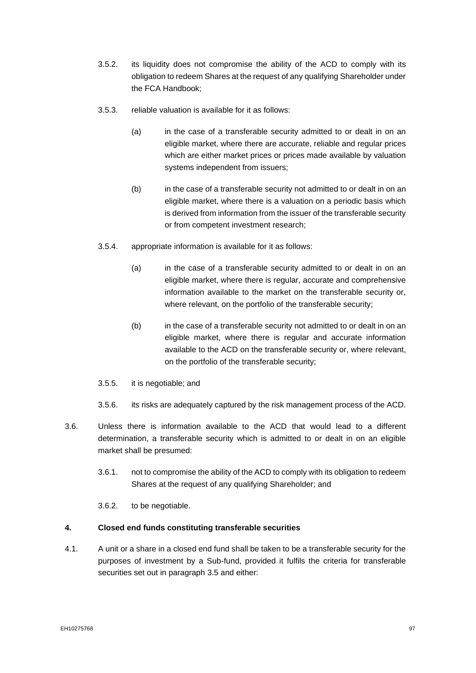- 3.5.2. its liquidity does not compromise the ability of the ACD to comply with its obligation to redeem Shares at the request of any qualifying Shareholder under the FCA Handbook;
- 3.5.3. reliable valuation is available for it as follows:
	- (a) in the case of a transferable security admitted to or dealt in on an eligible market, where there are accurate, reliable and regular prices which are either market prices or prices made available by valuation systems independent from issuers;
	- (b) in the case of a transferable security not admitted to or dealt in on an eligible market, where there is a valuation on a periodic basis which is derived from information from the issuer of the transferable security or from competent investment research;
- 3.5.4. appropriate information is available for it as follows:
	- (a) in the case of a transferable security admitted to or dealt in on an eligible market, where there is regular, accurate and comprehensive information available to the market on the transferable security or, where relevant, on the portfolio of the transferable security;
	- (b) in the case of a transferable security not admitted to or dealt in on an eligible market, where there is regular and accurate information available to the ACD on the transferable security or, where relevant, on the portfolio of the transferable security;
- 3.5.5. it is negotiable; and
- 3.5.6. its risks are adequately captured by the risk management process of the ACD.
- 3.6. Unless there is information available to the ACD that would lead to a different determination, a transferable security which is admitted to or dealt in on an eligible market shall be presumed:
	- 3.6.1. not to compromise the ability of the ACD to comply with its obligation to redeem Shares at the request of any qualifying Shareholder; and

3.6.2. to be negotiable.

#### **4. Closed end funds constituting transferable securities**

4.1. A unit or a share in a closed end fund shall be taken to be a transferable security for the purposes of investment by a Sub-fund, provided it fulfils the criteria for transferable securities set out in paragraph [3.5](#page-96-1) and either: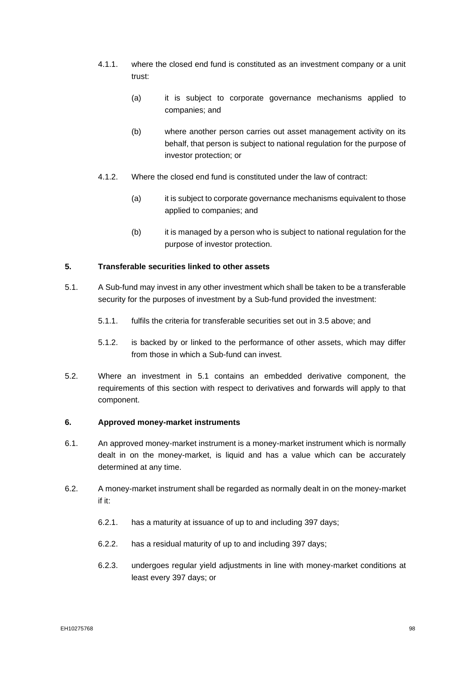- 4.1.1. where the closed end fund is constituted as an investment company or a unit trust:
	- (a) it is subject to corporate governance mechanisms applied to companies; and
	- (b) where another person carries out asset management activity on its behalf, that person is subject to national regulation for the purpose of investor protection; or
- 4.1.2. Where the closed end fund is constituted under the law of contract:
	- (a) it is subject to corporate governance mechanisms equivalent to those applied to companies; and
	- (b) it is managed by a person who is subject to national regulation for the purpose of investor protection.

#### **5. Transferable securities linked to other assets**

- <span id="page-98-0"></span>5.1. A Sub-fund may invest in any other investment which shall be taken to be a transferable security for the purposes of investment by a Sub-fund provided the investment:
	- 5.1.1. fulfils the criteria for transferable securities set out in [3.5](#page-96-1) above; and
	- 5.1.2. is backed by or linked to the performance of other assets, which may differ from those in which a Sub-fund can invest.
- 5.2. Where an investment in [5.1](#page-98-0) contains an embedded derivative component, the requirements of this section with respect to derivatives and forwards will apply to that component.

#### **6. Approved money-market instruments**

- 6.1. An approved money-market instrument is a money-market instrument which is normally dealt in on the money-market, is liquid and has a value which can be accurately determined at any time.
- <span id="page-98-3"></span><span id="page-98-2"></span><span id="page-98-1"></span>6.2. A money-market instrument shall be regarded as normally dealt in on the money-market if it:
	- 6.2.1. has a maturity at issuance of up to and including 397 days;
	- 6.2.2. has a residual maturity of up to and including 397 days;
	- 6.2.3. undergoes regular yield adjustments in line with money-market conditions at least every 397 days; or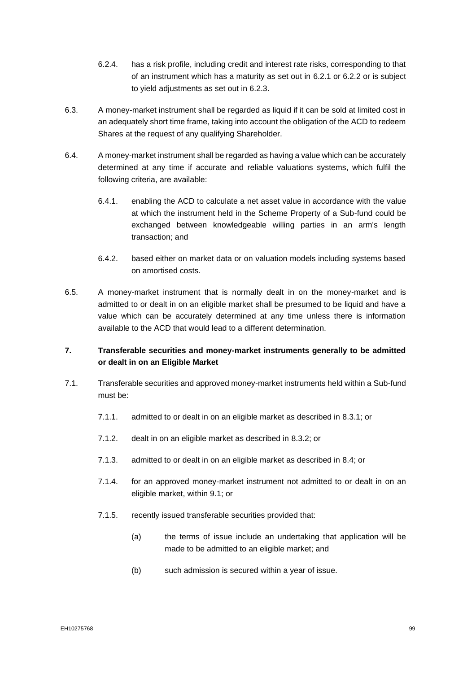- 6.2.4. has a risk profile, including credit and interest rate risks, corresponding to that of an instrument which has a maturity as set out in [6.2.1](#page-98-1) or [6.2.2](#page-98-2) or is subject to yield adjustments as set out in [6.2.3.](#page-98-3)
- 6.3. A money-market instrument shall be regarded as liquid if it can be sold at limited cost in an adequately short time frame, taking into account the obligation of the ACD to redeem Shares at the request of any qualifying Shareholder.
- 6.4. A money-market instrument shall be regarded as having a value which can be accurately determined at any time if accurate and reliable valuations systems, which fulfil the following criteria, are available:
	- 6.4.1. enabling the ACD to calculate a net asset value in accordance with the value at which the instrument held in the Scheme Property of a Sub-fund could be exchanged between knowledgeable willing parties in an arm's length transaction; and
	- 6.4.2. based either on market data or on valuation models including systems based on amortised costs.
- 6.5. A money-market instrument that is normally dealt in on the money-market and is admitted to or dealt in on an eligible market shall be presumed to be liquid and have a value which can be accurately determined at any time unless there is information available to the ACD that would lead to a different determination.

### **7. Transferable securities and money-market instruments generally to be admitted or dealt in on an Eligible Market**

- <span id="page-99-0"></span>7.1. Transferable securities and approved money-market instruments held within a Sub-fund must be:
	- 7.1.1. admitted to or dealt in on an eligible market as described in [8.3.1;](#page-100-0) or
	- 7.1.2. dealt in on an eligible market as described in 8.3.2; or
	- 7.1.3. admitted to or dealt in on an eligible market as described in [8.4;](#page-100-1) or
	- 7.1.4. for an approved money-market instrument not admitted to or dealt in on an eligible market, within [9.1;](#page-101-0) or
	- 7.1.5. recently issued transferable securities provided that:
		- (a) the terms of issue include an undertaking that application will be made to be admitted to an eligible market; and
		- (b) such admission is secured within a year of issue.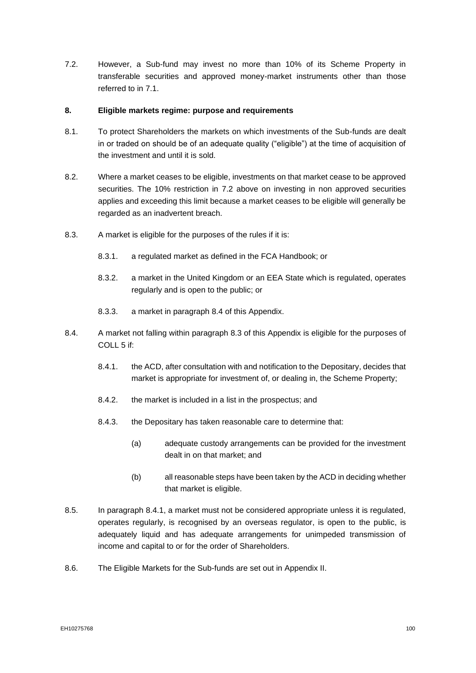<span id="page-100-2"></span>7.2. However, a Sub-fund may invest no more than 10% of its Scheme Property in transferable securities and approved money-market instruments other than those referred to in [7.1.](#page-99-0)

#### **8. Eligible markets regime: purpose and requirements**

- 8.1. To protect Shareholders the markets on which investments of the Sub-funds are dealt in or traded on should be of an adequate quality ("eligible") at the time of acquisition of the investment and until it is sold.
- 8.2. Where a market ceases to be eligible, investments on that market cease to be approved securities. The 10% restriction in [7.2](#page-100-2) above on investing in non approved securities applies and exceeding this limit because a market ceases to be eligible will generally be regarded as an inadvertent breach.
- <span id="page-100-0"></span>8.3. A market is eligible for the purposes of the rules if it is:
	- 8.3.1. a regulated market as defined in the FCA Handbook; or
	- 8.3.2. a market in the United Kingdom or an EEA State which is regulated, operates regularly and is open to the public; or
	- 8.3.3. a market in paragraph 8.4 of this Appendix.
- <span id="page-100-3"></span><span id="page-100-1"></span>8.4. A market not falling within paragraph 8.3 of this Appendix is eligible for the purposes of COLL 5 if:
	- 8.4.1. the ACD, after consultation with and notification to the Depositary, decides that market is appropriate for investment of, or dealing in, the Scheme Property;
	- 8.4.2. the market is included in a list in the prospectus; and
	- 8.4.3. the Depositary has taken reasonable care to determine that:
		- (a) adequate custody arrangements can be provided for the investment dealt in on that market; and
		- (b) all reasonable steps have been taken by the ACD in deciding whether that market is eligible.
- 8.5. In paragraph [8.4.1,](#page-100-3) a market must not be considered appropriate unless it is regulated, operates regularly, is recognised by an overseas regulator, is open to the public, is adequately liquid and has adequate arrangements for unimpeded transmission of income and capital to or for the order of Shareholders.
- 8.6. The Eligible Markets for the Sub-funds are set out in Appendix II.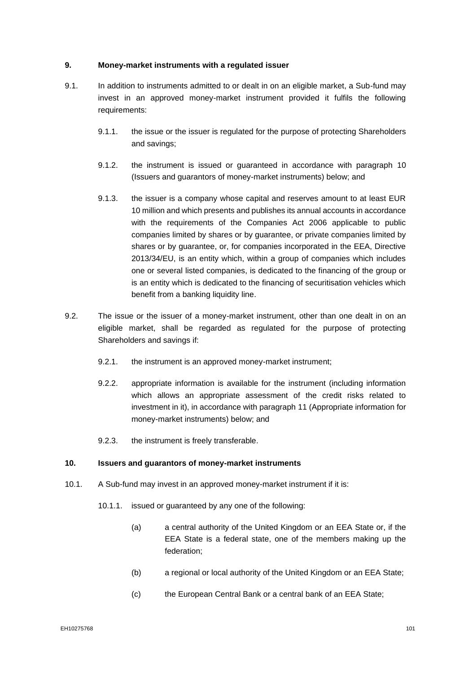#### **9. Money-market instruments with a regulated issuer**

- <span id="page-101-0"></span>9.1. In addition to instruments admitted to or dealt in on an eligible market, a Sub-fund may invest in an approved money-market instrument provided it fulfils the following requirements:
	- 9.1.1. the issue or the issuer is regulated for the purpose of protecting Shareholders and savings;
	- 9.1.2. the instrument is issued or guaranteed in accordance with paragraph [10](#page-101-1) (Issuers and guarantors of money-market instruments) below; and
	- 9.1.3. the issuer is a company whose capital and reserves amount to at least EUR 10 million and which presents and publishes its annual accounts in accordance with the requirements of the Companies Act 2006 applicable to public companies limited by shares or by guarantee, or private companies limited by shares or by guarantee, or, for companies incorporated in the EEA, Directive 2013/34/EU, is an entity which, within a group of companies which includes one or several listed companies, is dedicated to the financing of the group or is an entity which is dedicated to the financing of securitisation vehicles which benefit from a banking liquidity line.
- 9.2. The issue or the issuer of a money-market instrument, other than one dealt in on an eligible market, shall be regarded as regulated for the purpose of protecting Shareholders and savings if:
	- 9.2.1. the instrument is an approved money-market instrument;
	- 9.2.2. appropriate information is available for the instrument (including information which allows an appropriate assessment of the credit risks related to investment in it), in accordance with paragraph [11](#page-102-0) (Appropriate information for money-market instruments) below; and
	- 9.2.3. the instrument is freely transferable.

#### <span id="page-101-1"></span>**10. Issuers and guarantors of money-market instruments**

- <span id="page-101-3"></span><span id="page-101-2"></span>10.1. A Sub-fund may invest in an approved money-market instrument if it is:
	- 10.1.1. issued or guaranteed by any one of the following:
		- (a) a central authority of the United Kingdom or an EEA State or, if the EEA State is a federal state, one of the members making up the federation;
		- (b) a regional or local authority of the United Kingdom or an EEA State;
		- (c) the European Central Bank or a central bank of an EEA State;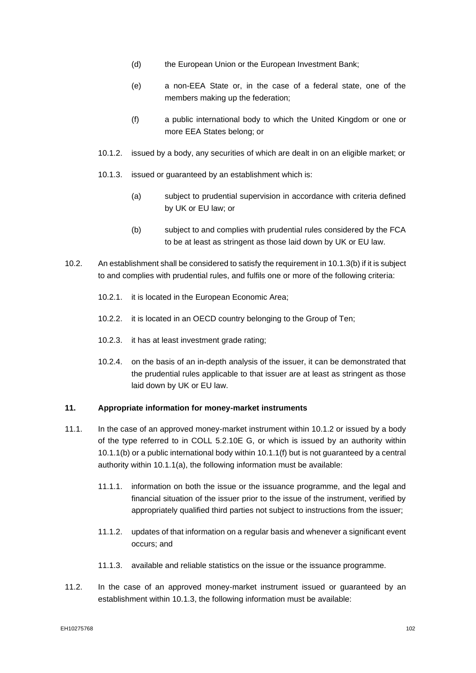- <span id="page-102-5"></span>(d) the European Union or the European Investment Bank;
- <span id="page-102-6"></span>(e) a non-EEA State or, in the case of a federal state, one of the members making up the federation;
- (f) a public international body to which the United Kingdom or one or more EEA States belong; or
- <span id="page-102-3"></span><span id="page-102-2"></span>10.1.2. issued by a body, any securities of which are dealt in on an eligible market; or
- <span id="page-102-4"></span>10.1.3. issued or guaranteed by an establishment which is:
	- (a) subject to prudential supervision in accordance with criteria defined by UK or EU law; or
	- (b) subject to and complies with prudential rules considered by the FCA to be at least as stringent as those laid down by UK or EU law.
- <span id="page-102-1"></span>10.2. An establishment shall be considered to satisfy the requirement i[n 10.1.3\(b\)](#page-102-1) if it is subject to and complies with prudential rules, and fulfils one or more of the following criteria:
	- 10.2.1. it is located in the European Economic Area;
	- 10.2.2. it is located in an OECD country belonging to the Group of Ten;
	- 10.2.3. it has at least investment grade rating;
	- 10.2.4. on the basis of an in-depth analysis of the issuer, it can be demonstrated that the prudential rules applicable to that issuer are at least as stringent as those laid down by UK or EU law.

#### <span id="page-102-0"></span>**11. Appropriate information for money-market instruments**

- 11.1. In the case of an approved money-market instrument within [10.1.2](#page-102-2) or issued by a body of the type referred to in COLL 5.2.10E G, or which is issued by an authority within [10.1.1\(b\)](#page-101-2) or a public international body within [10.1.1\(f\)](#page-102-3) but is not guaranteed by a central authority within [10.1.1\(a\),](#page-101-3) the following information must be available:
	- 11.1.1. information on both the issue or the issuance programme, and the legal and financial situation of the issuer prior to the issue of the instrument, verified by appropriately qualified third parties not subject to instructions from the issuer;
	- 11.1.2. updates of that information on a regular basis and whenever a significant event occurs; and
	- 11.1.3. available and reliable statistics on the issue or the issuance programme.
- 11.2. In the case of an approved money-market instrument issued or guaranteed by an establishment within [10.1.3,](#page-102-4) the following information must be available: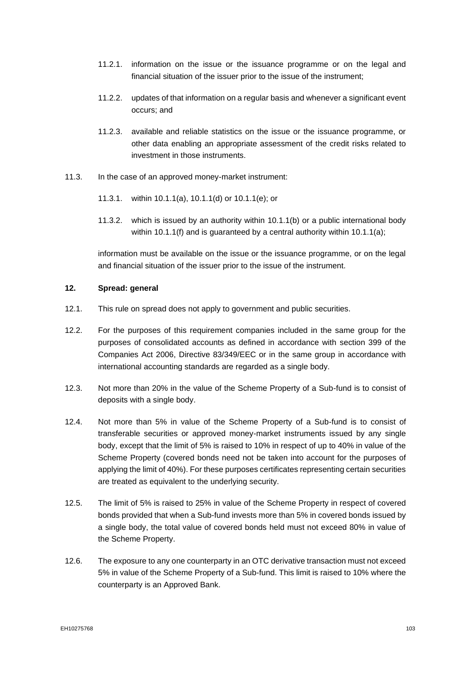- 11.2.1. information on the issue or the issuance programme or on the legal and financial situation of the issuer prior to the issue of the instrument;
- 11.2.2. updates of that information on a regular basis and whenever a significant event occurs; and
- 11.2.3. available and reliable statistics on the issue or the issuance programme, or other data enabling an appropriate assessment of the credit risks related to investment in those instruments.
- 11.3. In the case of an approved money-market instrument:
	- 11.3.1. within [10.1.1\(a\),](#page-101-3) [10.1.1\(d\)](#page-102-5) or [10.1.1\(e\);](#page-102-6) or
	- 11.3.2. which is issued by an authority within [10.1.1\(b\)](#page-101-2) or a public international body within [10.1.1\(f\)](#page-102-3) and is guaranteed by a central authority within [10.1.1\(a\);](#page-101-3)

information must be available on the issue or the issuance programme, or on the legal and financial situation of the issuer prior to the issue of the instrument.

#### <span id="page-103-5"></span>**12. Spread: general**

- <span id="page-103-4"></span>12.1. This rule on spread does not apply to government and public securities.
- 12.2. For the purposes of this requirement companies included in the same group for the purposes of consolidated accounts as defined in accordance with section 399 of the Companies Act 2006, Directive 83/349/EEC or in the same group in accordance with international accounting standards are regarded as a single body.
- <span id="page-103-0"></span>12.3. Not more than 20% in the value of the Scheme Property of a Sub-fund is to consist of deposits with a single body.
- <span id="page-103-1"></span>12.4. Not more than 5% in value of the Scheme Property of a Sub-fund is to consist of transferable securities or approved money-market instruments issued by any single body, except that the limit of 5% is raised to 10% in respect of up to 40% in value of the Scheme Property (covered bonds need not be taken into account for the purposes of applying the limit of 40%). For these purposes certificates representing certain securities are treated as equivalent to the underlying security.
- <span id="page-103-3"></span>12.5. The limit of 5% is raised to 25% in value of the Scheme Property in respect of covered bonds provided that when a Sub-fund invests more than 5% in covered bonds issued by a single body, the total value of covered bonds held must not exceed 80% in value of the Scheme Property.
- <span id="page-103-2"></span>12.6. The exposure to any one counterparty in an OTC derivative transaction must not exceed 5% in value of the Scheme Property of a Sub-fund. This limit is raised to 10% where the counterparty is an Approved Bank.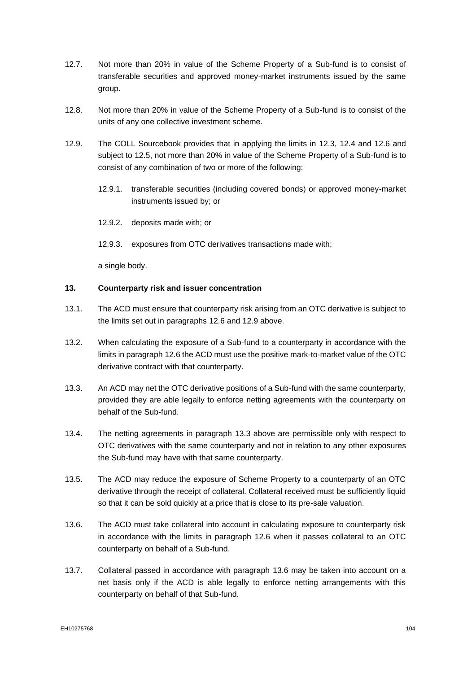- 12.7. Not more than 20% in value of the Scheme Property of a Sub-fund is to consist of transferable securities and approved money-market instruments issued by the same group.
- 12.8. Not more than 20% in value of the Scheme Property of a Sub-fund is to consist of the units of any one collective investment scheme.
- <span id="page-104-0"></span>12.9. The COLL Sourcebook provides that in applying the limits in [12.3,](#page-103-0) [12.4](#page-103-1) and [12.6](#page-103-2) and subject to [12.5,](#page-103-3) not more than 20% in value of the Scheme Property of a Sub-fund is to consist of any combination of two or more of the following:
	- 12.9.1. transferable securities (including covered bonds) or approved money-market instruments issued by; or
	- 12.9.2. deposits made with; or
	- 12.9.3. exposures from OTC derivatives transactions made with;

a single body.

#### **13. Counterparty risk and issuer concentration**

- 13.1. The ACD must ensure that counterparty risk arising from an OTC derivative is subject to the limits set out in paragraphs 12.6 and 12.9 above.
- 13.2. When calculating the exposure of a Sub-fund to a counterparty in accordance with the limits in paragraph 12.6 the ACD must use the positive mark-to-market value of the OTC derivative contract with that counterparty.
- 13.3. An ACD may net the OTC derivative positions of a Sub-fund with the same counterparty, provided they are able legally to enforce netting agreements with the counterparty on behalf of the Sub-fund.
- 13.4. The netting agreements in paragraph 13.3 above are permissible only with respect to OTC derivatives with the same counterparty and not in relation to any other exposures the Sub-fund may have with that same counterparty.
- 13.5. The ACD may reduce the exposure of Scheme Property to a counterparty of an OTC derivative through the receipt of collateral. Collateral received must be sufficiently liquid so that it can be sold quickly at a price that is close to its pre-sale valuation.
- 13.6. The ACD must take collateral into account in calculating exposure to counterparty risk in accordance with the limits in paragraph 12.6 when it passes collateral to an OTC counterparty on behalf of a Sub-fund.
- 13.7. Collateral passed in accordance with paragraph 13.6 may be taken into account on a net basis only if the ACD is able legally to enforce netting arrangements with this counterparty on behalf of that Sub-fund.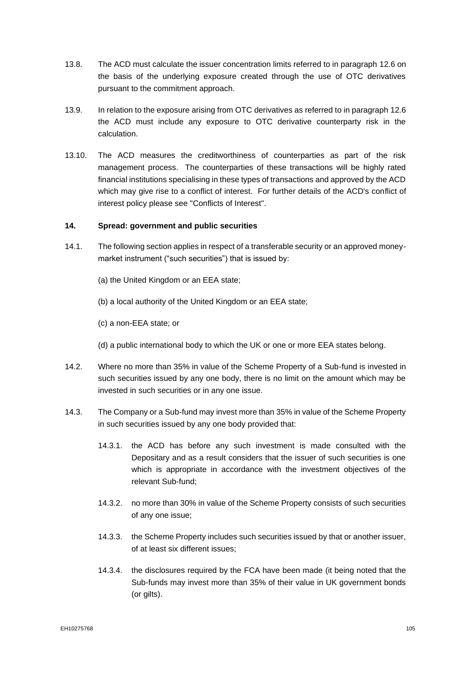- 13.8. The ACD must calculate the issuer concentration limits referred to in paragraph 12.6 on the basis of the underlying exposure created through the use of OTC derivatives pursuant to the commitment approach.
- 13.9. In relation to the exposure arising from OTC derivatives as referred to in paragraph 12.6 the ACD must include any exposure to OTC derivative counterparty risk in the calculation.
- 13.10. The ACD measures the creditworthiness of counterparties as part of the risk management process. The counterparties of these transactions will be highly rated financial institutions specialising in these types of transactions and approved by the ACD which may give rise to a conflict of interest. For further details of the ACD's conflict of interest policy please see "Conflicts of Interest".

#### **14. Spread: government and public securities**

- 14.1. The following section applies in respect of a transferable security or an approved moneymarket instrument ("such securities") that is issued by:
	- (a) the United Kingdom or an EEA state;
	- (b) a local authority of the United Kingdom or an EEA state;
	- (c) a non-EEA state; or
	- (d) a public international body to which the UK or one or more EEA states belong.
- 14.2. Where no more than 35% in value of the Scheme Property of a Sub-fund is invested in such securities issued by any one body, there is no limit on the amount which may be invested in such securities or in any one issue.
- 14.3. The Company or a Sub-fund may invest more than 35% in value of the Scheme Property in such securities issued by any one body provided that:
	- 14.3.1. the ACD has before any such investment is made consulted with the Depositary and as a result considers that the issuer of such securities is one which is appropriate in accordance with the investment objectives of the relevant Sub-fund;
	- 14.3.2. no more than 30% in value of the Scheme Property consists of such securities of any one issue;
	- 14.3.3. the Scheme Property includes such securities issued by that or another issuer, of at least six different issues;
	- 14.3.4. the disclosures required by the FCA have been made (it being noted that the Sub-funds may invest more than 35% of their value in UK government bonds (or gilts).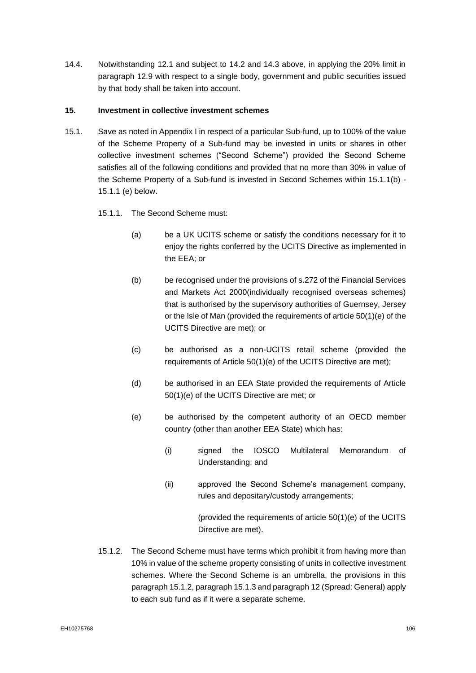14.4. Notwithstanding [12.1](#page-103-4) and subject to 14.2 and 14.3 above, in applying the 20% limit in paragraph [12.9](#page-104-0) with respect to a single body, government and public securities issued by that body shall be taken into account.

#### **15. Investment in collective investment schemes**

- 15.1. Save as noted in Appendix I in respect of a particular Sub-fund, up to 100% of the value of the Scheme Property of a Sub-fund may be invested in units or shares in other collective investment schemes ("Second Scheme") provided the Second Scheme satisfies all of the following conditions and provided that no more than 30% in value of the Scheme Property of a Sub-fund is invested in Second Schemes within 15.1.1(b) - 15.1.1 (e) below.
	- 15.1.1. The Second Scheme must:
		- (a) be a UK UCITS scheme or satisfy the conditions necessary for it to enjoy the rights conferred by the UCITS Directive as implemented in the EEA; or
		- (b) be recognised under the provisions of s.272 of the Financial Services and Markets Act 2000(individually recognised overseas schemes) that is authorised by the supervisory authorities of Guernsey, Jersey or the Isle of Man (provided the requirements of article 50(1)(e) of the UCITS Directive are met); or
		- (c) be authorised as a non-UCITS retail scheme (provided the requirements of Article 50(1)(e) of the UCITS Directive are met);
		- (d) be authorised in an EEA State provided the requirements of Article 50(1)(e) of the UCITS Directive are met; or
		- (e) be authorised by the competent authority of an OECD member country (other than another EEA State) which has:
			- (i) signed the IOSCO Multilateral Memorandum of Understanding; and
			- (ii) approved the Second Scheme's management company, rules and depositary/custody arrangements;

(provided the requirements of article 50(1)(e) of the UCITS Directive are met).

15.1.2. The Second Scheme must have terms which prohibit it from having more than 10% in value of the scheme property consisting of units in collective investment schemes. Where the Second Scheme is an umbrella, the provisions in this paragraph 15.1.2, paragraph 15.1.3 and paragraph [12](#page-103-5) (Spread: General) apply to each sub fund as if it were a separate scheme.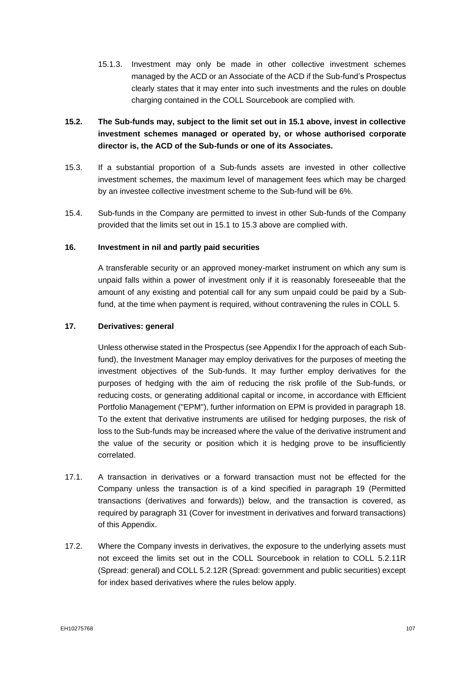- 15.1.3. Investment may only be made in other collective investment schemes managed by the ACD or an Associate of the ACD if the Sub-fund's Prospectus clearly states that it may enter into such investments and the rules on double charging contained in the COLL Sourcebook are complied with.
- **15.2. The Sub-funds may, subject to the limit set out in 15.1 above, invest in collective investment schemes managed or operated by, or whose authorised corporate director is, the ACD of the Sub-funds or one of its Associates.**
- 15.3. If a substantial proportion of a Sub-funds assets are invested in other collective investment schemes, the maximum level of management fees which may be charged by an investee collective investment scheme to the Sub-fund will be 6%.
- 15.4. Sub-funds in the Company are permitted to invest in other Sub-funds of the Company provided that the limits set out in 15.1 to 15.3 above are complied with.

#### **16. Investment in nil and partly paid securities**

A transferable security or an approved money-market instrument on which any sum is unpaid falls within a power of investment only if it is reasonably foreseeable that the amount of any existing and potential call for any sum unpaid could be paid by a Subfund, at the time when payment is required, without contravening the rules in COLL 5.

#### **17. Derivatives: general**

Unless otherwise stated in the Prospectus (see Appendix I for the approach of each Subfund), the Investment Manager may employ derivatives for the purposes of meeting the investment objectives of the Sub-funds. It may further employ derivatives for the purposes of hedging with the aim of reducing the risk profile of the Sub-funds, or reducing costs, or generating additional capital or income, in accordance with Efficient Portfolio Management ("EPM"), further information on EPM is provided in paragraph 18. To the extent that derivative instruments are utilised for hedging purposes, the risk of loss to the Sub-funds may be increased where the value of the derivative instrument and the value of the security or position which it is hedging prove to be insufficiently correlated.

- 17.1. A transaction in derivatives or a forward transaction must not be effected for the Company unless the transaction is of a kind specified in paragraph 19 (Permitted transactions (derivatives and forwards)) below, and the transaction is covered, as required by paragraph 31 (Cover for investment in derivatives and forward transactions) of this Appendix.
- 17.2. Where the Company invests in derivatives, the exposure to the underlying assets must not exceed the limits set out in the COLL Sourcebook in relation to COLL 5.2.11R (Spread: general) and COLL 5.2.12R (Spread: government and public securities) except for index based derivatives where the rules below apply.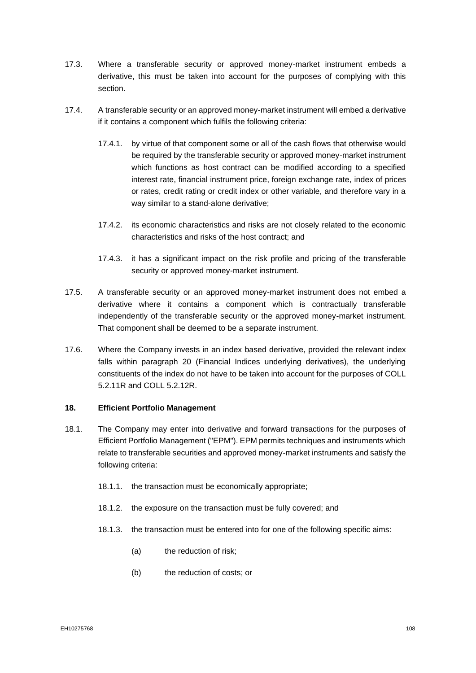- 17.3. Where a transferable security or approved money-market instrument embeds a derivative, this must be taken into account for the purposes of complying with this section.
- 17.4. A transferable security or an approved money-market instrument will embed a derivative if it contains a component which fulfils the following criteria:
	- 17.4.1. by virtue of that component some or all of the cash flows that otherwise would be required by the transferable security or approved money-market instrument which functions as host contract can be modified according to a specified interest rate, financial instrument price, foreign exchange rate, index of prices or rates, credit rating or credit index or other variable, and therefore vary in a way similar to a stand-alone derivative;
	- 17.4.2. its economic characteristics and risks are not closely related to the economic characteristics and risks of the host contract; and
	- 17.4.3. it has a significant impact on the risk profile and pricing of the transferable security or approved money-market instrument.
- 17.5. A transferable security or an approved money-market instrument does not embed a derivative where it contains a component which is contractually transferable independently of the transferable security or the approved money-market instrument. That component shall be deemed to be a separate instrument.
- 17.6. Where the Company invests in an index based derivative, provided the relevant index falls within paragraph 20 (Financial Indices underlying derivatives), the underlying constituents of the index do not have to be taken into account for the purposes of COLL 5.2.11R and COLL 5.2.12R.

#### **18. Efficient Portfolio Management**

- 18.1. The Company may enter into derivative and forward transactions for the purposes of Efficient Portfolio Management ("EPM"). EPM permits techniques and instruments which relate to transferable securities and approved money-market instruments and satisfy the following criteria:
	- 18.1.1. the transaction must be economically appropriate;
	- 18.1.2. the exposure on the transaction must be fully covered; and
	- 18.1.3. the transaction must be entered into for one of the following specific aims:
		- (a) the reduction of risk;
		- (b) the reduction of costs; or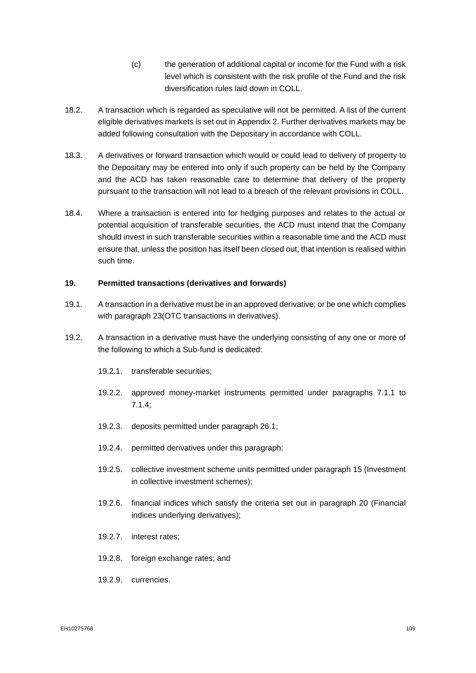- (c) the generation of additional capital or income for the Fund with a risk level which is consistent with the risk profile of the Fund and the risk diversification rules laid down in COLL.
- 18.2. A transaction which is regarded as speculative will not be permitted. A list of the current eligible derivatives markets is set out in Appendix 2. Further derivatives markets may be added following consultation with the Depositary in accordance with COLL.
- 18.3. A derivatives or forward transaction which would or could lead to delivery of property to the Depositary may be entered into only if such property can be held by the Company and the ACD has taken reasonable care to determine that delivery of the property pursuant to the transaction will not lead to a breach of the relevant provisions in COLL.
- 18.4. Where a transaction is entered into for hedging purposes and relates to the actual or potential acquisition of transferable securities, the ACD must intend that the Company should invest in such transferable securities within a reasonable time and the ACD must ensure that, unless the position has itself been closed out, that intention is realised within such time.

### **19. Permitted transactions (derivatives and forwards)**

- 19.1. A transaction in a derivative must be in an approved derivative; or be one which complies with paragraph 23(OTC transactions in derivatives).
- 19.2. A transaction in a derivative must have the underlying consisting of any one or more of the following to which a Sub-fund is dedicated:
	- 19.2.1. transferable securities;
	- 19.2.2. approved money-market instruments permitted under paragraphs 7.1.1 to [7.1.4;](#page-99-0)
	- 19.2.3. deposits permitted under paragraph 26.1;
	- 19.2.4. permitted derivatives under this paragraph;
	- 19.2.5. collective investment scheme units permitted under paragraph 15 (Investment in collective investment schemes);
	- 19.2.6. financial indices which satisfy the criteria set out in paragraph 20 (Financial indices underlying derivatives);
	- 19.2.7. interest rates;
	- 19.2.8. foreign exchange rates; and
	- 19.2.9. currencies.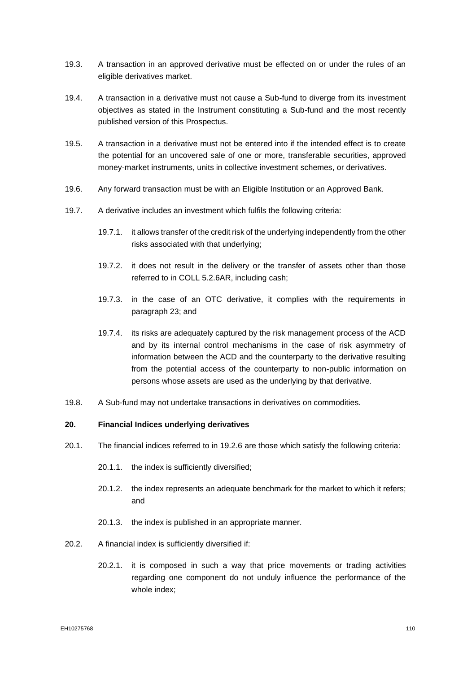- 19.3. A transaction in an approved derivative must be effected on or under the rules of an eligible derivatives market.
- 19.4. A transaction in a derivative must not cause a Sub-fund to diverge from its investment objectives as stated in the Instrument constituting a Sub-fund and the most recently published version of this Prospectus.
- 19.5. A transaction in a derivative must not be entered into if the intended effect is to create the potential for an uncovered sale of one or more, transferable securities, approved money-market instruments, units in collective investment schemes, or derivatives.
- 19.6. Any forward transaction must be with an Eligible Institution or an Approved Bank.
- 19.7. A derivative includes an investment which fulfils the following criteria:
	- 19.7.1. it allows transfer of the credit risk of the underlying independently from the other risks associated with that underlying;
	- 19.7.2. it does not result in the delivery or the transfer of assets other than those referred to in COLL 5.2.6AR, including cash;
	- 19.7.3. in the case of an OTC derivative, it complies with the requirements in paragraph 23; and
	- 19.7.4. its risks are adequately captured by the risk management process of the ACD and by its internal control mechanisms in the case of risk asymmetry of information between the ACD and the counterparty to the derivative resulting from the potential access of the counterparty to non-public information on persons whose assets are used as the underlying by that derivative.
- 19.8. A Sub-fund may not undertake transactions in derivatives on commodities.

## **20. Financial Indices underlying derivatives**

- 20.1. The financial indices referred to in 19.2.6 are those which satisfy the following criteria:
	- 20.1.1. the index is sufficiently diversified;
	- 20.1.2. the index represents an adequate benchmark for the market to which it refers; and
	- 20.1.3. the index is published in an appropriate manner.
- 20.2. A financial index is sufficiently diversified if:
	- 20.2.1. it is composed in such a way that price movements or trading activities regarding one component do not unduly influence the performance of the whole index;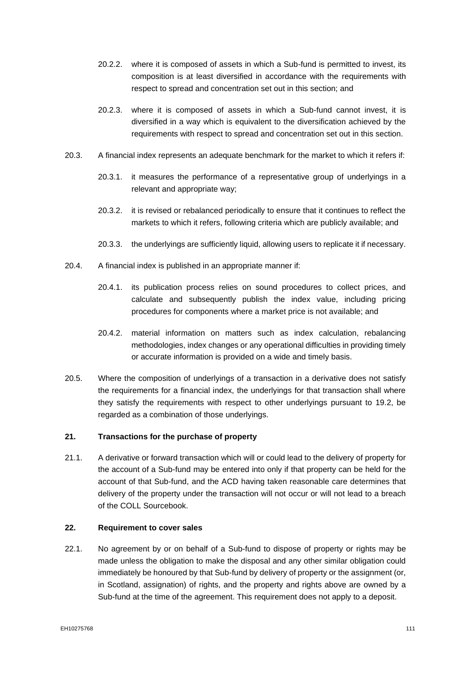- 20.2.2. where it is composed of assets in which a Sub-fund is permitted to invest, its composition is at least diversified in accordance with the requirements with respect to spread and concentration set out in this section; and
- 20.2.3. where it is composed of assets in which a Sub-fund cannot invest, it is diversified in a way which is equivalent to the diversification achieved by the requirements with respect to spread and concentration set out in this section.
- 20.3. A financial index represents an adequate benchmark for the market to which it refers if:
	- 20.3.1. it measures the performance of a representative group of underlyings in a relevant and appropriate way;
	- 20.3.2. it is revised or rebalanced periodically to ensure that it continues to reflect the markets to which it refers, following criteria which are publicly available; and
	- 20.3.3. the underlyings are sufficiently liquid, allowing users to replicate it if necessary.
- 20.4. A financial index is published in an appropriate manner if:
	- 20.4.1. its publication process relies on sound procedures to collect prices, and calculate and subsequently publish the index value, including pricing procedures for components where a market price is not available; and
	- 20.4.2. material information on matters such as index calculation, rebalancing methodologies, index changes or any operational difficulties in providing timely or accurate information is provided on a wide and timely basis.
- 20.5. Where the composition of underlyings of a transaction in a derivative does not satisfy the requirements for a financial index, the underlyings for that transaction shall where they satisfy the requirements with respect to other underlyings pursuant to 19.2, be regarded as a combination of those underlyings.

## **21. Transactions for the purchase of property**

21.1. A derivative or forward transaction which will or could lead to the delivery of property for the account of a Sub-fund may be entered into only if that property can be held for the account of that Sub-fund, and the ACD having taken reasonable care determines that delivery of the property under the transaction will not occur or will not lead to a breach of the COLL Sourcebook.

#### **22. Requirement to cover sales**

22.1. No agreement by or on behalf of a Sub-fund to dispose of property or rights may be made unless the obligation to make the disposal and any other similar obligation could immediately be honoured by that Sub-fund by delivery of property or the assignment (or, in Scotland, assignation) of rights, and the property and rights above are owned by a Sub-fund at the time of the agreement. This requirement does not apply to a deposit.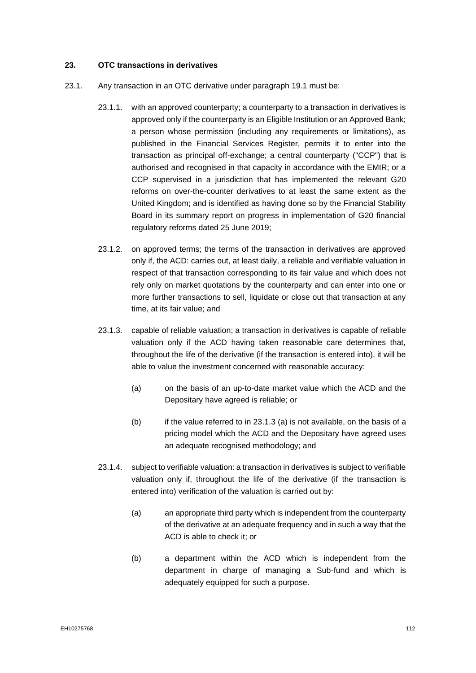## **23. OTC transactions in derivatives**

- 23.1. Any transaction in an OTC derivative under paragraph 19.1 must be:
	- 23.1.1. with an approved counterparty; a counterparty to a transaction in derivatives is approved only if the counterparty is an Eligible Institution or an Approved Bank; a person whose permission (including any requirements or limitations), as published in the Financial Services Register, permits it to enter into the transaction as principal off-exchange; a central counterparty ("CCP") that is authorised and recognised in that capacity in accordance with the EMIR; or a CCP supervised in a jurisdiction that has implemented the relevant G20 reforms on over-the-counter derivatives to at least the same extent as the United Kingdom; and is identified as having done so by the Financial Stability Board in its summary report on progress in implementation of G20 financial regulatory reforms dated 25 June 2019;
	- 23.1.2. on approved terms; the terms of the transaction in derivatives are approved only if, the ACD: carries out, at least daily, a reliable and verifiable valuation in respect of that transaction corresponding to its fair value and which does not rely only on market quotations by the counterparty and can enter into one or more further transactions to sell, liquidate or close out that transaction at any time, at its fair value; and
	- 23.1.3. capable of reliable valuation; a transaction in derivatives is capable of reliable valuation only if the ACD having taken reasonable care determines that, throughout the life of the derivative (if the transaction is entered into), it will be able to value the investment concerned with reasonable accuracy:
		- (a) on the basis of an up-to-date market value which the ACD and the Depositary have agreed is reliable; or
		- $(b)$  if the value referred to in 23.1.3 (a) is not available, on the basis of a pricing model which the ACD and the Depositary have agreed uses an adequate recognised methodology; and
	- 23.1.4. subject to verifiable valuation: a transaction in derivatives is subject to verifiable valuation only if, throughout the life of the derivative (if the transaction is entered into) verification of the valuation is carried out by:
		- (a) an appropriate third party which is independent from the counterparty of the derivative at an adequate frequency and in such a way that the ACD is able to check it; or
		- (b) a department within the ACD which is independent from the department in charge of managing a Sub-fund and which is adequately equipped for such a purpose.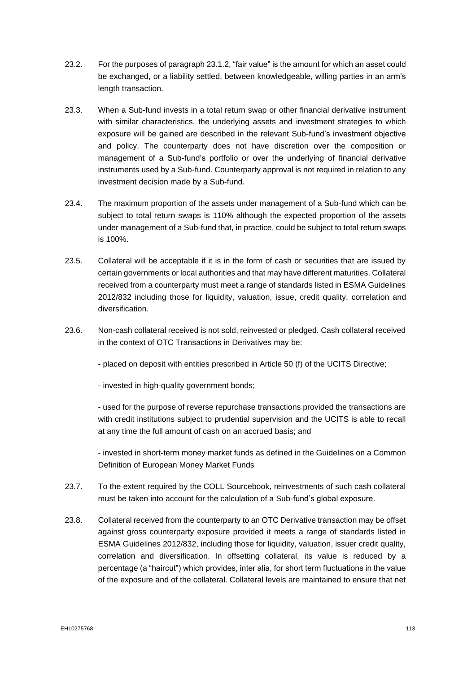- 23.2. For the purposes of paragraph 23.1.2, "fair value" is the amount for which an asset could be exchanged, or a liability settled, between knowledgeable, willing parties in an arm's length transaction.
- 23.3. When a Sub-fund invests in a total return swap or other financial derivative instrument with similar characteristics, the underlying assets and investment strategies to which exposure will be gained are described in the relevant Sub-fund's investment objective and policy. The counterparty does not have discretion over the composition or management of a Sub-fund's portfolio or over the underlying of financial derivative instruments used by a Sub-fund. Counterparty approval is not required in relation to any investment decision made by a Sub-fund.
- 23.4. The maximum proportion of the assets under management of a Sub-fund which can be subject to total return swaps is 110% although the expected proportion of the assets under management of a Sub-fund that, in practice, could be subject to total return swaps is 100%.
- 23.5. Collateral will be acceptable if it is in the form of cash or securities that are issued by certain governments or local authorities and that may have different maturities. Collateral received from a counterparty must meet a range of standards listed in ESMA Guidelines 2012/832 including those for liquidity, valuation, issue, credit quality, correlation and diversification.
- 23.6. Non-cash collateral received is not sold, reinvested or pledged. Cash collateral received in the context of OTC Transactions in Derivatives may be:
	- placed on deposit with entities prescribed in Article 50 (f) of the UCITS Directive;
	- invested in high-quality government bonds;

- used for the purpose of reverse repurchase transactions provided the transactions are with credit institutions subject to prudential supervision and the UCITS is able to recall at any time the full amount of cash on an accrued basis; and

- invested in short-term money market funds as defined in the Guidelines on a Common Definition of European Money Market Funds

- 23.7. To the extent required by the COLL Sourcebook, reinvestments of such cash collateral must be taken into account for the calculation of a Sub-fund's global exposure.
- 23.8. Collateral received from the counterparty to an OTC Derivative transaction may be offset against gross counterparty exposure provided it meets a range of standards listed in ESMA Guidelines 2012/832, including those for liquidity, valuation, issuer credit quality, correlation and diversification. In offsetting collateral, its value is reduced by a percentage (a "haircut") which provides, inter alia, for short term fluctuations in the value of the exposure and of the collateral. Collateral levels are maintained to ensure that net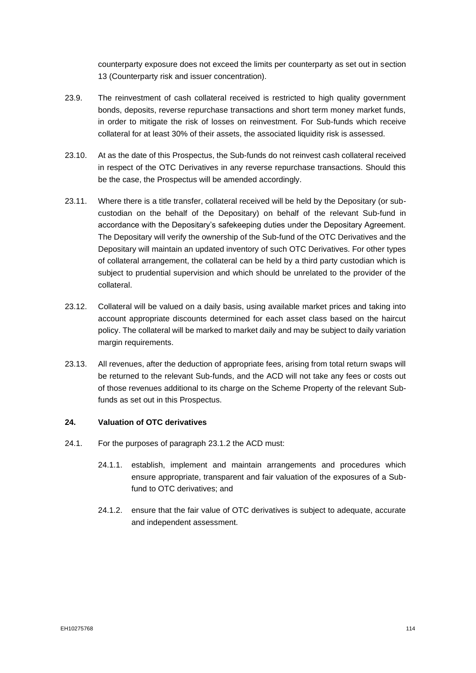counterparty exposure does not exceed the limits per counterparty as set out in section 13 (Counterparty risk and issuer concentration).

- 23.9. The reinvestment of cash collateral received is restricted to high quality government bonds, deposits, reverse repurchase transactions and short term money market funds, in order to mitigate the risk of losses on reinvestment. For Sub-funds which receive collateral for at least 30% of their assets, the associated liquidity risk is assessed.
- 23.10. At as the date of this Prospectus, the Sub-funds do not reinvest cash collateral received in respect of the OTC Derivatives in any reverse repurchase transactions. Should this be the case, the Prospectus will be amended accordingly.
- 23.11. Where there is a title transfer, collateral received will be held by the Depositary (or subcustodian on the behalf of the Depositary) on behalf of the relevant Sub-fund in accordance with the Depositary's safekeeping duties under the Depositary Agreement. The Depositary will verify the ownership of the Sub-fund of the OTC Derivatives and the Depositary will maintain an updated inventory of such OTC Derivatives. For other types of collateral arrangement, the collateral can be held by a third party custodian which is subject to prudential supervision and which should be unrelated to the provider of the collateral.
- 23.12. Collateral will be valued on a daily basis, using available market prices and taking into account appropriate discounts determined for each asset class based on the haircut policy. The collateral will be marked to market daily and may be subject to daily variation margin requirements.
- 23.13. All revenues, after the deduction of appropriate fees, arising from total return swaps will be returned to the relevant Sub-funds, and the ACD will not take any fees or costs out of those revenues additional to its charge on the Scheme Property of the relevant Subfunds as set out in this Prospectus.

#### **24. Valuation of OTC derivatives**

- 24.1. For the purposes of paragraph 23.1.2 the ACD must:
	- 24.1.1. establish, implement and maintain arrangements and procedures which ensure appropriate, transparent and fair valuation of the exposures of a Subfund to OTC derivatives; and
	- 24.1.2. ensure that the fair value of OTC derivatives is subject to adequate, accurate and independent assessment.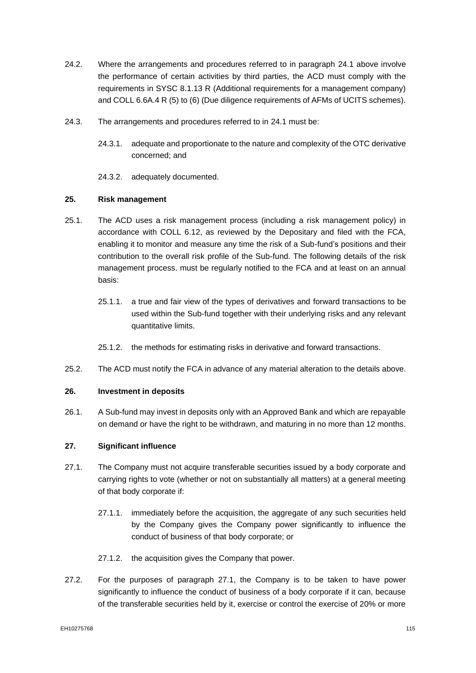- 24.2. Where the arrangements and procedures referred to in paragraph 24.1 above involve the performance of certain activities by third parties, the ACD must comply with the requirements in SYSC 8.1.13 R (Additional requirements for a management company) and COLL 6.6A.4 R (5) to (6) (Due diligence requirements of AFMs of UCITS schemes).
- 24.3. The arrangements and procedures referred to in 24.1 must be:
	- 24.3.1. adequate and proportionate to the nature and complexity of the OTC derivative concerned; and
	- 24.3.2. adequately documented.

## **25. Risk management**

- 25.1. The ACD uses a risk management process (including a risk management policy) in accordance with COLL 6.12, as reviewed by the Depositary and filed with the FCA, enabling it to monitor and measure any time the risk of a Sub-fund's positions and their contribution to the overall risk profile of the Sub-fund. The following details of the risk management process. must be regularly notified to the FCA and at least on an annual basis:
	- 25.1.1. a true and fair view of the types of derivatives and forward transactions to be used within the Sub-fund together with their underlying risks and any relevant quantitative limits.
	- 25.1.2. the methods for estimating risks in derivative and forward transactions.
- 25.2. The ACD must notify the FCA in advance of any material alteration to the details above.

## **26. Investment in deposits**

26.1. A Sub-fund may invest in deposits only with an Approved Bank and which are repayable on demand or have the right to be withdrawn, and maturing in no more than 12 months.

## **27. Significant influence**

- 27.1. The Company must not acquire transferable securities issued by a body corporate and carrying rights to vote (whether or not on substantially all matters) at a general meeting of that body corporate if:
	- 27.1.1. immediately before the acquisition, the aggregate of any such securities held by the Company gives the Company power significantly to influence the conduct of business of that body corporate; or
	- 27.1.2. the acquisition gives the Company that power.
- 27.2. For the purposes of paragraph 27.1, the Company is to be taken to have power significantly to influence the conduct of business of a body corporate if it can, because of the transferable securities held by it, exercise or control the exercise of 20% or more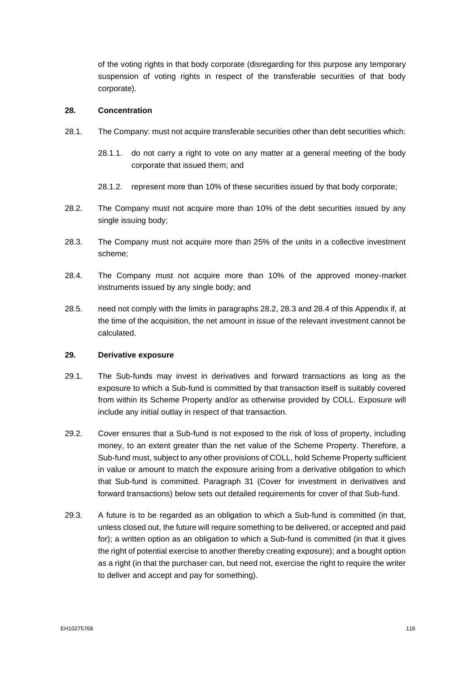of the voting rights in that body corporate (disregarding for this purpose any temporary suspension of voting rights in respect of the transferable securities of that body corporate).

#### **28. Concentration**

- 28.1. The Company: must not acquire transferable securities other than debt securities which:
	- 28.1.1. do not carry a right to vote on any matter at a general meeting of the body corporate that issued them; and
	- 28.1.2. represent more than 10% of these securities issued by that body corporate;
- 28.2. The Company must not acquire more than 10% of the debt securities issued by any single issuing body;
- 28.3. The Company must not acquire more than 25% of the units in a collective investment scheme;
- 28.4. The Company must not acquire more than 10% of the approved money-market instruments issued by any single body; and
- 28.5. need not comply with the limits in paragraphs 28.2, 28.3 and 28.4 of this Appendix if, at the time of the acquisition, the net amount in issue of the relevant investment cannot be calculated.

# **29. Derivative exposure**

- 29.1. The Sub-funds may invest in derivatives and forward transactions as long as the exposure to which a Sub-fund is committed by that transaction itself is suitably covered from within its Scheme Property and/or as otherwise provided by COLL. Exposure will include any initial outlay in respect of that transaction.
- 29.2. Cover ensures that a Sub-fund is not exposed to the risk of loss of property, including money, to an extent greater than the net value of the Scheme Property. Therefore, a Sub-fund must, subject to any other provisions of COLL, hold Scheme Property sufficient in value or amount to match the exposure arising from a derivative obligation to which that Sub-fund is committed. Paragraph 31 (Cover for investment in derivatives and forward transactions) below sets out detailed requirements for cover of that Sub-fund.
- 29.3. A future is to be regarded as an obligation to which a Sub-fund is committed (in that, unless closed out, the future will require something to be delivered, or accepted and paid for); a written option as an obligation to which a Sub-fund is committed (in that it gives the right of potential exercise to another thereby creating exposure); and a bought option as a right (in that the purchaser can, but need not, exercise the right to require the writer to deliver and accept and pay for something).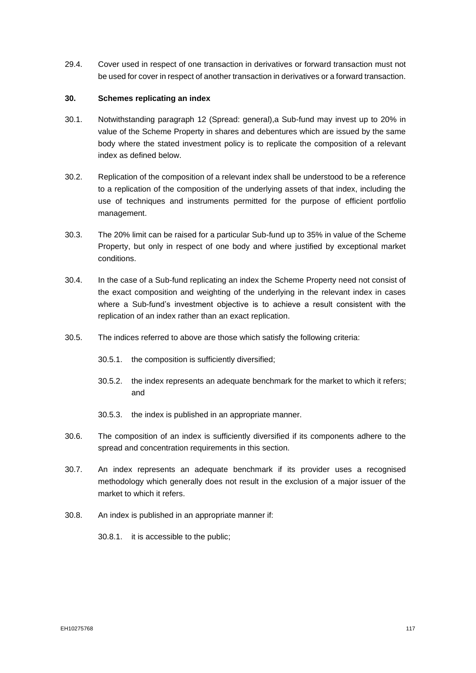29.4. Cover used in respect of one transaction in derivatives or forward transaction must not be used for cover in respect of another transaction in derivatives or a forward transaction.

### **30. Schemes replicating an index**

- 30.1. Notwithstanding paragraph [12](#page-103-0) (Spread: general),a Sub-fund may invest up to 20% in value of the Scheme Property in shares and debentures which are issued by the same body where the stated investment policy is to replicate the composition of a relevant index as defined below.
- 30.2. Replication of the composition of a relevant index shall be understood to be a reference to a replication of the composition of the underlying assets of that index, including the use of techniques and instruments permitted for the purpose of efficient portfolio management.
- 30.3. The 20% limit can be raised for a particular Sub-fund up to 35% in value of the Scheme Property, but only in respect of one body and where justified by exceptional market conditions.
- 30.4. In the case of a Sub-fund replicating an index the Scheme Property need not consist of the exact composition and weighting of the underlying in the relevant index in cases where a Sub-fund's investment objective is to achieve a result consistent with the replication of an index rather than an exact replication.
- 30.5. The indices referred to above are those which satisfy the following criteria:
	- 30.5.1. the composition is sufficiently diversified;
	- 30.5.2. the index represents an adequate benchmark for the market to which it refers; and
	- 30.5.3. the index is published in an appropriate manner.
- 30.6. The composition of an index is sufficiently diversified if its components adhere to the spread and concentration requirements in this section.
- 30.7. An index represents an adequate benchmark if its provider uses a recognised methodology which generally does not result in the exclusion of a major issuer of the market to which it refers.
- 30.8. An index is published in an appropriate manner if:
	- 30.8.1. it is accessible to the public;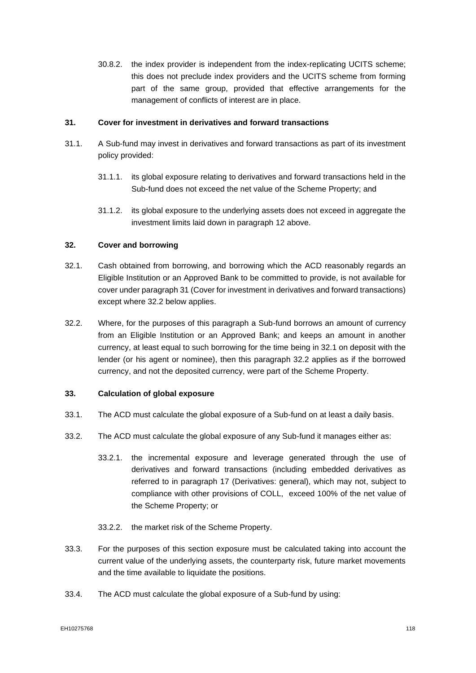30.8.2. the index provider is independent from the index-replicating UCITS scheme; this does not preclude index providers and the UCITS scheme from forming part of the same group, provided that effective arrangements for the management of conflicts of interest are in place.

## **31. Cover for investment in derivatives and forward transactions**

- 31.1. A Sub-fund may invest in derivatives and forward transactions as part of its investment policy provided:
	- 31.1.1. its global exposure relating to derivatives and forward transactions held in the Sub-fund does not exceed the net value of the Scheme Property; and
	- 31.1.2. its global exposure to the underlying assets does not exceed in aggregate the investment limits laid down in paragraph 12 above.

### **32. Cover and borrowing**

- 32.1. Cash obtained from borrowing, and borrowing which the ACD reasonably regards an Eligible Institution or an Approved Bank to be committed to provide, is not available for cover under paragraph 31 (Cover for investment in derivatives and forward transactions) except where 32.2 below applies.
- 32.2. Where, for the purposes of this paragraph a Sub-fund borrows an amount of currency from an Eligible Institution or an Approved Bank; and keeps an amount in another currency, at least equal to such borrowing for the time being in 32.1 on deposit with the lender (or his agent or nominee), then this paragraph 32.2 applies as if the borrowed currency, and not the deposited currency, were part of the Scheme Property.

#### **33. Calculation of global exposure**

- 33.1. The ACD must calculate the global exposure of a Sub-fund on at least a daily basis.
- 33.2. The ACD must calculate the global exposure of any Sub-fund it manages either as:
	- 33.2.1. the incremental exposure and leverage generated through the use of derivatives and forward transactions (including embedded derivatives as referred to in paragraph 17 (Derivatives: general), which may not, subject to compliance with other provisions of COLL, exceed 100% of the net value of the Scheme Property; or
	- 33.2.2. the market risk of the Scheme Property.
- 33.3. For the purposes of this section exposure must be calculated taking into account the current value of the underlying assets, the counterparty risk, future market movements and the time available to liquidate the positions.
- 33.4. The ACD must calculate the global exposure of a Sub-fund by using: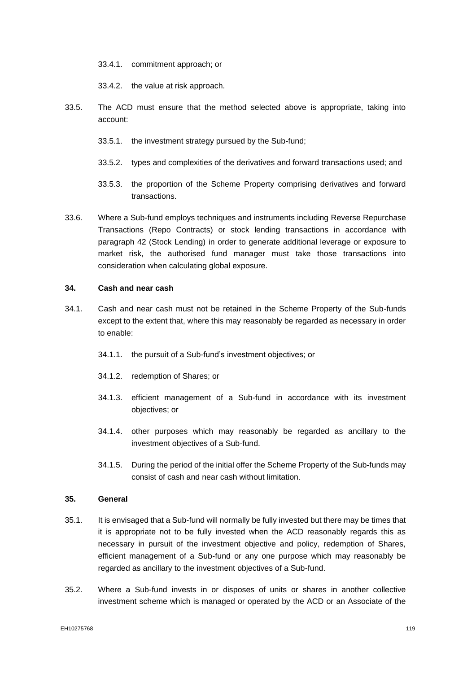33.4.1. commitment approach; or

33.4.2. the value at risk approach.

- 33.5. The ACD must ensure that the method selected above is appropriate, taking into account:
	- 33.5.1. the investment strategy pursued by the Sub-fund;
	- 33.5.2. types and complexities of the derivatives and forward transactions used; and
	- 33.5.3. the proportion of the Scheme Property comprising derivatives and forward transactions.
- 33.6. Where a Sub-fund employs techniques and instruments including Reverse Repurchase Transactions (Repo Contracts) or stock lending transactions in accordance with paragraph 42 (Stock Lending) in order to generate additional leverage or exposure to market risk, the authorised fund manager must take those transactions into consideration when calculating global exposure.

#### **34. Cash and near cash**

- 34.1. Cash and near cash must not be retained in the Scheme Property of the Sub-funds except to the extent that, where this may reasonably be regarded as necessary in order to enable:
	- 34.1.1. the pursuit of a Sub-fund's investment objectives; or
	- 34.1.2. redemption of Shares; or
	- 34.1.3. efficient management of a Sub-fund in accordance with its investment objectives; or
	- 34.1.4. other purposes which may reasonably be regarded as ancillary to the investment objectives of a Sub-fund.
	- 34.1.5. During the period of the initial offer the Scheme Property of the Sub-funds may consist of cash and near cash without limitation.

### **35. General**

- 35.1. It is envisaged that a Sub-fund will normally be fully invested but there may be times that it is appropriate not to be fully invested when the ACD reasonably regards this as necessary in pursuit of the investment objective and policy, redemption of Shares, efficient management of a Sub-fund or any one purpose which may reasonably be regarded as ancillary to the investment objectives of a Sub-fund.
- 35.2. Where a Sub-fund invests in or disposes of units or shares in another collective investment scheme which is managed or operated by the ACD or an Associate of the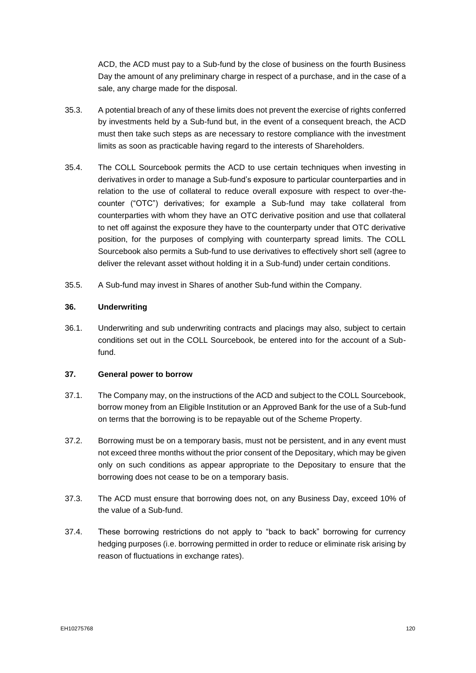ACD, the ACD must pay to a Sub-fund by the close of business on the fourth Business Day the amount of any preliminary charge in respect of a purchase, and in the case of a sale, any charge made for the disposal.

- 35.3. A potential breach of any of these limits does not prevent the exercise of rights conferred by investments held by a Sub-fund but, in the event of a consequent breach, the ACD must then take such steps as are necessary to restore compliance with the investment limits as soon as practicable having regard to the interests of Shareholders.
- 35.4. The COLL Sourcebook permits the ACD to use certain techniques when investing in derivatives in order to manage a Sub-fund's exposure to particular counterparties and in relation to the use of collateral to reduce overall exposure with respect to over-thecounter ("OTC") derivatives; for example a Sub-fund may take collateral from counterparties with whom they have an OTC derivative position and use that collateral to net off against the exposure they have to the counterparty under that OTC derivative position, for the purposes of complying with counterparty spread limits. The COLL Sourcebook also permits a Sub-fund to use derivatives to effectively short sell (agree to deliver the relevant asset without holding it in a Sub-fund) under certain conditions.
- 35.5. A Sub-fund may invest in Shares of another Sub-fund within the Company.

### **36. Underwriting**

36.1. Underwriting and sub underwriting contracts and placings may also, subject to certain conditions set out in the COLL Sourcebook, be entered into for the account of a Subfund.

#### **37. General power to borrow**

- 37.1. The Company may, on the instructions of the ACD and subject to the COLL Sourcebook, borrow money from an Eligible Institution or an Approved Bank for the use of a Sub-fund on terms that the borrowing is to be repayable out of the Scheme Property.
- 37.2. Borrowing must be on a temporary basis, must not be persistent, and in any event must not exceed three months without the prior consent of the Depositary, which may be given only on such conditions as appear appropriate to the Depositary to ensure that the borrowing does not cease to be on a temporary basis.
- 37.3. The ACD must ensure that borrowing does not, on any Business Day, exceed 10% of the value of a Sub-fund.
- 37.4. These borrowing restrictions do not apply to "back to back" borrowing for currency hedging purposes (i.e. borrowing permitted in order to reduce or eliminate risk arising by reason of fluctuations in exchange rates).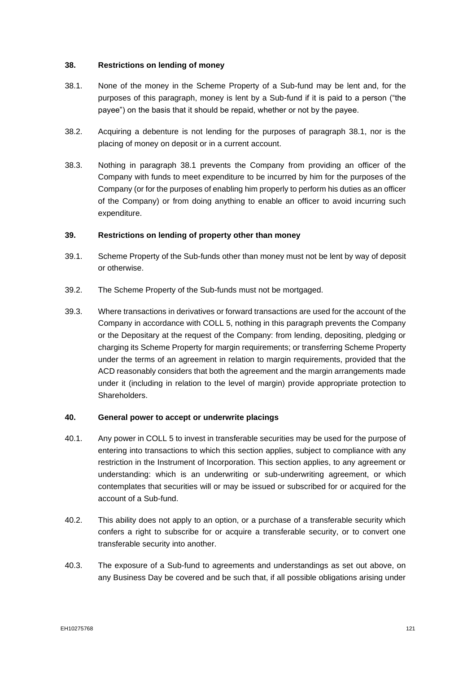## **38. Restrictions on lending of money**

- 38.1. None of the money in the Scheme Property of a Sub-fund may be lent and, for the purposes of this paragraph, money is lent by a Sub-fund if it is paid to a person ("the payee") on the basis that it should be repaid, whether or not by the payee.
- 38.2. Acquiring a debenture is not lending for the purposes of paragraph 38.1, nor is the placing of money on deposit or in a current account.
- 38.3. Nothing in paragraph 38.1 prevents the Company from providing an officer of the Company with funds to meet expenditure to be incurred by him for the purposes of the Company (or for the purposes of enabling him properly to perform his duties as an officer of the Company) or from doing anything to enable an officer to avoid incurring such expenditure.

## **39. Restrictions on lending of property other than money**

- 39.1. Scheme Property of the Sub-funds other than money must not be lent by way of deposit or otherwise.
- 39.2. The Scheme Property of the Sub-funds must not be mortgaged.
- 39.3. Where transactions in derivatives or forward transactions are used for the account of the Company in accordance with COLL 5, nothing in this paragraph prevents the Company or the Depositary at the request of the Company: from lending, depositing, pledging or charging its Scheme Property for margin requirements; or transferring Scheme Property under the terms of an agreement in relation to margin requirements, provided that the ACD reasonably considers that both the agreement and the margin arrangements made under it (including in relation to the level of margin) provide appropriate protection to Shareholders.

#### **40. General power to accept or underwrite placings**

- 40.1. Any power in COLL 5 to invest in transferable securities may be used for the purpose of entering into transactions to which this section applies, subject to compliance with any restriction in the Instrument of Incorporation. This section applies, to any agreement or understanding: which is an underwriting or sub-underwriting agreement, or which contemplates that securities will or may be issued or subscribed for or acquired for the account of a Sub-fund.
- 40.2. This ability does not apply to an option, or a purchase of a transferable security which confers a right to subscribe for or acquire a transferable security, or to convert one transferable security into another.
- 40.3. The exposure of a Sub-fund to agreements and understandings as set out above, on any Business Day be covered and be such that, if all possible obligations arising under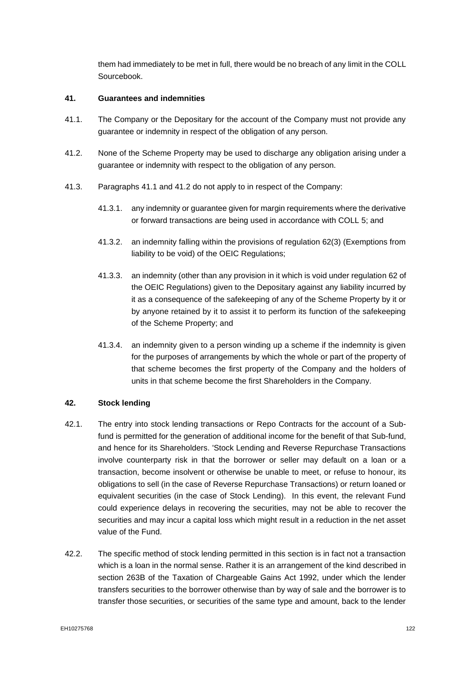them had immediately to be met in full, there would be no breach of any limit in the COLL Sourcebook.

### **41. Guarantees and indemnities**

- 41.1. The Company or the Depositary for the account of the Company must not provide any guarantee or indemnity in respect of the obligation of any person.
- 41.2. None of the Scheme Property may be used to discharge any obligation arising under a guarantee or indemnity with respect to the obligation of any person.
- 41.3. Paragraphs 41.1 and 41.2 do not apply to in respect of the Company:
	- 41.3.1. any indemnity or guarantee given for margin requirements where the derivative or forward transactions are being used in accordance with COLL 5; and
	- 41.3.2. an indemnity falling within the provisions of regulation 62(3) (Exemptions from liability to be void) of the OEIC Regulations;
	- 41.3.3. an indemnity (other than any provision in it which is void under regulation 62 of the OEIC Regulations) given to the Depositary against any liability incurred by it as a consequence of the safekeeping of any of the Scheme Property by it or by anyone retained by it to assist it to perform its function of the safekeeping of the Scheme Property; and
	- 41.3.4. an indemnity given to a person winding up a scheme if the indemnity is given for the purposes of arrangements by which the whole or part of the property of that scheme becomes the first property of the Company and the holders of units in that scheme become the first Shareholders in the Company.

### **42. Stock lending**

- 42.1. The entry into stock lending transactions or Repo Contracts for the account of a Subfund is permitted for the generation of additional income for the benefit of that Sub-fund, and hence for its Shareholders. 'Stock Lending and Reverse Repurchase Transactions involve counterparty risk in that the borrower or seller may default on a loan or a transaction, become insolvent or otherwise be unable to meet, or refuse to honour, its obligations to sell (in the case of Reverse Repurchase Transactions) or return loaned or equivalent securities (in the case of Stock Lending). In this event, the relevant Fund could experience delays in recovering the securities, may not be able to recover the securities and may incur a capital loss which might result in a reduction in the net asset value of the Fund.
- 42.2. The specific method of stock lending permitted in this section is in fact not a transaction which is a loan in the normal sense. Rather it is an arrangement of the kind described in section 263B of the Taxation of Chargeable Gains Act 1992, under which the lender transfers securities to the borrower otherwise than by way of sale and the borrower is to transfer those securities, or securities of the same type and amount, back to the lender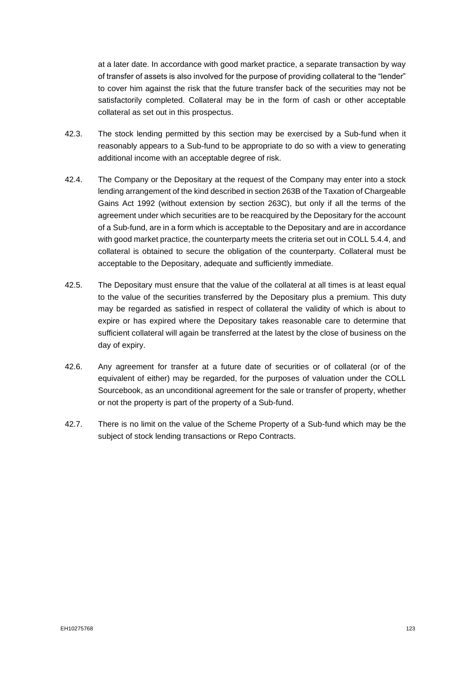at a later date. In accordance with good market practice, a separate transaction by way of transfer of assets is also involved for the purpose of providing collateral to the "lender" to cover him against the risk that the future transfer back of the securities may not be satisfactorily completed. Collateral may be in the form of cash or other acceptable collateral as set out in this prospectus.

- 42.3. The stock lending permitted by this section may be exercised by a Sub-fund when it reasonably appears to a Sub-fund to be appropriate to do so with a view to generating additional income with an acceptable degree of risk.
- 42.4. The Company or the Depositary at the request of the Company may enter into a stock lending arrangement of the kind described in section 263B of the Taxation of Chargeable Gains Act 1992 (without extension by section 263C), but only if all the terms of the agreement under which securities are to be reacquired by the Depositary for the account of a Sub-fund, are in a form which is acceptable to the Depositary and are in accordance with good market practice, the counterparty meets the criteria set out in COLL 5.4.4, and collateral is obtained to secure the obligation of the counterparty. Collateral must be acceptable to the Depositary, adequate and sufficiently immediate.
- 42.5. The Depositary must ensure that the value of the collateral at all times is at least equal to the value of the securities transferred by the Depositary plus a premium. This duty may be regarded as satisfied in respect of collateral the validity of which is about to expire or has expired where the Depositary takes reasonable care to determine that sufficient collateral will again be transferred at the latest by the close of business on the day of expiry.
- 42.6. Any agreement for transfer at a future date of securities or of collateral (or of the equivalent of either) may be regarded, for the purposes of valuation under the COLL Sourcebook, as an unconditional agreement for the sale or transfer of property, whether or not the property is part of the property of a Sub-fund.
- 42.7. There is no limit on the value of the Scheme Property of a Sub-fund which may be the subject of stock lending transactions or Repo Contracts.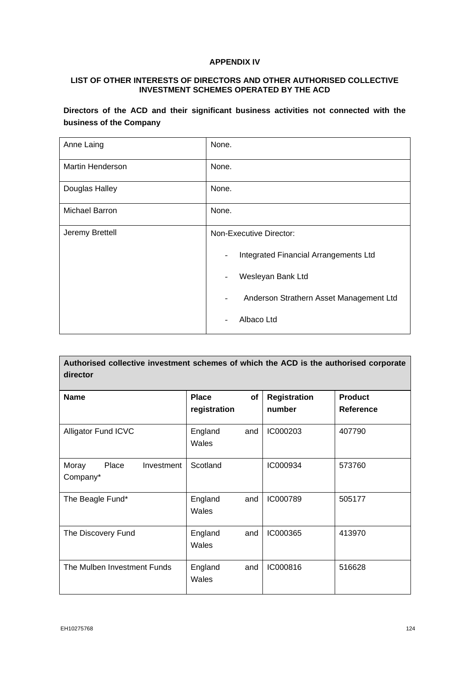# **APPENDIX IV**

### **LIST OF OTHER INTERESTS OF DIRECTORS AND OTHER AUTHORISED COLLECTIVE INVESTMENT SCHEMES OPERATED BY THE ACD**

**Directors of the ACD and their significant business activities not connected with the business of the Company**

| Anne Laing              | None.                                         |  |  |  |
|-------------------------|-----------------------------------------------|--|--|--|
| <b>Martin Henderson</b> | None.                                         |  |  |  |
| Douglas Halley          | None.                                         |  |  |  |
| Michael Barron          | None.                                         |  |  |  |
| Jeremy Brettell         | Non-Executive Director:                       |  |  |  |
|                         | Integrated Financial Arrangements Ltd         |  |  |  |
|                         | Wesleyan Bank Ltd<br>$\overline{\phantom{a}}$ |  |  |  |
|                         | Anderson Strathern Asset Management Ltd       |  |  |  |
|                         | Albaco Ltd                                    |  |  |  |

| Authorised collective investment schemes of which the ACD is the authorised corporate<br>director |                              |     |                               |                                    |
|---------------------------------------------------------------------------------------------------|------------------------------|-----|-------------------------------|------------------------------------|
| <b>Name</b>                                                                                       | <b>Place</b><br>registration | of  | <b>Registration</b><br>number | <b>Product</b><br><b>Reference</b> |
| <b>Alligator Fund ICVC</b>                                                                        | England<br>Wales             | and | IC000203                      | 407790                             |
| Moray<br>Place<br>Investment<br>Company*                                                          | Scotland                     |     | IC000934                      | 573760                             |
| The Beagle Fund*                                                                                  | England<br>Wales             | and | IC000789                      | 505177                             |
| The Discovery Fund                                                                                | England<br>Wales             | and | IC000365                      | 413970                             |
| The Mulben Investment Funds                                                                       | England<br>Wales             | and | IC000816                      | 516628                             |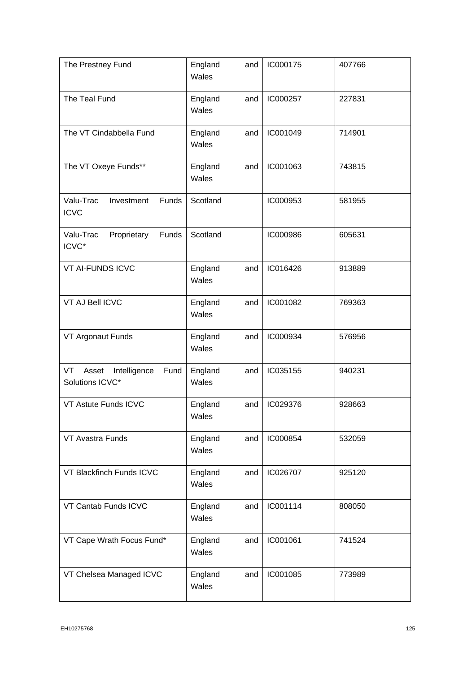| The Prestney Fund                                      | England<br>Wales | and | IC000175 | 407766 |
|--------------------------------------------------------|------------------|-----|----------|--------|
| The Teal Fund                                          | England<br>Wales | and | IC000257 | 227831 |
| The VT Cindabbella Fund                                | England<br>Wales | and | IC001049 | 714901 |
| The VT Oxeye Funds**                                   | England<br>Wales | and | IC001063 | 743815 |
| Valu-Trac<br>Investment<br>Funds<br><b>ICVC</b>        | Scotland         |     | IC000953 | 581955 |
| Proprietary<br>Funds<br>Valu-Trac<br>ICVC*             | Scotland         |     | IC000986 | 605631 |
| VT AI-FUNDS ICVC                                       | England<br>Wales | and | IC016426 | 913889 |
| VT AJ Bell ICVC                                        | England<br>Wales | and | IC001082 | 769363 |
| VT Argonaut Funds                                      | England<br>Wales | and | IC000934 | 576956 |
| Intelligence<br>Fund<br>VT<br>Asset<br>Solutions ICVC* | England<br>Wales | and | IC035155 | 940231 |
| VT Astute Funds ICVC                                   | England<br>Wales | and | IC029376 | 928663 |
| VT Avastra Funds                                       | England<br>Wales | and | IC000854 | 532059 |
| VT Blackfinch Funds ICVC                               | England<br>Wales | and | IC026707 | 925120 |
| VT Cantab Funds ICVC                                   | England<br>Wales | and | IC001114 | 808050 |
| VT Cape Wrath Focus Fund*                              | England<br>Wales | and | IC001061 | 741524 |
| VT Chelsea Managed ICVC                                | England<br>Wales | and | IC001085 | 773989 |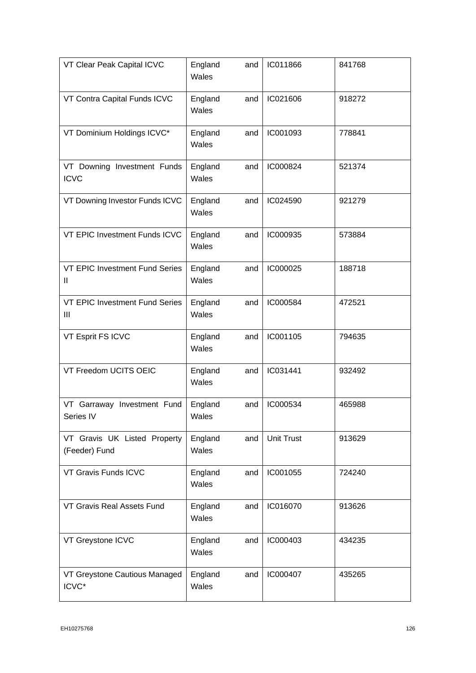| VT Clear Peak Capital ICVC                    | England<br>Wales | and | IC011866          | 841768 |
|-----------------------------------------------|------------------|-----|-------------------|--------|
| VT Contra Capital Funds ICVC                  | England<br>Wales | and | IC021606          | 918272 |
| VT Dominium Holdings ICVC*                    | England<br>Wales | and | IC001093          | 778841 |
| VT Downing Investment Funds<br><b>ICVC</b>    | England<br>Wales | and | IC000824          | 521374 |
| VT Downing Investor Funds ICVC                | England<br>Wales | and | IC024590          | 921279 |
| VT EPIC Investment Funds ICVC                 | England<br>Wales | and | IC000935          | 573884 |
| VT EPIC Investment Fund Series<br>Ш           | England<br>Wales | and | IC000025          | 188718 |
| VT EPIC Investment Fund Series<br>Ш           | England<br>Wales | and | IC000584          | 472521 |
| VT Esprit FS ICVC                             | England<br>Wales | and | IC001105          | 794635 |
| VT Freedom UCITS OEIC                         | England<br>Wales | and | IC031441          | 932492 |
| VT Garraway Investment Fund<br>Series IV      | England<br>Wales | and | IC000534          | 465988 |
| VT Gravis UK Listed Property<br>(Feeder) Fund | England<br>Wales | and | <b>Unit Trust</b> | 913629 |
| VT Gravis Funds ICVC                          | England<br>Wales | and | IC001055          | 724240 |
| VT Gravis Real Assets Fund                    | England<br>Wales | and | IC016070          | 913626 |
| VT Greystone ICVC                             | England<br>Wales | and | IC000403          | 434235 |
| VT Greystone Cautious Managed<br>ICVC*        | England<br>Wales | and | IC000407          | 435265 |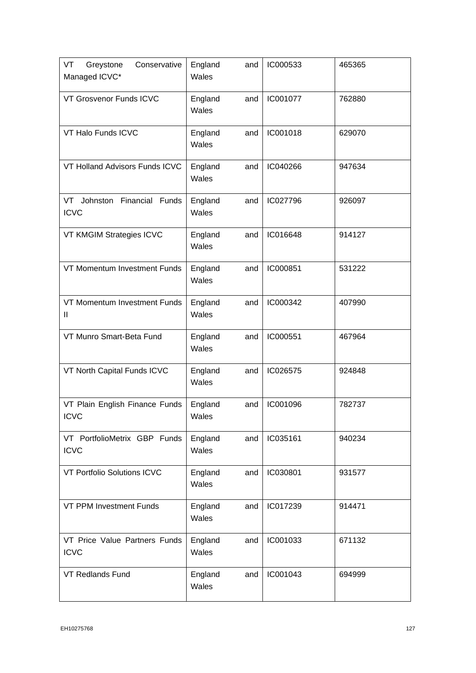| Greystone<br>Conservative<br>VT<br>Managed ICVC* | England<br>Wales | and | IC000533 | 465365 |
|--------------------------------------------------|------------------|-----|----------|--------|
| VT Grosvenor Funds ICVC                          | England<br>Wales | and | IC001077 | 762880 |
| VT Halo Funds ICVC                               | England<br>Wales | and | IC001018 | 629070 |
| VT Holland Advisors Funds ICVC                   | England<br>Wales | and | IC040266 | 947634 |
| Johnston Financial Funds<br>VT<br><b>ICVC</b>    | England<br>Wales | and | IC027796 | 926097 |
| VT KMGIM Strategies ICVC                         | England<br>Wales | and | IC016648 | 914127 |
| VT Momentum Investment Funds                     | England<br>Wales | and | IC000851 | 531222 |
| VT Momentum Investment Funds<br>Ш                | England<br>Wales | and | IC000342 | 407990 |
| VT Munro Smart-Beta Fund                         | England<br>Wales | and | IC000551 | 467964 |
| VT North Capital Funds ICVC                      | England<br>Wales | and | IC026575 | 924848 |
| VT Plain English Finance Funds<br><b>ICVC</b>    | England<br>Wales | and | IC001096 | 782737 |
| VT PortfolioMetrix GBP Funds<br><b>ICVC</b>      | England<br>Wales | and | IC035161 | 940234 |
| VT Portfolio Solutions ICVC                      | England<br>Wales | and | IC030801 | 931577 |
| <b>VT PPM Investment Funds</b>                   | England<br>Wales | and | IC017239 | 914471 |
| VT Price Value Partners Funds<br><b>ICVC</b>     | England<br>Wales | and | IC001033 | 671132 |
| <b>VT Redlands Fund</b>                          | England<br>Wales | and | IC001043 | 694999 |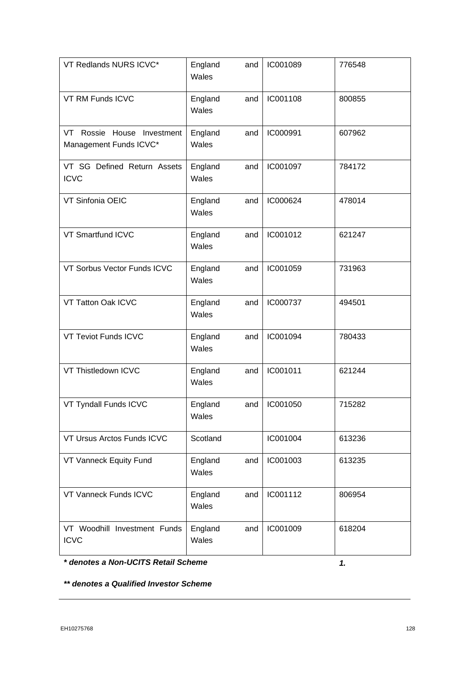| VT Redlands NURS ICVC*                               | England<br>Wales | and | IC001089 | 776548 |
|------------------------------------------------------|------------------|-----|----------|--------|
| VT RM Funds ICVC                                     | England<br>Wales | and | IC001108 | 800855 |
| VT Rossie House Investment<br>Management Funds ICVC* | England<br>Wales | and | IC000991 | 607962 |
| VT SG Defined Return Assets<br><b>ICVC</b>           | England<br>Wales | and | IC001097 | 784172 |
| VT Sinfonia OEIC                                     | England<br>Wales | and | IC000624 | 478014 |
| VT Smartfund ICVC                                    | England<br>Wales | and | IC001012 | 621247 |
| VT Sorbus Vector Funds ICVC                          | England<br>Wales | and | IC001059 | 731963 |
| VT Tatton Oak ICVC                                   | England<br>Wales | and | IC000737 | 494501 |
| VT Teviot Funds ICVC                                 | England<br>Wales | and | IC001094 | 780433 |
| VT Thistledown ICVC                                  | England<br>Wales | and | IC001011 | 621244 |
| VT Tyndall Funds ICVC                                | England<br>Wales | and | IC001050 | 715282 |
| VT Ursus Arctos Funds ICVC                           | Scotland         |     | IC001004 | 613236 |
| VT Vanneck Equity Fund                               | England<br>Wales | and | IC001003 | 613235 |
| VT Vanneck Funds ICVC                                | England<br>Wales | and | IC001112 | 806954 |
| VT Woodhill Investment Funds<br><b>ICVC</b>          | England<br>Wales | and | IC001009 | 618204 |

*\* denotes a Non-UCITS Retail Scheme*

*1.*

*\*\* denotes a Qualified Investor Scheme*